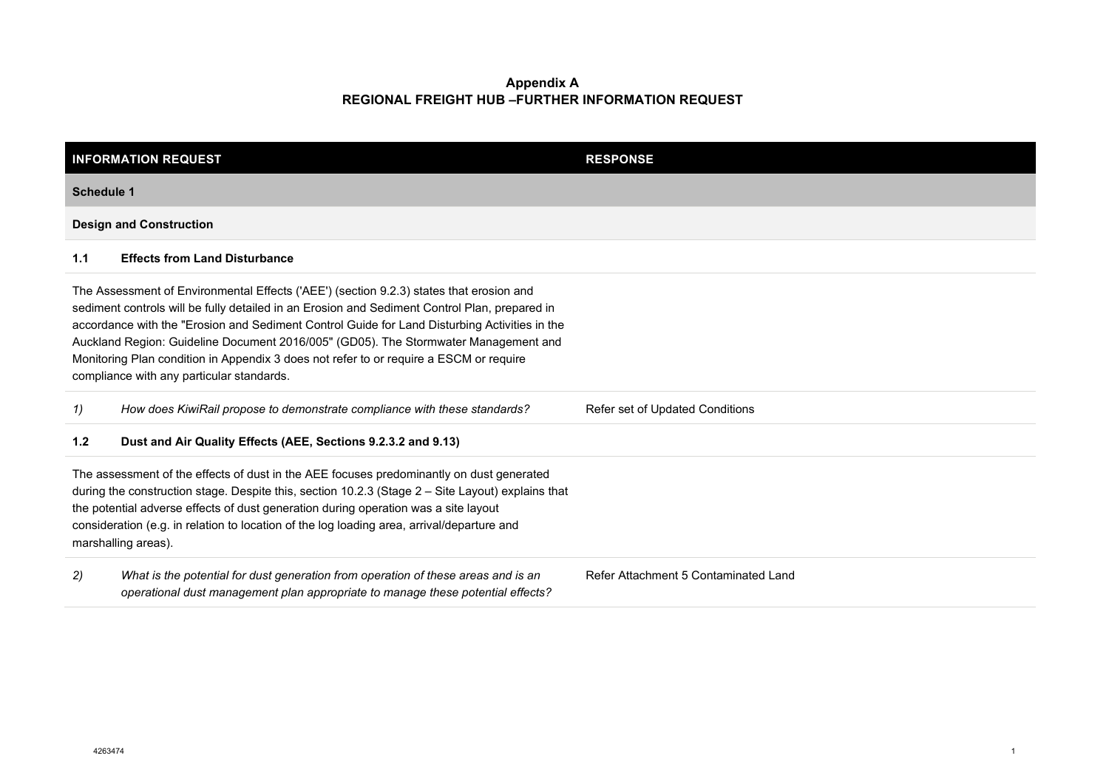|     | <b>INFORMATION REQUEST</b>                                                                                                                                                                                                                                                                                                                                                                                                                                                                                              | <b>RESPONSE</b>                      |  |  |
|-----|-------------------------------------------------------------------------------------------------------------------------------------------------------------------------------------------------------------------------------------------------------------------------------------------------------------------------------------------------------------------------------------------------------------------------------------------------------------------------------------------------------------------------|--------------------------------------|--|--|
|     | Schedule 1                                                                                                                                                                                                                                                                                                                                                                                                                                                                                                              |                                      |  |  |
|     | <b>Design and Construction</b>                                                                                                                                                                                                                                                                                                                                                                                                                                                                                          |                                      |  |  |
| 1.1 | <b>Effects from Land Disturbance</b>                                                                                                                                                                                                                                                                                                                                                                                                                                                                                    |                                      |  |  |
|     | The Assessment of Environmental Effects ('AEE') (section 9.2.3) states that erosion and<br>sediment controls will be fully detailed in an Erosion and Sediment Control Plan, prepared in<br>accordance with the "Erosion and Sediment Control Guide for Land Disturbing Activities in the<br>Auckland Region: Guideline Document 2016/005" (GD05). The Stormwater Management and<br>Monitoring Plan condition in Appendix 3 does not refer to or require a ESCM or require<br>compliance with any particular standards. |                                      |  |  |
| 1)  | How does KiwiRail propose to demonstrate compliance with these standards?                                                                                                                                                                                                                                                                                                                                                                                                                                               | Refer set of Updated Conditions      |  |  |
| 1.2 | Dust and Air Quality Effects (AEE, Sections 9.2.3.2 and 9.13)                                                                                                                                                                                                                                                                                                                                                                                                                                                           |                                      |  |  |
|     | The assessment of the effects of dust in the AEE focuses predominantly on dust generated<br>during the construction stage. Despite this, section 10.2.3 (Stage 2 - Site Layout) explains that<br>the potential adverse effects of dust generation during operation was a site layout<br>consideration (e.g. in relation to location of the log loading area, arrival/departure and<br>marshalling areas).                                                                                                               |                                      |  |  |
| (2) | What is the potential for dust generation from operation of these areas and is an<br>operational dust management plan appropriate to manage these potential effects?                                                                                                                                                                                                                                                                                                                                                    | Refer Attachment 5 Contaminated Land |  |  |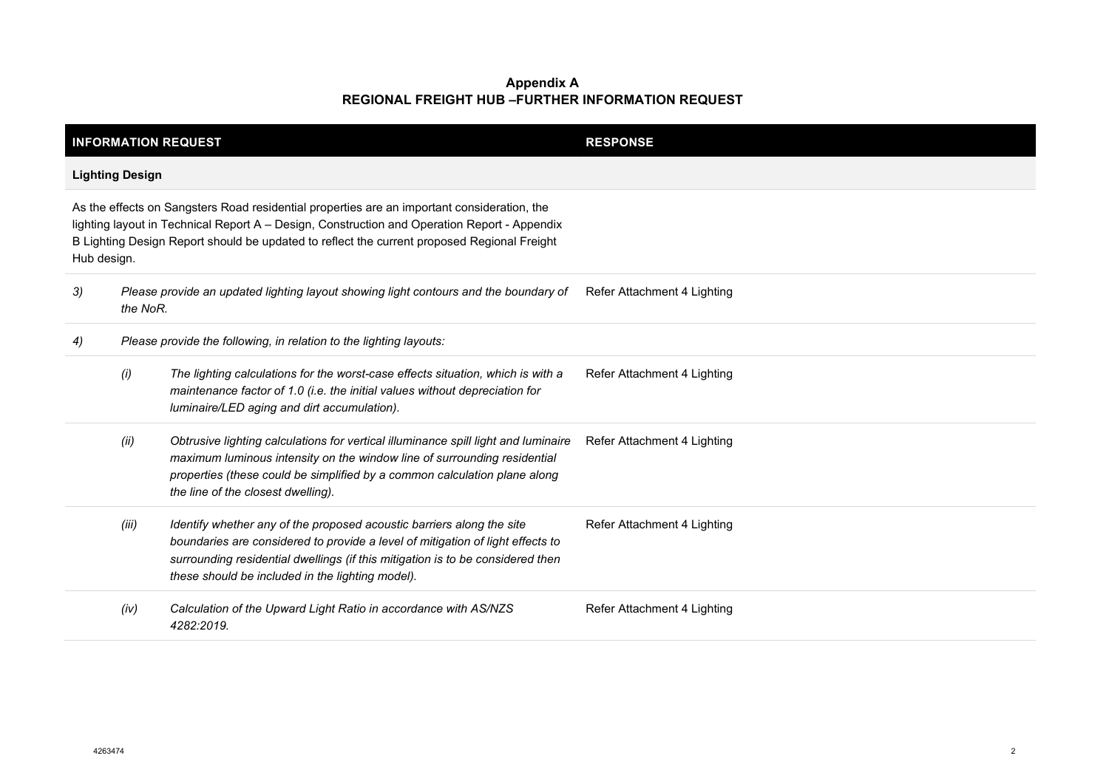| <b>INFORMATION REQUEST</b> |                        |                                                                                                                                                                                                                                                                                               | <b>RESPONSE</b>             |
|----------------------------|------------------------|-----------------------------------------------------------------------------------------------------------------------------------------------------------------------------------------------------------------------------------------------------------------------------------------------|-----------------------------|
|                            | <b>Lighting Design</b> |                                                                                                                                                                                                                                                                                               |                             |
| Hub design.                |                        | As the effects on Sangsters Road residential properties are an important consideration, the<br>lighting layout in Technical Report A - Design, Construction and Operation Report - Appendix<br>B Lighting Design Report should be updated to reflect the current proposed Regional Freight    |                             |
| 3)                         | the NoR.               | Please provide an updated lighting layout showing light contours and the boundary of                                                                                                                                                                                                          | Refer Attachment 4 Lighting |
| 4)                         |                        | Please provide the following, in relation to the lighting layouts:                                                                                                                                                                                                                            |                             |
|                            | (i)                    | The lighting calculations for the worst-case effects situation, which is with a<br>maintenance factor of 1.0 (i.e. the initial values without depreciation for<br>luminaire/LED aging and dirt accumulation).                                                                                 | Refer Attachment 4 Lighting |
|                            | (ii)                   | Obtrusive lighting calculations for vertical illuminance spill light and luminaire<br>maximum luminous intensity on the window line of surrounding residential<br>properties (these could be simplified by a common calculation plane along<br>the line of the closest dwelling).             | Refer Attachment 4 Lighting |
|                            | (iii)                  | Identify whether any of the proposed acoustic barriers along the site<br>boundaries are considered to provide a level of mitigation of light effects to<br>surrounding residential dwellings (if this mitigation is to be considered then<br>these should be included in the lighting model). | Refer Attachment 4 Lighting |
|                            | (iv)                   | Calculation of the Upward Light Ratio in accordance with AS/NZS<br>4282:2019.                                                                                                                                                                                                                 | Refer Attachment 4 Lighting |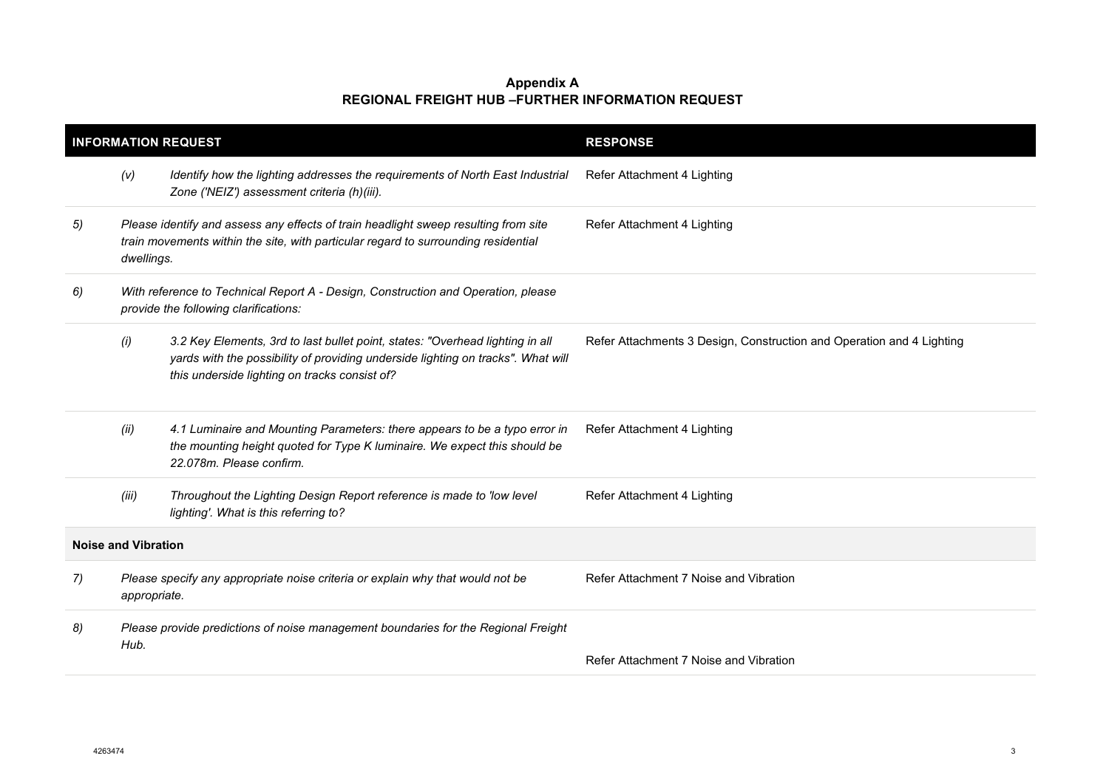|    |                            | <b>INFORMATION REQUEST</b>                                                                                                                                                                                         | <b>RESPONSE</b>                                                       |
|----|----------------------------|--------------------------------------------------------------------------------------------------------------------------------------------------------------------------------------------------------------------|-----------------------------------------------------------------------|
|    | (V)                        | Identify how the lighting addresses the requirements of North East Industrial<br>Zone ('NEIZ') assessment criteria (h)(iii).                                                                                       | Refer Attachment 4 Lighting                                           |
| 5) | dwellings.                 | Please identify and assess any effects of train headlight sweep resulting from site<br>train movements within the site, with particular regard to surrounding residential                                          | Refer Attachment 4 Lighting                                           |
| 6) |                            | With reference to Technical Report A - Design, Construction and Operation, please<br>provide the following clarifications:                                                                                         |                                                                       |
|    | (i)                        | 3.2 Key Elements, 3rd to last bullet point, states: "Overhead lighting in all<br>yards with the possibility of providing underside lighting on tracks". What will<br>this underside lighting on tracks consist of? | Refer Attachments 3 Design, Construction and Operation and 4 Lighting |
|    | (ii)                       | 4.1 Luminaire and Mounting Parameters: there appears to be a typo error in<br>the mounting height quoted for Type K luminaire. We expect this should be<br>22.078m. Please confirm.                                | Refer Attachment 4 Lighting                                           |
|    | (iii)                      | Throughout the Lighting Design Report reference is made to 'low level<br>lighting'. What is this referring to?                                                                                                     | Refer Attachment 4 Lighting                                           |
|    | <b>Noise and Vibration</b> |                                                                                                                                                                                                                    |                                                                       |
| 7) | appropriate.               | Please specify any appropriate noise criteria or explain why that would not be                                                                                                                                     | Refer Attachment 7 Noise and Vibration                                |
| 8) | Hub.                       | Please provide predictions of noise management boundaries for the Regional Freight                                                                                                                                 | Refer Attachment 7 Noise and Vibration                                |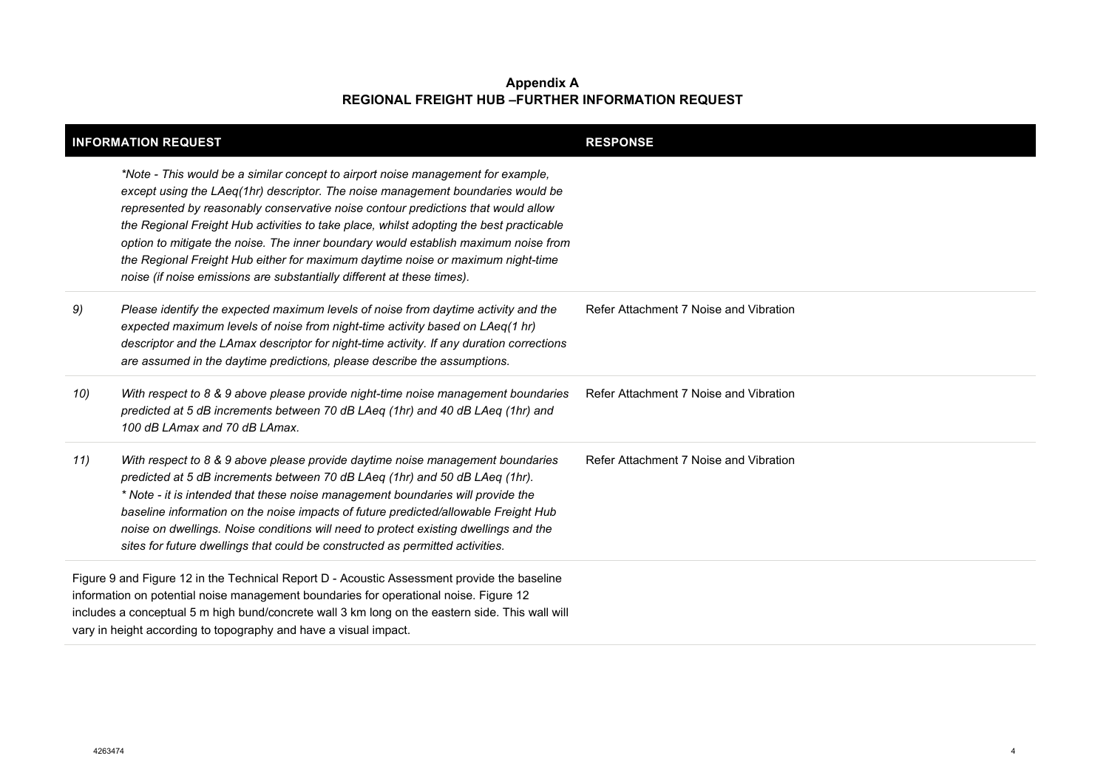|     | <b>INFORMATION REQUEST</b>                                                                                                                                                                                                                                                                                                                                                                                                                                                                                                                                                                              | <b>RESPONSE</b>                        |
|-----|---------------------------------------------------------------------------------------------------------------------------------------------------------------------------------------------------------------------------------------------------------------------------------------------------------------------------------------------------------------------------------------------------------------------------------------------------------------------------------------------------------------------------------------------------------------------------------------------------------|----------------------------------------|
|     | *Note - This would be a similar concept to airport noise management for example,<br>except using the LAeq(1hr) descriptor. The noise management boundaries would be<br>represented by reasonably conservative noise contour predictions that would allow<br>the Regional Freight Hub activities to take place, whilst adopting the best practicable<br>option to mitigate the noise. The inner boundary would establish maximum noise from<br>the Regional Freight Hub either for maximum daytime noise or maximum night-time<br>noise (if noise emissions are substantially different at these times). |                                        |
| 9)  | Please identify the expected maximum levels of noise from daytime activity and the<br>expected maximum levels of noise from night-time activity based on LAeq(1 hr)<br>descriptor and the LAmax descriptor for night-time activity. If any duration corrections<br>are assumed in the daytime predictions, please describe the assumptions.                                                                                                                                                                                                                                                             | Refer Attachment 7 Noise and Vibration |
| 10) | With respect to 8 & 9 above please provide night-time noise management boundaries<br>predicted at 5 dB increments between 70 dB LAeq (1hr) and 40 dB LAeq (1hr) and<br>100 dB LAmax and 70 dB LAmax.                                                                                                                                                                                                                                                                                                                                                                                                    | Refer Attachment 7 Noise and Vibration |
| 11) | With respect to 8 & 9 above please provide daytime noise management boundaries<br>predicted at 5 dB increments between 70 dB LAeq (1hr) and 50 dB LAeq (1hr).<br>* Note - it is intended that these noise management boundaries will provide the<br>baseline information on the noise impacts of future predicted/allowable Freight Hub<br>noise on dwellings. Noise conditions will need to protect existing dwellings and the<br>sites for future dwellings that could be constructed as permitted activities.                                                                                        | Refer Attachment 7 Noise and Vibration |
|     | Figure 9 and Figure 12 in the Technical Report D - Acoustic Assessment provide the baseline<br>information on potential noise management boundaries for operational noise. Figure 12<br>includes a conceptual 5 m high bund/concrete wall 3 km long on the eastern side. This wall will<br>vary in height according to topography and have a visual impact.                                                                                                                                                                                                                                             |                                        |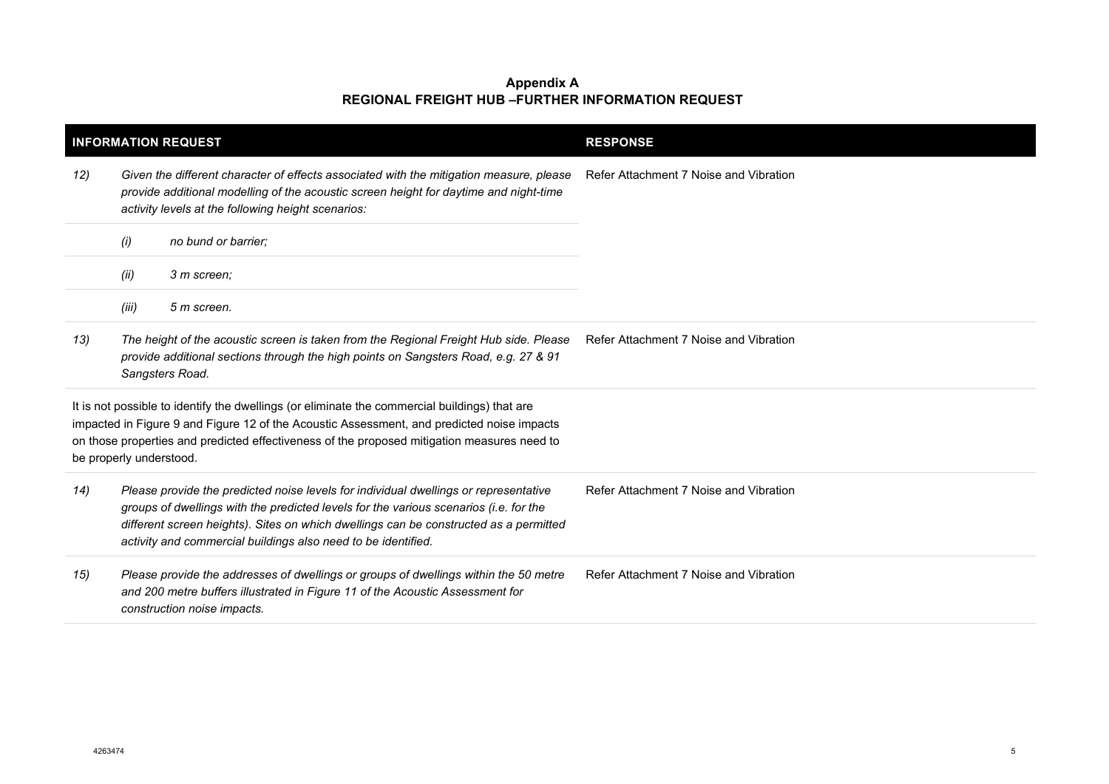| <b>INFORMATION REQUEST</b> |                                                                                                                                                                                                                                        |                                                                                                                                                                                                                                                                                                                                         | <b>RESPONSE</b>                        |
|----------------------------|----------------------------------------------------------------------------------------------------------------------------------------------------------------------------------------------------------------------------------------|-----------------------------------------------------------------------------------------------------------------------------------------------------------------------------------------------------------------------------------------------------------------------------------------------------------------------------------------|----------------------------------------|
| 12)                        | Given the different character of effects associated with the mitigation measure, please<br>provide additional modelling of the acoustic screen height for daytime and night-time<br>activity levels at the following height scenarios: |                                                                                                                                                                                                                                                                                                                                         | Refer Attachment 7 Noise and Vibration |
|                            | (i)                                                                                                                                                                                                                                    | no bund or barrier;                                                                                                                                                                                                                                                                                                                     |                                        |
|                            | (ii)                                                                                                                                                                                                                                   | 3 m screen:                                                                                                                                                                                                                                                                                                                             |                                        |
|                            | (iii)                                                                                                                                                                                                                                  | 5 m screen.                                                                                                                                                                                                                                                                                                                             |                                        |
| 13)                        |                                                                                                                                                                                                                                        | The height of the acoustic screen is taken from the Regional Freight Hub side. Please<br>provide additional sections through the high points on Sangsters Road, e.g. 27 & 91<br>Sangsters Road.                                                                                                                                         | Refer Attachment 7 Noise and Vibration |
|                            | be properly understood.                                                                                                                                                                                                                | It is not possible to identify the dwellings (or eliminate the commercial buildings) that are<br>impacted in Figure 9 and Figure 12 of the Acoustic Assessment, and predicted noise impacts<br>on those properties and predicted effectiveness of the proposed mitigation measures need to                                              |                                        |
| 14)                        |                                                                                                                                                                                                                                        | Please provide the predicted noise levels for individual dwellings or representative<br>groups of dwellings with the predicted levels for the various scenarios (i.e. for the<br>different screen heights). Sites on which dwellings can be constructed as a permitted<br>activity and commercial buildings also need to be identified. | Refer Attachment 7 Noise and Vibration |
| 15)                        |                                                                                                                                                                                                                                        | Please provide the addresses of dwellings or groups of dwellings within the 50 metre<br>and 200 metre buffers illustrated in Figure 11 of the Acoustic Assessment for<br>construction noise impacts.                                                                                                                                    | Refer Attachment 7 Noise and Vibration |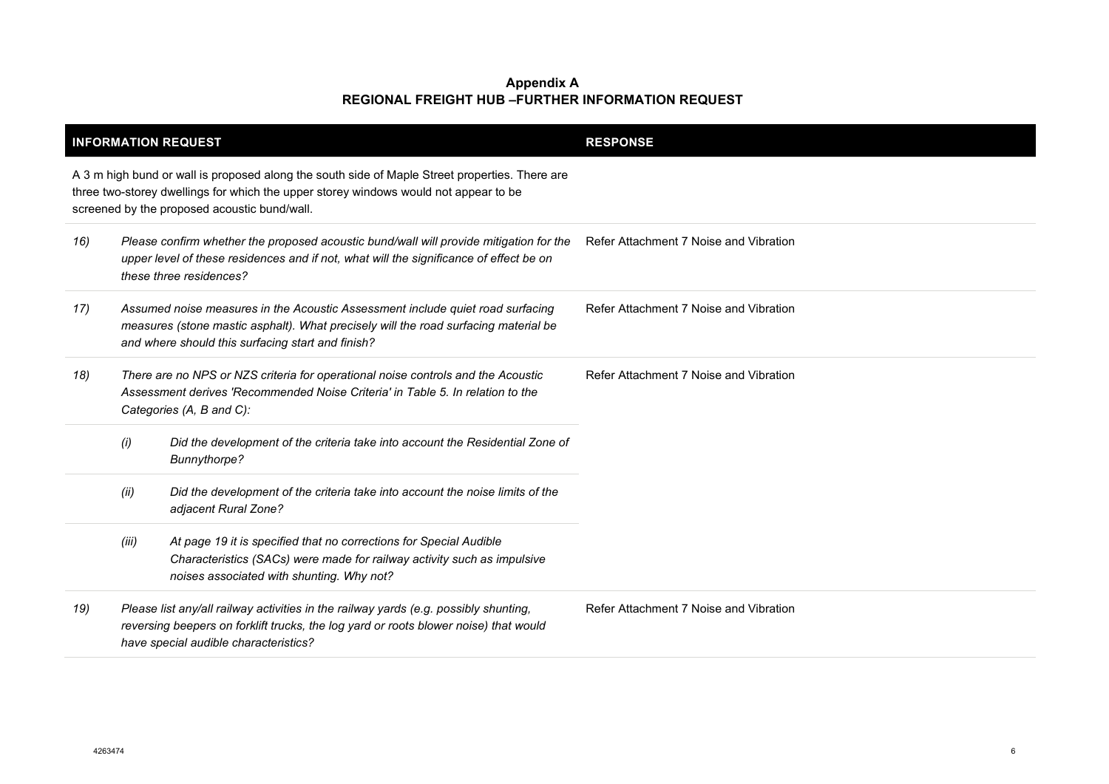|     |                                                                                                                                                                                                                            | <b>INFORMATION REQUEST</b>                                                                                                                                                                                                             | <b>RESPONSE</b>                        |
|-----|----------------------------------------------------------------------------------------------------------------------------------------------------------------------------------------------------------------------------|----------------------------------------------------------------------------------------------------------------------------------------------------------------------------------------------------------------------------------------|----------------------------------------|
|     |                                                                                                                                                                                                                            | A 3 m high bund or wall is proposed along the south side of Maple Street properties. There are<br>three two-storey dwellings for which the upper storey windows would not appear to be<br>screened by the proposed acoustic bund/wall. |                                        |
| 16) | Please confirm whether the proposed acoustic bund/wall will provide mitigation for the<br>upper level of these residences and if not, what will the significance of effect be on<br>these three residences?                |                                                                                                                                                                                                                                        | Refer Attachment 7 Noise and Vibration |
| 17) | Assumed noise measures in the Acoustic Assessment include quiet road surfacing<br>measures (stone mastic asphalt). What precisely will the road surfacing material be<br>and where should this surfacing start and finish? |                                                                                                                                                                                                                                        | Refer Attachment 7 Noise and Vibration |
| 18) | There are no NPS or NZS criteria for operational noise controls and the Acoustic<br>Assessment derives 'Recommended Noise Criteria' in Table 5. In relation to the<br>Categories (A, B and C):                             |                                                                                                                                                                                                                                        | Refer Attachment 7 Noise and Vibration |
|     | (i)                                                                                                                                                                                                                        | Did the development of the criteria take into account the Residential Zone of<br>Bunnythorpe?                                                                                                                                          |                                        |
|     | (ii)                                                                                                                                                                                                                       | Did the development of the criteria take into account the noise limits of the<br>adjacent Rural Zone?                                                                                                                                  |                                        |
|     | (iii)                                                                                                                                                                                                                      | At page 19 it is specified that no corrections for Special Audible<br>Characteristics (SACs) were made for railway activity such as impulsive<br>noises associated with shunting. Why not?                                             |                                        |
| 19) | Please list any/all railway activities in the railway yards (e.g. possibly shunting,<br>reversing beepers on forklift trucks, the log yard or roots blower noise) that would<br>have special audible characteristics?      |                                                                                                                                                                                                                                        | Refer Attachment 7 Noise and Vibration |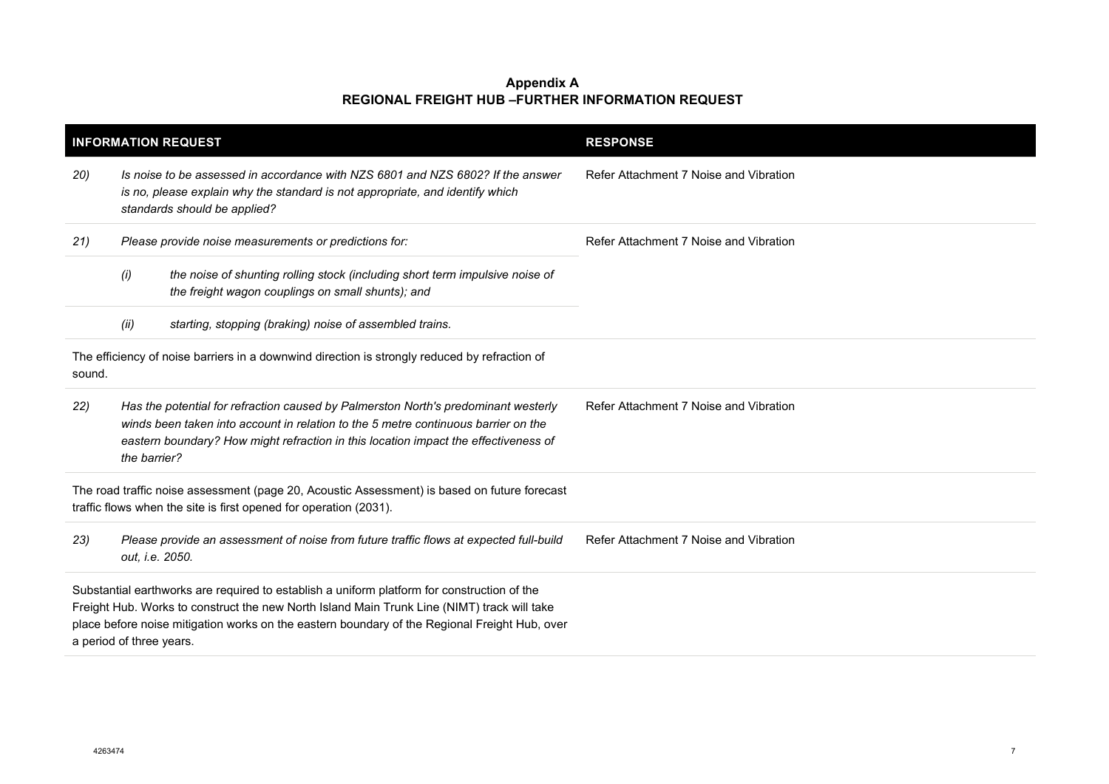|        |                                                                                                                                                                                                                                                                                 | <b>INFORMATION REQUEST</b>                                                                                                                                                                                                                                                                                              | <b>RESPONSE</b>                        |
|--------|---------------------------------------------------------------------------------------------------------------------------------------------------------------------------------------------------------------------------------------------------------------------------------|-------------------------------------------------------------------------------------------------------------------------------------------------------------------------------------------------------------------------------------------------------------------------------------------------------------------------|----------------------------------------|
| 20)    |                                                                                                                                                                                                                                                                                 | Is noise to be assessed in accordance with NZS 6801 and NZS 6802? If the answer<br>is no, please explain why the standard is not appropriate, and identify which<br>standards should be applied?                                                                                                                        | Refer Attachment 7 Noise and Vibration |
| 21)    |                                                                                                                                                                                                                                                                                 | Please provide noise measurements or predictions for:                                                                                                                                                                                                                                                                   | Refer Attachment 7 Noise and Vibration |
|        | (i)                                                                                                                                                                                                                                                                             | the noise of shunting rolling stock (including short term impulsive noise of<br>the freight wagon couplings on small shunts); and                                                                                                                                                                                       |                                        |
|        | (ii)                                                                                                                                                                                                                                                                            | starting, stopping (braking) noise of assembled trains.                                                                                                                                                                                                                                                                 |                                        |
| sound. |                                                                                                                                                                                                                                                                                 | The efficiency of noise barriers in a downwind direction is strongly reduced by refraction of                                                                                                                                                                                                                           |                                        |
| 22)    | Has the potential for refraction caused by Palmerston North's predominant westerly<br>winds been taken into account in relation to the 5 metre continuous barrier on the<br>eastern boundary? How might refraction in this location impact the effectiveness of<br>the barrier? |                                                                                                                                                                                                                                                                                                                         | Refer Attachment 7 Noise and Vibration |
|        |                                                                                                                                                                                                                                                                                 | The road traffic noise assessment (page 20, Acoustic Assessment) is based on future forecast<br>traffic flows when the site is first opened for operation (2031).                                                                                                                                                       |                                        |
| 23)    |                                                                                                                                                                                                                                                                                 | Please provide an assessment of noise from future traffic flows at expected full-build<br>out, i.e. 2050.                                                                                                                                                                                                               | Refer Attachment 7 Noise and Vibration |
|        |                                                                                                                                                                                                                                                                                 | Substantial earthworks are required to establish a uniform platform for construction of the<br>Freight Hub. Works to construct the new North Island Main Trunk Line (NIMT) track will take<br>place before noise mitigation works on the eastern boundary of the Regional Freight Hub, over<br>a period of three years. |                                        |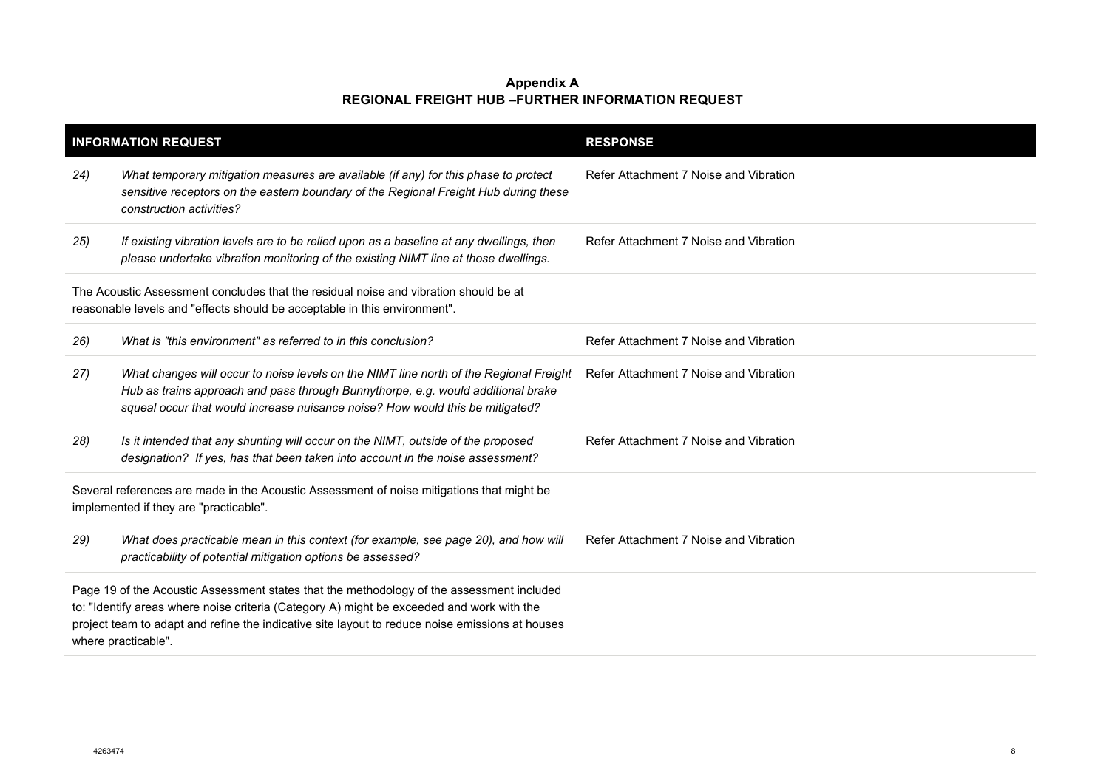|                                                                                                                                                                                                                                                                                                                  | <b>INFORMATION REQUEST</b>                                                                                                                                                                                                                                  | <b>RESPONSE</b>                        |
|------------------------------------------------------------------------------------------------------------------------------------------------------------------------------------------------------------------------------------------------------------------------------------------------------------------|-------------------------------------------------------------------------------------------------------------------------------------------------------------------------------------------------------------------------------------------------------------|----------------------------------------|
| 24)                                                                                                                                                                                                                                                                                                              | What temporary mitigation measures are available (if any) for this phase to protect<br>sensitive receptors on the eastern boundary of the Regional Freight Hub during these<br>construction activities?                                                     | Refer Attachment 7 Noise and Vibration |
| 25)                                                                                                                                                                                                                                                                                                              | If existing vibration levels are to be relied upon as a baseline at any dwellings, then<br>please undertake vibration monitoring of the existing NIMT line at those dwellings.                                                                              | Refer Attachment 7 Noise and Vibration |
|                                                                                                                                                                                                                                                                                                                  | The Acoustic Assessment concludes that the residual noise and vibration should be at<br>reasonable levels and "effects should be acceptable in this environment".                                                                                           |                                        |
| 26)                                                                                                                                                                                                                                                                                                              | What is "this environment" as referred to in this conclusion?                                                                                                                                                                                               | Refer Attachment 7 Noise and Vibration |
| 27)                                                                                                                                                                                                                                                                                                              | What changes will occur to noise levels on the NIMT line north of the Regional Freight<br>Hub as trains approach and pass through Bunnythorpe, e.g. would additional brake<br>squeal occur that would increase nuisance noise? How would this be mitigated? | Refer Attachment 7 Noise and Vibration |
| 28)                                                                                                                                                                                                                                                                                                              | Is it intended that any shunting will occur on the NIMT, outside of the proposed<br>designation? If yes, has that been taken into account in the noise assessment?                                                                                          | Refer Attachment 7 Noise and Vibration |
| Several references are made in the Acoustic Assessment of noise mitigations that might be<br>implemented if they are "practicable".                                                                                                                                                                              |                                                                                                                                                                                                                                                             |                                        |
| 29)                                                                                                                                                                                                                                                                                                              | What does practicable mean in this context (for example, see page 20), and how will<br>practicability of potential mitigation options be assessed?                                                                                                          | Refer Attachment 7 Noise and Vibration |
| Page 19 of the Acoustic Assessment states that the methodology of the assessment included<br>to: "Identify areas where noise criteria (Category A) might be exceeded and work with the<br>project team to adapt and refine the indicative site layout to reduce noise emissions at houses<br>where practicable". |                                                                                                                                                                                                                                                             |                                        |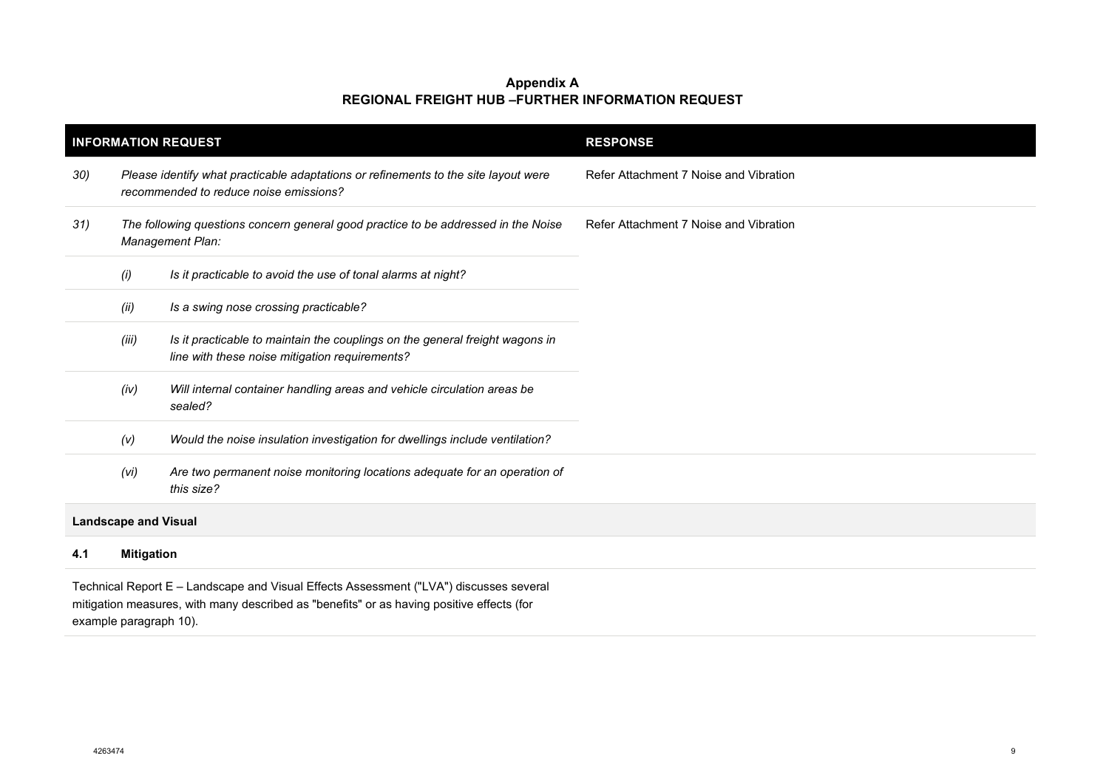| <b>INFORMATION REQUEST</b>  |                                                                                                                                                                                     |                                                                                                                                | <b>RESPONSE</b>                        |  |  |
|-----------------------------|-------------------------------------------------------------------------------------------------------------------------------------------------------------------------------------|--------------------------------------------------------------------------------------------------------------------------------|----------------------------------------|--|--|
| 30)                         | Please identify what practicable adaptations or refinements to the site layout were<br>recommended to reduce noise emissions?                                                       |                                                                                                                                | Refer Attachment 7 Noise and Vibration |  |  |
| 31)                         | The following questions concern general good practice to be addressed in the Noise<br>Management Plan:                                                                              |                                                                                                                                | Refer Attachment 7 Noise and Vibration |  |  |
|                             | (i)                                                                                                                                                                                 | Is it practicable to avoid the use of tonal alarms at night?                                                                   |                                        |  |  |
|                             | (ii)                                                                                                                                                                                | Is a swing nose crossing practicable?                                                                                          |                                        |  |  |
|                             | (iii)                                                                                                                                                                               | Is it practicable to maintain the couplings on the general freight wagons in<br>line with these noise mitigation requirements? |                                        |  |  |
|                             | Will internal container handling areas and vehicle circulation areas be<br>(iv)<br>sealed?                                                                                          |                                                                                                                                |                                        |  |  |
|                             | (V)                                                                                                                                                                                 | Would the noise insulation investigation for dwellings include ventilation?                                                    |                                        |  |  |
|                             | (Vi)                                                                                                                                                                                | Are two permanent noise monitoring locations adequate for an operation of<br>this size?                                        |                                        |  |  |
| <b>Landscape and Visual</b> |                                                                                                                                                                                     |                                                                                                                                |                                        |  |  |
| 4.1                         | <b>Mitigation</b>                                                                                                                                                                   |                                                                                                                                |                                        |  |  |
|                             | Technical Report E - Landscape and Visual Effects Assessment ("LVA") discusses several<br>mitigation measures, with many described as "benefits" or as having positive effects (for |                                                                                                                                |                                        |  |  |

example paragraph 10).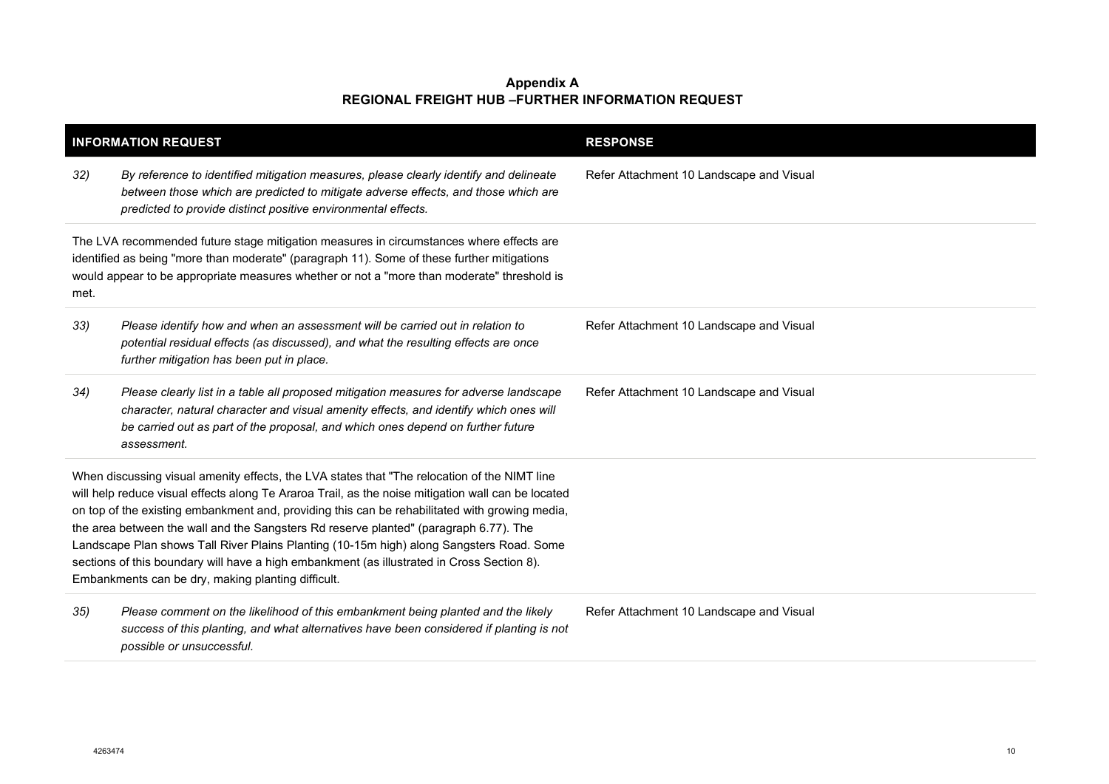|      | <b>INFORMATION REQUEST</b>                                                                                                                                                                                                                                                                                                                                                                                                                                                                                                                                                                                                                    | <b>RESPONSE</b>                          |
|------|-----------------------------------------------------------------------------------------------------------------------------------------------------------------------------------------------------------------------------------------------------------------------------------------------------------------------------------------------------------------------------------------------------------------------------------------------------------------------------------------------------------------------------------------------------------------------------------------------------------------------------------------------|------------------------------------------|
| 32)  | By reference to identified mitigation measures, please clearly identify and delineate<br>between those which are predicted to mitigate adverse effects, and those which are<br>predicted to provide distinct positive environmental effects.                                                                                                                                                                                                                                                                                                                                                                                                  | Refer Attachment 10 Landscape and Visual |
| met. | The LVA recommended future stage mitigation measures in circumstances where effects are<br>identified as being "more than moderate" (paragraph 11). Some of these further mitigations<br>would appear to be appropriate measures whether or not a "more than moderate" threshold is                                                                                                                                                                                                                                                                                                                                                           |                                          |
| 33)  | Please identify how and when an assessment will be carried out in relation to<br>potential residual effects (as discussed), and what the resulting effects are once<br>further mitigation has been put in place.                                                                                                                                                                                                                                                                                                                                                                                                                              | Refer Attachment 10 Landscape and Visual |
| 34)  | Please clearly list in a table all proposed mitigation measures for adverse landscape<br>character, natural character and visual amenity effects, and identify which ones will<br>be carried out as part of the proposal, and which ones depend on further future<br>assessment.                                                                                                                                                                                                                                                                                                                                                              | Refer Attachment 10 Landscape and Visual |
|      | When discussing visual amenity effects, the LVA states that "The relocation of the NIMT line<br>will help reduce visual effects along Te Araroa Trail, as the noise mitigation wall can be located<br>on top of the existing embankment and, providing this can be rehabilitated with growing media,<br>the area between the wall and the Sangsters Rd reserve planted" (paragraph 6.77). The<br>Landscape Plan shows Tall River Plains Planting (10-15m high) along Sangsters Road. Some<br>sections of this boundary will have a high embankment (as illustrated in Cross Section 8).<br>Embankments can be dry, making planting difficult. |                                          |
| 35)  | Please comment on the likelihood of this embankment being planted and the likely<br>success of this planting, and what alternatives have been considered if planting is not<br>possible or unsuccessful.                                                                                                                                                                                                                                                                                                                                                                                                                                      | Refer Attachment 10 Landscape and Visual |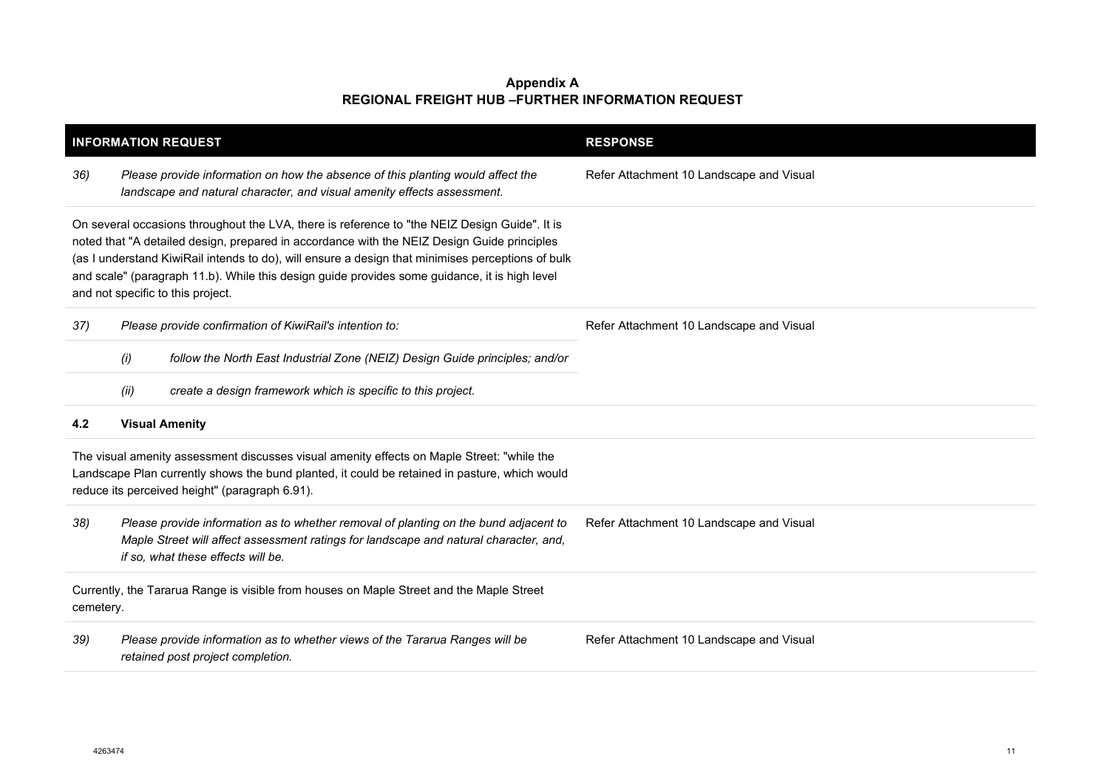|                                                                                                                                                                                                                                                                                                                                                                                                                                         | <b>INFORMATION REQUEST</b>                                                                                                                                                                                                                    | <b>RESPONSE</b>                          |  |
|-----------------------------------------------------------------------------------------------------------------------------------------------------------------------------------------------------------------------------------------------------------------------------------------------------------------------------------------------------------------------------------------------------------------------------------------|-----------------------------------------------------------------------------------------------------------------------------------------------------------------------------------------------------------------------------------------------|------------------------------------------|--|
| 36)                                                                                                                                                                                                                                                                                                                                                                                                                                     | Please provide information on how the absence of this planting would affect the<br>landscape and natural character, and visual amenity effects assessment.                                                                                    | Refer Attachment 10 Landscape and Visual |  |
| On several occasions throughout the LVA, there is reference to "the NEIZ Design Guide". It is<br>noted that "A detailed design, prepared in accordance with the NEIZ Design Guide principles<br>(as I understand KiwiRail intends to do), will ensure a design that minimises perceptions of bulk<br>and scale" (paragraph 11.b). While this design guide provides some guidance, it is high level<br>and not specific to this project. |                                                                                                                                                                                                                                               |                                          |  |
| 37)                                                                                                                                                                                                                                                                                                                                                                                                                                     | Please provide confirmation of KiwiRail's intention to:                                                                                                                                                                                       | Refer Attachment 10 Landscape and Visual |  |
|                                                                                                                                                                                                                                                                                                                                                                                                                                         | follow the North East Industrial Zone (NEIZ) Design Guide principles; and/or<br>(i)                                                                                                                                                           |                                          |  |
|                                                                                                                                                                                                                                                                                                                                                                                                                                         | create a design framework which is specific to this project.<br>(ii)                                                                                                                                                                          |                                          |  |
| 4.2                                                                                                                                                                                                                                                                                                                                                                                                                                     | <b>Visual Amenity</b>                                                                                                                                                                                                                         |                                          |  |
|                                                                                                                                                                                                                                                                                                                                                                                                                                         | The visual amenity assessment discusses visual amenity effects on Maple Street: "while the<br>Landscape Plan currently shows the bund planted, it could be retained in pasture, which would<br>reduce its perceived height" (paragraph 6.91). |                                          |  |
| 38)                                                                                                                                                                                                                                                                                                                                                                                                                                     | Please provide information as to whether removal of planting on the bund adjacent to<br>Maple Street will affect assessment ratings for landscape and natural character, and,<br>if so, what these effects will be.                           | Refer Attachment 10 Landscape and Visual |  |
| Currently, the Tararua Range is visible from houses on Maple Street and the Maple Street<br>cemetery.                                                                                                                                                                                                                                                                                                                                   |                                                                                                                                                                                                                                               |                                          |  |
| 39)                                                                                                                                                                                                                                                                                                                                                                                                                                     | Please provide information as to whether views of the Tararua Ranges will be<br>retained post project completion.                                                                                                                             | Refer Attachment 10 Landscape and Visual |  |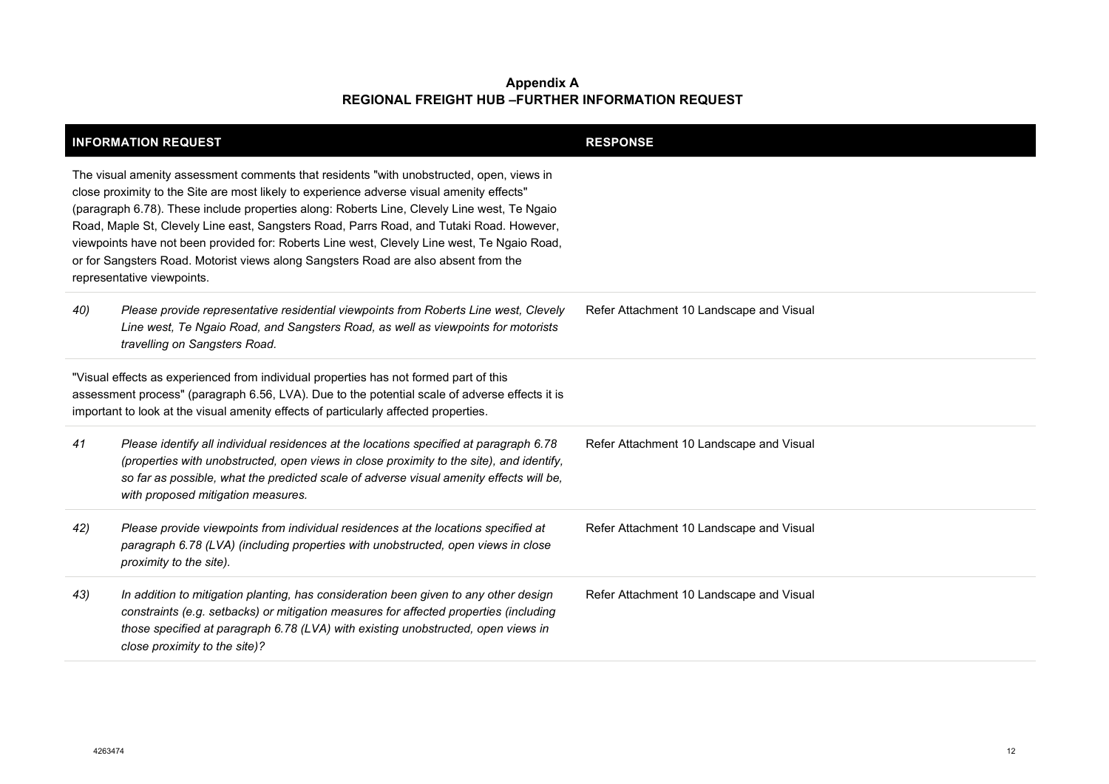| <b>INFORMATION REQUEST</b>                                                                                                                                                                                                                                                                                                                                                                                                                                                                                                                                                                           | <b>RESPONSE</b>                          |
|------------------------------------------------------------------------------------------------------------------------------------------------------------------------------------------------------------------------------------------------------------------------------------------------------------------------------------------------------------------------------------------------------------------------------------------------------------------------------------------------------------------------------------------------------------------------------------------------------|------------------------------------------|
| The visual amenity assessment comments that residents "with unobstructed, open, views in<br>close proximity to the Site are most likely to experience adverse visual amenity effects"<br>(paragraph 6.78). These include properties along: Roberts Line, Clevely Line west, Te Ngaio<br>Road, Maple St, Clevely Line east, Sangsters Road, Parrs Road, and Tutaki Road. However,<br>viewpoints have not been provided for: Roberts Line west, Clevely Line west, Te Ngaio Road,<br>or for Sangsters Road. Motorist views along Sangsters Road are also absent from the<br>representative viewpoints. |                                          |
| Please provide representative residential viewpoints from Roberts Line west, Clevely<br>40)<br>Line west, Te Ngaio Road, and Sangsters Road, as well as viewpoints for motorists<br>travelling on Sangsters Road.                                                                                                                                                                                                                                                                                                                                                                                    | Refer Attachment 10 Landscape and Visual |
| "Visual effects as experienced from individual properties has not formed part of this<br>assessment process" (paragraph 6.56, LVA). Due to the potential scale of adverse effects it is<br>important to look at the visual amenity effects of particularly affected properties.                                                                                                                                                                                                                                                                                                                      |                                          |
| Please identify all individual residences at the locations specified at paragraph 6.78<br>41<br>(properties with unobstructed, open views in close proximity to the site), and identify,<br>so far as possible, what the predicted scale of adverse visual amenity effects will be,<br>with proposed mitigation measures.                                                                                                                                                                                                                                                                            | Refer Attachment 10 Landscape and Visual |
| Please provide viewpoints from individual residences at the locations specified at<br>42)<br>paragraph 6.78 (LVA) (including properties with unobstructed, open views in close<br>proximity to the site).                                                                                                                                                                                                                                                                                                                                                                                            | Refer Attachment 10 Landscape and Visual |
| In addition to mitigation planting, has consideration been given to any other design<br>43)<br>constraints (e.g. setbacks) or mitigation measures for affected properties (including<br>those specified at paragraph 6.78 (LVA) with existing unobstructed, open views in<br>close proximity to the site)?                                                                                                                                                                                                                                                                                           | Refer Attachment 10 Landscape and Visual |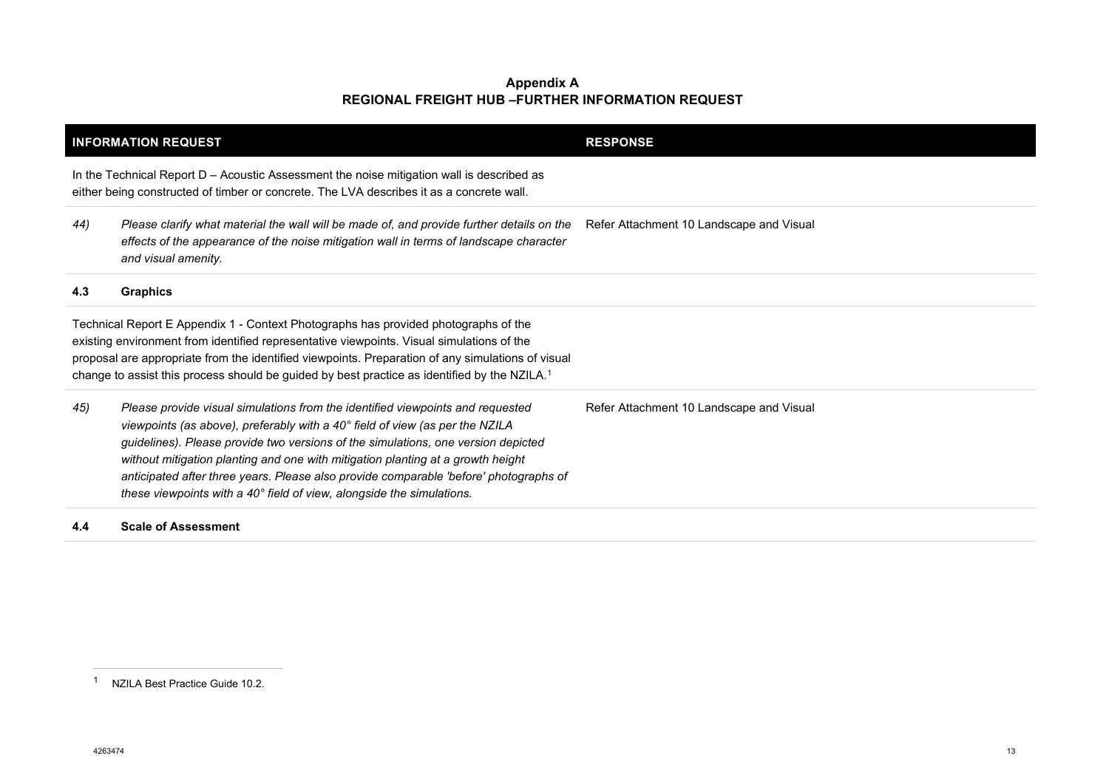<span id="page-12-0"></span>

| <b>INFORMATION REQUEST</b>                                                                                                                                                                                                                                                                                                                                                                        |                                                                                                                                                                                                                                                                                                                                                                                                                                                                                                          | <b>RESPONSE</b>                          |
|---------------------------------------------------------------------------------------------------------------------------------------------------------------------------------------------------------------------------------------------------------------------------------------------------------------------------------------------------------------------------------------------------|----------------------------------------------------------------------------------------------------------------------------------------------------------------------------------------------------------------------------------------------------------------------------------------------------------------------------------------------------------------------------------------------------------------------------------------------------------------------------------------------------------|------------------------------------------|
|                                                                                                                                                                                                                                                                                                                                                                                                   | In the Technical Report $D -$ Acoustic Assessment the noise mitigation wall is described as<br>either being constructed of timber or concrete. The LVA describes it as a concrete wall.                                                                                                                                                                                                                                                                                                                  |                                          |
| 44)                                                                                                                                                                                                                                                                                                                                                                                               | Please clarify what material the wall will be made of, and provide further details on the<br>effects of the appearance of the noise mitigation wall in terms of landscape character<br>and visual amenity.                                                                                                                                                                                                                                                                                               | Refer Attachment 10 Landscape and Visual |
| 4.3                                                                                                                                                                                                                                                                                                                                                                                               | <b>Graphics</b>                                                                                                                                                                                                                                                                                                                                                                                                                                                                                          |                                          |
| Technical Report E Appendix 1 - Context Photographs has provided photographs of the<br>existing environment from identified representative viewpoints. Visual simulations of the<br>proposal are appropriate from the identified viewpoints. Preparation of any simulations of visual<br>change to assist this process should be guided by best practice as identified by the NZILA. <sup>1</sup> |                                                                                                                                                                                                                                                                                                                                                                                                                                                                                                          |                                          |
| 45)                                                                                                                                                                                                                                                                                                                                                                                               | Please provide visual simulations from the identified viewpoints and requested<br>viewpoints (as above), preferably with a 40° field of view (as per the NZILA<br>guidelines). Please provide two versions of the simulations, one version depicted<br>without mitigation planting and one with mitigation planting at a growth height<br>anticipated after three years. Please also provide comparable 'before' photographs of<br>these viewpoints with a 40° field of view, alongside the simulations. | Refer Attachment 10 Landscape and Visual |

#### **4.4 Scale of Assessment**

<sup>1</sup> NZILA Best Practice Guide 10.2.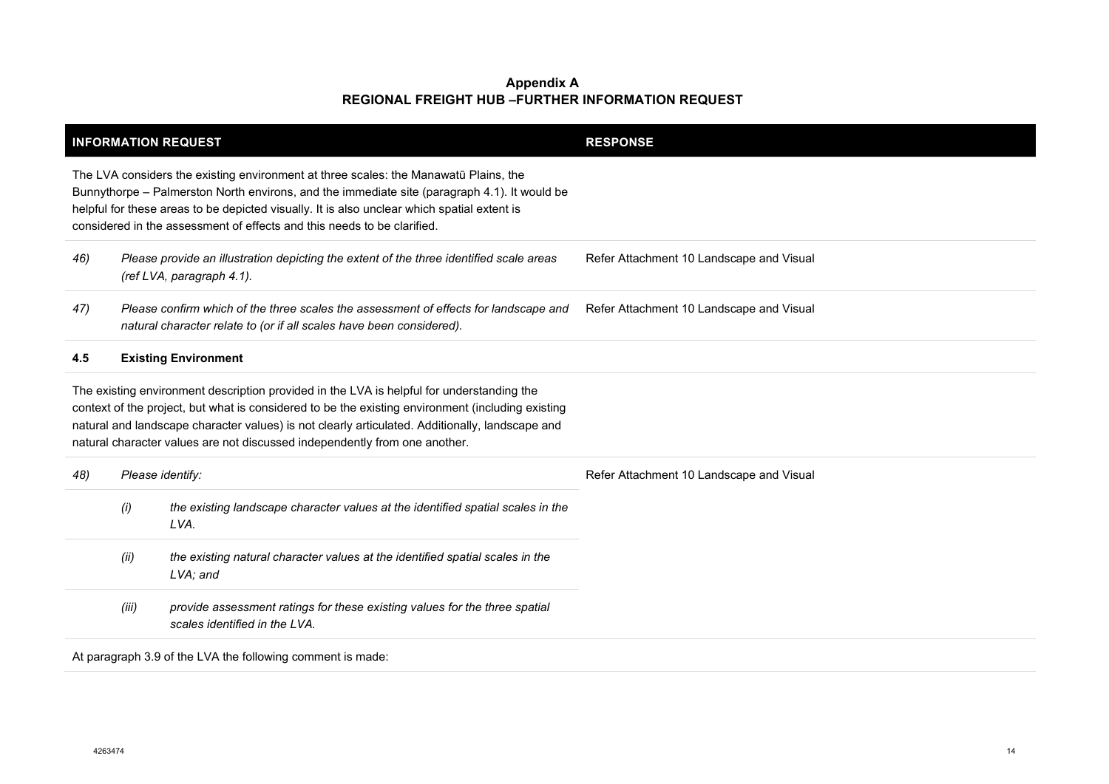|                                                                                                                                                                                                                                                                                                                                                                |                                                                                                                      | <b>INFORMATION REQUEST</b>                                                                                                                                                                                                                                                                                                                                                      | <b>RESPONSE</b>                          |
|----------------------------------------------------------------------------------------------------------------------------------------------------------------------------------------------------------------------------------------------------------------------------------------------------------------------------------------------------------------|----------------------------------------------------------------------------------------------------------------------|---------------------------------------------------------------------------------------------------------------------------------------------------------------------------------------------------------------------------------------------------------------------------------------------------------------------------------------------------------------------------------|------------------------------------------|
| The LVA considers the existing environment at three scales: the Manawatū Plains, the<br>Bunnythorpe – Palmerston North environs, and the immediate site (paragraph 4.1). It would be<br>helpful for these areas to be depicted visually. It is also unclear which spatial extent is<br>considered in the assessment of effects and this needs to be clarified. |                                                                                                                      |                                                                                                                                                                                                                                                                                                                                                                                 |                                          |
| 46)                                                                                                                                                                                                                                                                                                                                                            | Please provide an illustration depicting the extent of the three identified scale areas<br>(ref LVA, paragraph 4.1). |                                                                                                                                                                                                                                                                                                                                                                                 | Refer Attachment 10 Landscape and Visual |
| 47)                                                                                                                                                                                                                                                                                                                                                            |                                                                                                                      | Please confirm which of the three scales the assessment of effects for landscape and<br>natural character relate to (or if all scales have been considered).                                                                                                                                                                                                                    | Refer Attachment 10 Landscape and Visual |
| 4.5                                                                                                                                                                                                                                                                                                                                                            |                                                                                                                      | <b>Existing Environment</b>                                                                                                                                                                                                                                                                                                                                                     |                                          |
|                                                                                                                                                                                                                                                                                                                                                                |                                                                                                                      | The existing environment description provided in the LVA is helpful for understanding the<br>context of the project, but what is considered to be the existing environment (including existing<br>natural and landscape character values) is not clearly articulated. Additionally, landscape and<br>natural character values are not discussed independently from one another. |                                          |
| 48)                                                                                                                                                                                                                                                                                                                                                            | Please identify:                                                                                                     |                                                                                                                                                                                                                                                                                                                                                                                 | Refer Attachment 10 Landscape and Visual |
|                                                                                                                                                                                                                                                                                                                                                                | (i)                                                                                                                  | the existing landscape character values at the identified spatial scales in the<br>LVA.                                                                                                                                                                                                                                                                                         |                                          |
|                                                                                                                                                                                                                                                                                                                                                                | (ii)                                                                                                                 | the existing natural character values at the identified spatial scales in the<br>LVA; and                                                                                                                                                                                                                                                                                       |                                          |
|                                                                                                                                                                                                                                                                                                                                                                | (iii)                                                                                                                | provide assessment ratings for these existing values for the three spatial<br>scales identified in the LVA.                                                                                                                                                                                                                                                                     |                                          |
|                                                                                                                                                                                                                                                                                                                                                                |                                                                                                                      | At paragraph 3.9 of the LVA the following comment is made:                                                                                                                                                                                                                                                                                                                      |                                          |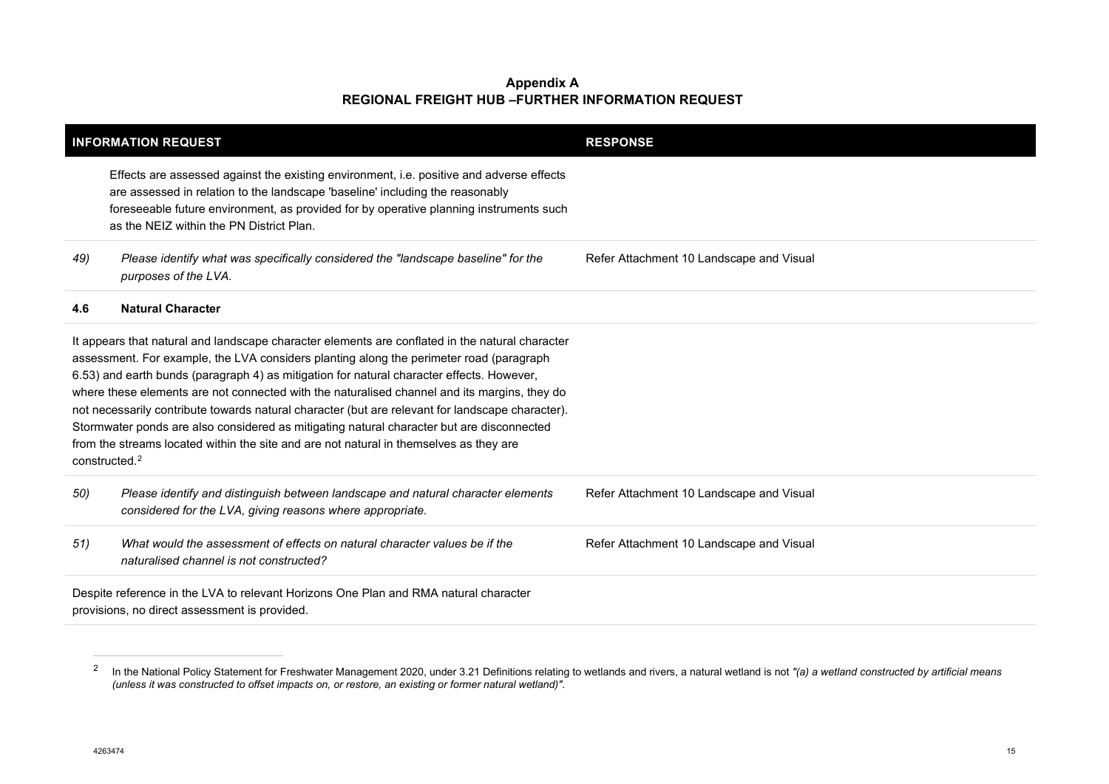<span id="page-14-0"></span>

| <b>INFORMATION REQUEST</b> |                                                                                                                                                                                                                                                                                                                                                                                                                                                                                                                                                                                                                                                                                    | <b>RESPONSE</b>                          |
|----------------------------|------------------------------------------------------------------------------------------------------------------------------------------------------------------------------------------------------------------------------------------------------------------------------------------------------------------------------------------------------------------------------------------------------------------------------------------------------------------------------------------------------------------------------------------------------------------------------------------------------------------------------------------------------------------------------------|------------------------------------------|
|                            | Effects are assessed against the existing environment, i.e. positive and adverse effects<br>are assessed in relation to the landscape 'baseline' including the reasonably<br>foreseeable future environment, as provided for by operative planning instruments such<br>as the NEIZ within the PN District Plan.                                                                                                                                                                                                                                                                                                                                                                    |                                          |
| 49)                        | Please identify what was specifically considered the "landscape baseline" for the<br>purposes of the LVA.                                                                                                                                                                                                                                                                                                                                                                                                                                                                                                                                                                          | Refer Attachment 10 Landscape and Visual |
| 4.6                        | <b>Natural Character</b>                                                                                                                                                                                                                                                                                                                                                                                                                                                                                                                                                                                                                                                           |                                          |
| constructed <sup>2</sup>   | It appears that natural and landscape character elements are conflated in the natural character<br>assessment. For example, the LVA considers planting along the perimeter road (paragraph<br>6.53) and earth bunds (paragraph 4) as mitigation for natural character effects. However,<br>where these elements are not connected with the naturalised channel and its margins, they do<br>not necessarily contribute towards natural character (but are relevant for landscape character).<br>Stormwater ponds are also considered as mitigating natural character but are disconnected<br>from the streams located within the site and are not natural in themselves as they are |                                          |
| 50)                        | Please identify and distinguish between landscape and natural character elements<br>considered for the LVA, giving reasons where appropriate.                                                                                                                                                                                                                                                                                                                                                                                                                                                                                                                                      | Refer Attachment 10 Landscape and Visual |
| 51)                        | What would the assessment of effects on natural character values be if the<br>naturalised channel is not constructed?                                                                                                                                                                                                                                                                                                                                                                                                                                                                                                                                                              | Refer Attachment 10 Landscape and Visual |
|                            | Despite reference in the LVA to relevant Horizons One Plan and RMA natural character<br>provisions, no direct assessment is provided.                                                                                                                                                                                                                                                                                                                                                                                                                                                                                                                                              |                                          |

<sup>&</sup>lt;sup>2</sup> In the National Policy Statement for Freshwater Management 2020, under 3.21 Definitions relating to wetlands and rivers, a natural wetland is not "(a) a wetland constructed by artificial means *(unless it was constructed to offset impacts on, or restore, an existing or former natural wetland)"*.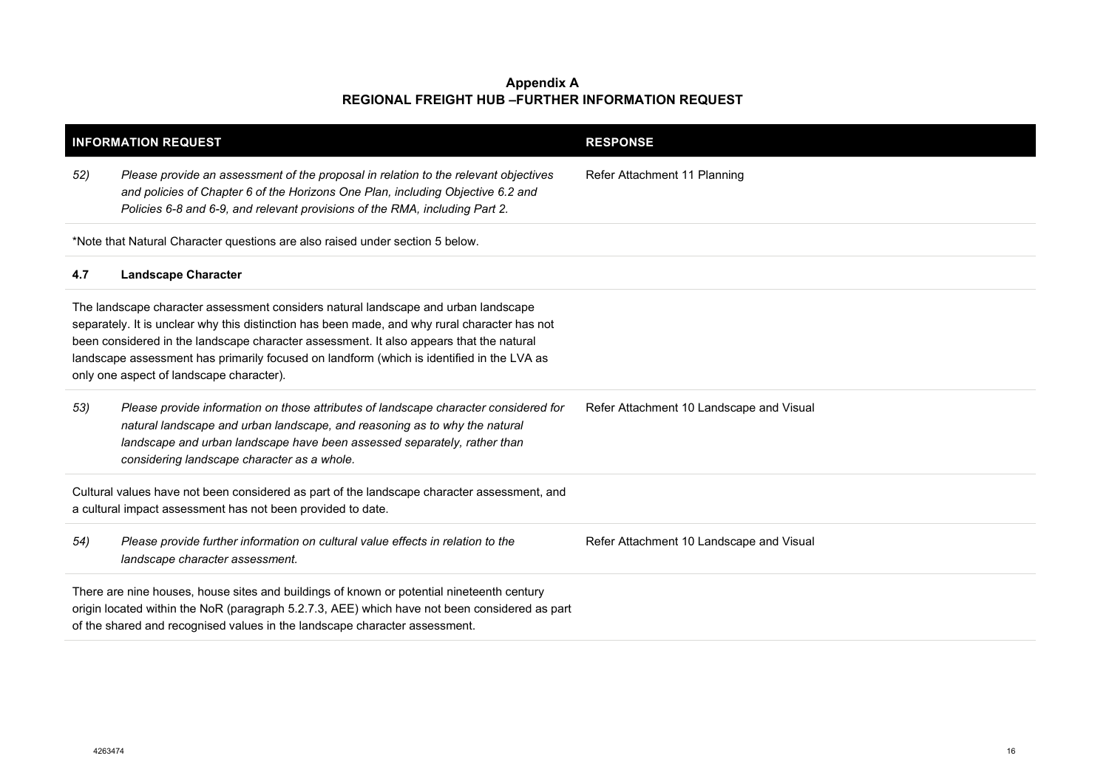| <b>INFORMATION REQUEST</b>                                                                                                                                 |                                                                                                                                                                                                                                                                                                                                                                                                                         | <b>RESPONSE</b>                          |  |
|------------------------------------------------------------------------------------------------------------------------------------------------------------|-------------------------------------------------------------------------------------------------------------------------------------------------------------------------------------------------------------------------------------------------------------------------------------------------------------------------------------------------------------------------------------------------------------------------|------------------------------------------|--|
| 52)                                                                                                                                                        | Please provide an assessment of the proposal in relation to the relevant objectives<br>and policies of Chapter 6 of the Horizons One Plan, including Objective 6.2 and<br>Policies 6-8 and 6-9, and relevant provisions of the RMA, including Part 2.                                                                                                                                                                   | Refer Attachment 11 Planning             |  |
|                                                                                                                                                            | *Note that Natural Character questions are also raised under section 5 below.                                                                                                                                                                                                                                                                                                                                           |                                          |  |
| 4.7                                                                                                                                                        | <b>Landscape Character</b>                                                                                                                                                                                                                                                                                                                                                                                              |                                          |  |
|                                                                                                                                                            | The landscape character assessment considers natural landscape and urban landscape<br>separately. It is unclear why this distinction has been made, and why rural character has not<br>been considered in the landscape character assessment. It also appears that the natural<br>landscape assessment has primarily focused on landform (which is identified in the LVA as<br>only one aspect of landscape character). |                                          |  |
| 53)                                                                                                                                                        | Please provide information on those attributes of landscape character considered for<br>natural landscape and urban landscape, and reasoning as to why the natural<br>landscape and urban landscape have been assessed separately, rather than<br>considering landscape character as a whole.                                                                                                                           | Refer Attachment 10 Landscape and Visual |  |
| Cultural values have not been considered as part of the landscape character assessment, and<br>a cultural impact assessment has not been provided to date. |                                                                                                                                                                                                                                                                                                                                                                                                                         |                                          |  |
| 54)                                                                                                                                                        | Please provide further information on cultural value effects in relation to the<br>landscape character assessment.                                                                                                                                                                                                                                                                                                      | Refer Attachment 10 Landscape and Visual |  |
|                                                                                                                                                            | There are nine houses, house sites and buildings of known or potential nineteenth century<br>origin located within the NoR (paragraph 5.2.7.3, AEE) which have not been considered as part<br>of the shared and recognised values in the landscape character assessment.                                                                                                                                                |                                          |  |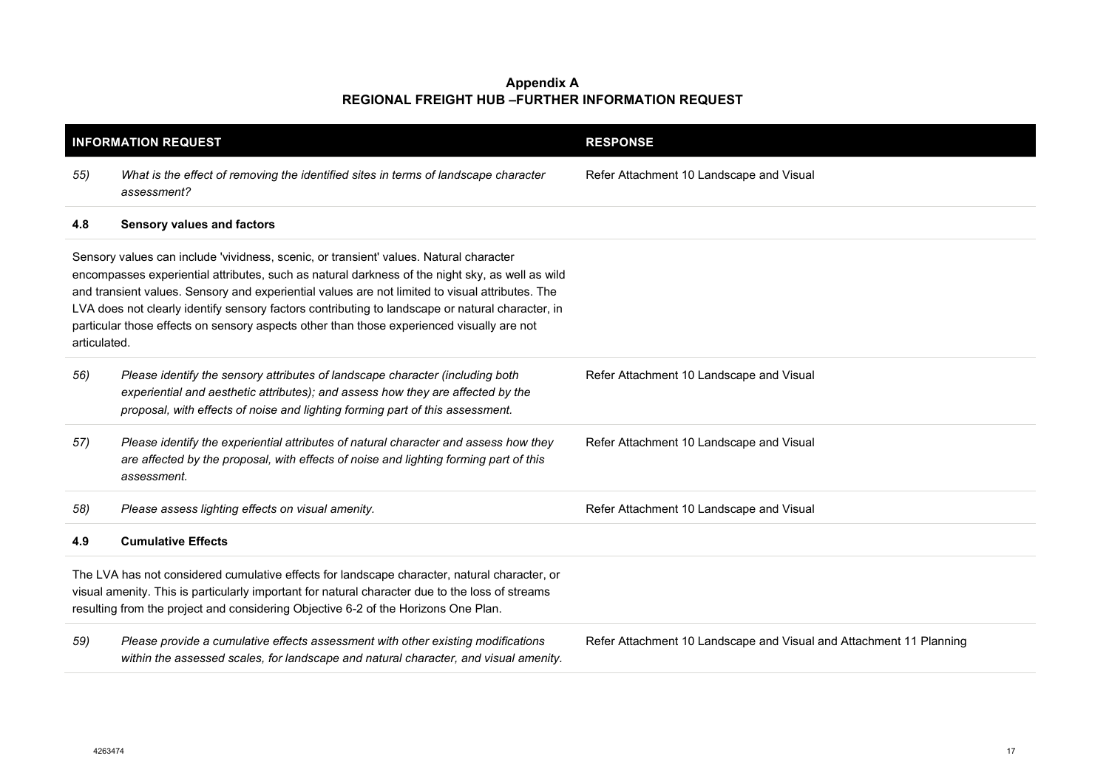| <b>INFORMATION REQUEST</b>                                                                                                                                                                                                                                                            |                                                                                                                                                                                                                                                                                                                                                                                                                                                                                               | <b>RESPONSE</b>                                                     |
|---------------------------------------------------------------------------------------------------------------------------------------------------------------------------------------------------------------------------------------------------------------------------------------|-----------------------------------------------------------------------------------------------------------------------------------------------------------------------------------------------------------------------------------------------------------------------------------------------------------------------------------------------------------------------------------------------------------------------------------------------------------------------------------------------|---------------------------------------------------------------------|
| 55)                                                                                                                                                                                                                                                                                   | What is the effect of removing the identified sites in terms of landscape character<br>assessment?                                                                                                                                                                                                                                                                                                                                                                                            | Refer Attachment 10 Landscape and Visual                            |
| 4.8                                                                                                                                                                                                                                                                                   | <b>Sensory values and factors</b>                                                                                                                                                                                                                                                                                                                                                                                                                                                             |                                                                     |
| articulated.                                                                                                                                                                                                                                                                          | Sensory values can include 'vividness, scenic, or transient' values. Natural character<br>encompasses experiential attributes, such as natural darkness of the night sky, as well as wild<br>and transient values. Sensory and experiential values are not limited to visual attributes. The<br>LVA does not clearly identify sensory factors contributing to landscape or natural character, in<br>particular those effects on sensory aspects other than those experienced visually are not |                                                                     |
| 56)                                                                                                                                                                                                                                                                                   | Please identify the sensory attributes of landscape character (including both<br>experiential and aesthetic attributes); and assess how they are affected by the<br>proposal, with effects of noise and lighting forming part of this assessment.                                                                                                                                                                                                                                             | Refer Attachment 10 Landscape and Visual                            |
| 57)                                                                                                                                                                                                                                                                                   | Please identify the experiential attributes of natural character and assess how they<br>are affected by the proposal, with effects of noise and lighting forming part of this<br>assessment.                                                                                                                                                                                                                                                                                                  | Refer Attachment 10 Landscape and Visual                            |
| 58)                                                                                                                                                                                                                                                                                   | Please assess lighting effects on visual amenity.                                                                                                                                                                                                                                                                                                                                                                                                                                             | Refer Attachment 10 Landscape and Visual                            |
| 4.9                                                                                                                                                                                                                                                                                   | <b>Cumulative Effects</b>                                                                                                                                                                                                                                                                                                                                                                                                                                                                     |                                                                     |
| The LVA has not considered cumulative effects for landscape character, natural character, or<br>visual amenity. This is particularly important for natural character due to the loss of streams<br>resulting from the project and considering Objective 6-2 of the Horizons One Plan. |                                                                                                                                                                                                                                                                                                                                                                                                                                                                                               |                                                                     |
| 59)                                                                                                                                                                                                                                                                                   | Please provide a cumulative effects assessment with other existing modifications<br>within the assessed scales, for landscape and natural character, and visual amenity.                                                                                                                                                                                                                                                                                                                      | Refer Attachment 10 Landscape and Visual and Attachment 11 Planning |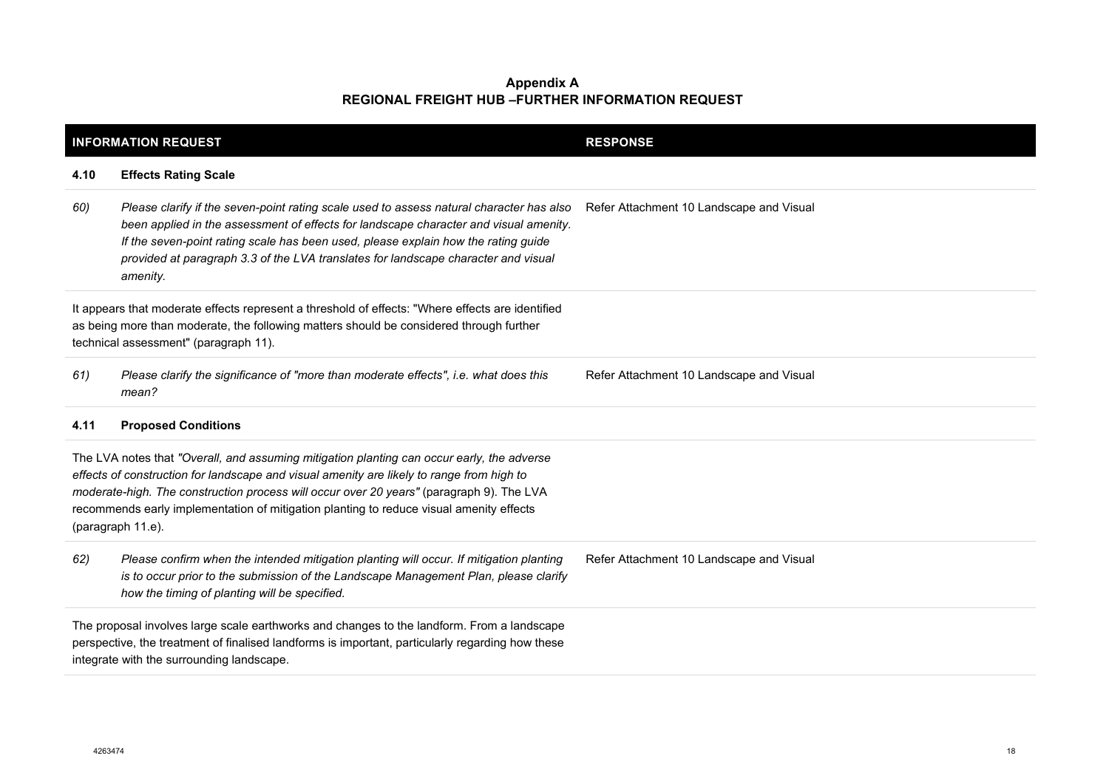| <b>INFORMATION REQUEST</b>                                                                                                                                                                                                                                                                                                                                                                          |                                                                                                                                                                                                                                                                                                                                                                           | <b>RESPONSE</b>                          |  |
|-----------------------------------------------------------------------------------------------------------------------------------------------------------------------------------------------------------------------------------------------------------------------------------------------------------------------------------------------------------------------------------------------------|---------------------------------------------------------------------------------------------------------------------------------------------------------------------------------------------------------------------------------------------------------------------------------------------------------------------------------------------------------------------------|------------------------------------------|--|
| 4.10                                                                                                                                                                                                                                                                                                                                                                                                | <b>Effects Rating Scale</b>                                                                                                                                                                                                                                                                                                                                               |                                          |  |
| 60)                                                                                                                                                                                                                                                                                                                                                                                                 | Please clarify if the seven-point rating scale used to assess natural character has also<br>been applied in the assessment of effects for landscape character and visual amenity.<br>If the seven-point rating scale has been used, please explain how the rating guide<br>provided at paragraph 3.3 of the LVA translates for landscape character and visual<br>amenity. | Refer Attachment 10 Landscape and Visual |  |
| It appears that moderate effects represent a threshold of effects: "Where effects are identified<br>as being more than moderate, the following matters should be considered through further<br>technical assessment" (paragraph 11).                                                                                                                                                                |                                                                                                                                                                                                                                                                                                                                                                           |                                          |  |
| 61)                                                                                                                                                                                                                                                                                                                                                                                                 | Please clarify the significance of "more than moderate effects", i.e. what does this<br>mean?                                                                                                                                                                                                                                                                             | Refer Attachment 10 Landscape and Visual |  |
| 4.11                                                                                                                                                                                                                                                                                                                                                                                                | <b>Proposed Conditions</b>                                                                                                                                                                                                                                                                                                                                                |                                          |  |
| The LVA notes that "Overall, and assuming mitigation planting can occur early, the adverse<br>effects of construction for landscape and visual amenity are likely to range from high to<br>moderate-high. The construction process will occur over 20 years" (paragraph 9). The LVA<br>recommends early implementation of mitigation planting to reduce visual amenity effects<br>(paragraph 11.e). |                                                                                                                                                                                                                                                                                                                                                                           |                                          |  |
| 62)                                                                                                                                                                                                                                                                                                                                                                                                 | Please confirm when the intended mitigation planting will occur. If mitigation planting<br>is to occur prior to the submission of the Landscape Management Plan, please clarify<br>how the timing of planting will be specified.                                                                                                                                          | Refer Attachment 10 Landscape and Visual |  |
|                                                                                                                                                                                                                                                                                                                                                                                                     | The proposal involves large scale earthworks and changes to the landform. From a landscape<br>perspective, the treatment of finalised landforms is important, particularly regarding how these<br>integrate with the surrounding landscape.                                                                                                                               |                                          |  |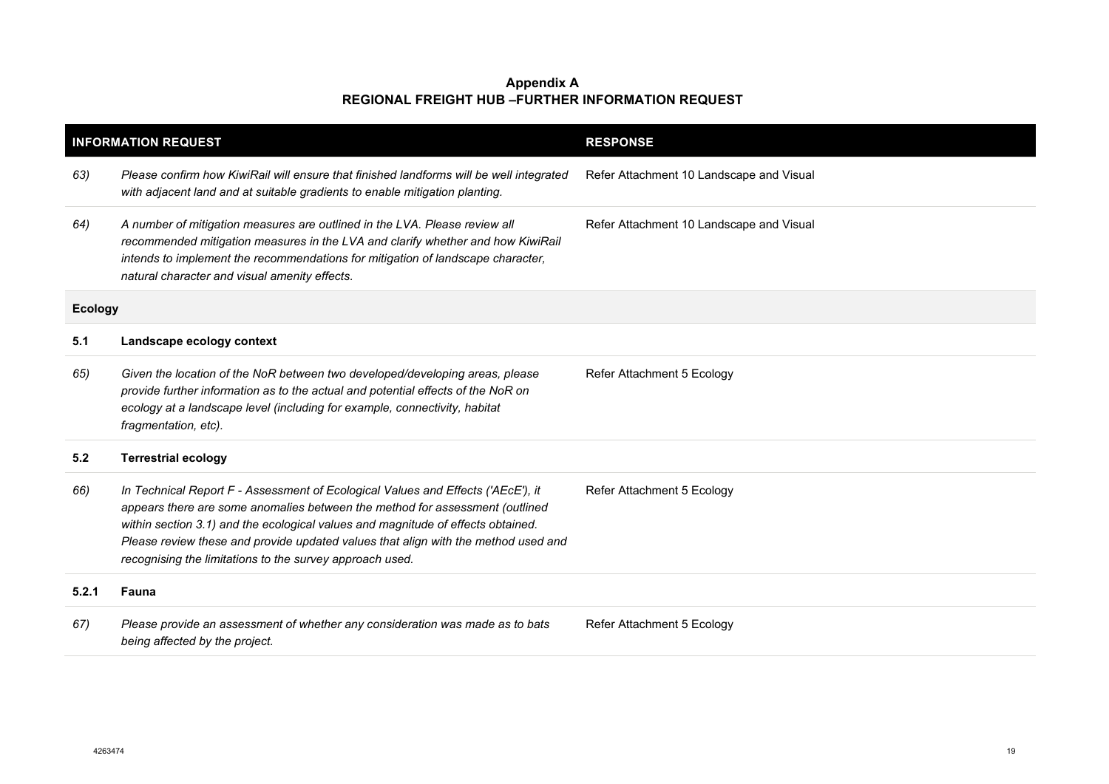| <b>INFORMATION REQUEST</b> |                                                                                                                                                                                                                                                                                                                                                                                                        | <b>RESPONSE</b>                          |
|----------------------------|--------------------------------------------------------------------------------------------------------------------------------------------------------------------------------------------------------------------------------------------------------------------------------------------------------------------------------------------------------------------------------------------------------|------------------------------------------|
| 63)                        | Please confirm how KiwiRail will ensure that finished landforms will be well integrated<br>with adjacent land and at suitable gradients to enable mitigation planting.                                                                                                                                                                                                                                 | Refer Attachment 10 Landscape and Visual |
| 64)                        | A number of mitigation measures are outlined in the LVA. Please review all<br>recommended mitigation measures in the LVA and clarify whether and how KiwiRail<br>intends to implement the recommendations for mitigation of landscape character,<br>natural character and visual amenity effects.                                                                                                      | Refer Attachment 10 Landscape and Visual |
| <b>Ecology</b>             |                                                                                                                                                                                                                                                                                                                                                                                                        |                                          |
| 5.1                        | Landscape ecology context                                                                                                                                                                                                                                                                                                                                                                              |                                          |
| 65)                        | Given the location of the NoR between two developed/developing areas, please<br>provide further information as to the actual and potential effects of the NoR on<br>ecology at a landscape level (including for example, connectivity, habitat<br>fragmentation, etc).                                                                                                                                 | Refer Attachment 5 Ecology               |
| 5.2                        | <b>Terrestrial ecology</b>                                                                                                                                                                                                                                                                                                                                                                             |                                          |
| 66)                        | In Technical Report F - Assessment of Ecological Values and Effects ('AEcE'), it<br>appears there are some anomalies between the method for assessment (outlined<br>within section 3.1) and the ecological values and magnitude of effects obtained.<br>Please review these and provide updated values that align with the method used and<br>recognising the limitations to the survey approach used. | Refer Attachment 5 Ecology               |
| 5.2.1                      | Fauna                                                                                                                                                                                                                                                                                                                                                                                                  |                                          |
| 67)                        | Please provide an assessment of whether any consideration was made as to bats<br>being affected by the project.                                                                                                                                                                                                                                                                                        | Refer Attachment 5 Ecology               |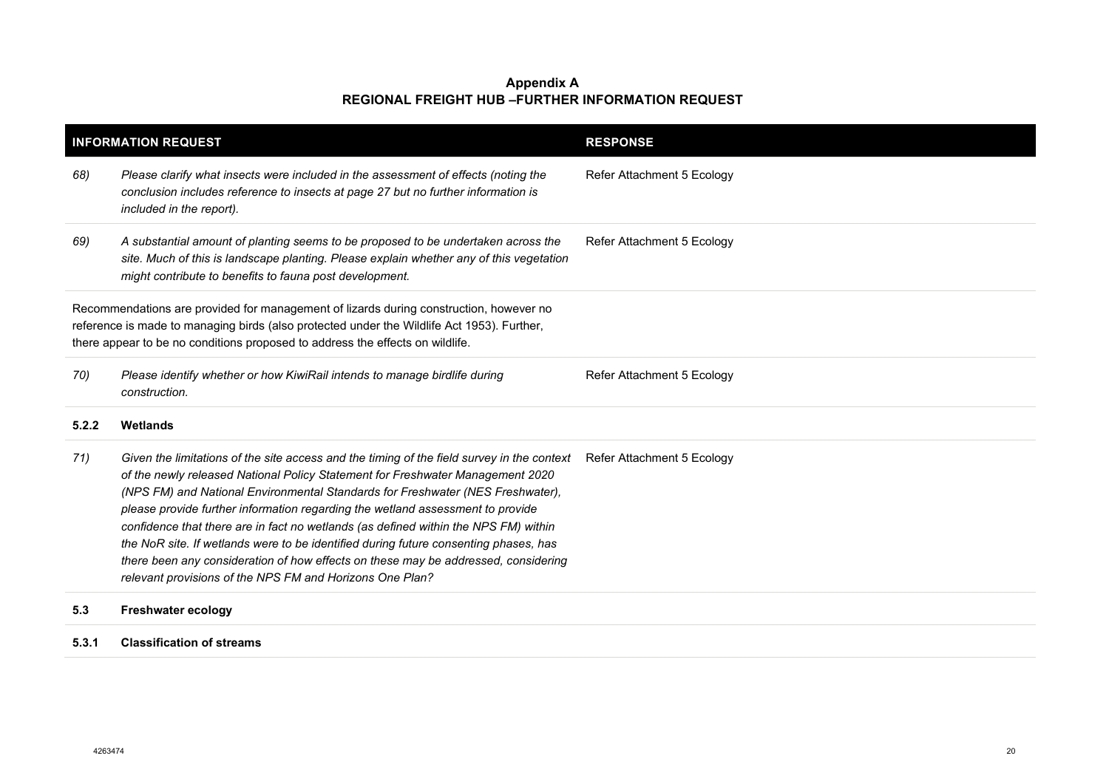|       | <b>INFORMATION REQUEST</b>                                                                                                                                                                                                                                                                                                                                                                                                                                                                                                                                                                                                                                                        | <b>RESPONSE</b>            |
|-------|-----------------------------------------------------------------------------------------------------------------------------------------------------------------------------------------------------------------------------------------------------------------------------------------------------------------------------------------------------------------------------------------------------------------------------------------------------------------------------------------------------------------------------------------------------------------------------------------------------------------------------------------------------------------------------------|----------------------------|
| 68)   | Please clarify what insects were included in the assessment of effects (noting the<br>conclusion includes reference to insects at page 27 but no further information is<br>included in the report).                                                                                                                                                                                                                                                                                                                                                                                                                                                                               | Refer Attachment 5 Ecology |
| 69)   | A substantial amount of planting seems to be proposed to be undertaken across the<br>site. Much of this is landscape planting. Please explain whether any of this vegetation<br>might contribute to benefits to fauna post development.                                                                                                                                                                                                                                                                                                                                                                                                                                           | Refer Attachment 5 Ecology |
|       | Recommendations are provided for management of lizards during construction, however no<br>reference is made to managing birds (also protected under the Wildlife Act 1953). Further,<br>there appear to be no conditions proposed to address the effects on wildlife.                                                                                                                                                                                                                                                                                                                                                                                                             |                            |
| 70)   | Please identify whether or how KiwiRail intends to manage birdlife during<br>construction.                                                                                                                                                                                                                                                                                                                                                                                                                                                                                                                                                                                        | Refer Attachment 5 Ecology |
| 5.2.2 | Wetlands                                                                                                                                                                                                                                                                                                                                                                                                                                                                                                                                                                                                                                                                          |                            |
| 71)   | Given the limitations of the site access and the timing of the field survey in the context<br>of the newly released National Policy Statement for Freshwater Management 2020<br>(NPS FM) and National Environmental Standards for Freshwater (NES Freshwater),<br>please provide further information regarding the wetland assessment to provide<br>confidence that there are in fact no wetlands (as defined within the NPS FM) within<br>the NoR site. If wetlands were to be identified during future consenting phases, has<br>there been any consideration of how effects on these may be addressed, considering<br>relevant provisions of the NPS FM and Horizons One Plan? | Refer Attachment 5 Ecology |
| 5.3   | <b>Freshwater ecology</b>                                                                                                                                                                                                                                                                                                                                                                                                                                                                                                                                                                                                                                                         |                            |

# **5.3.1 Classification of streams**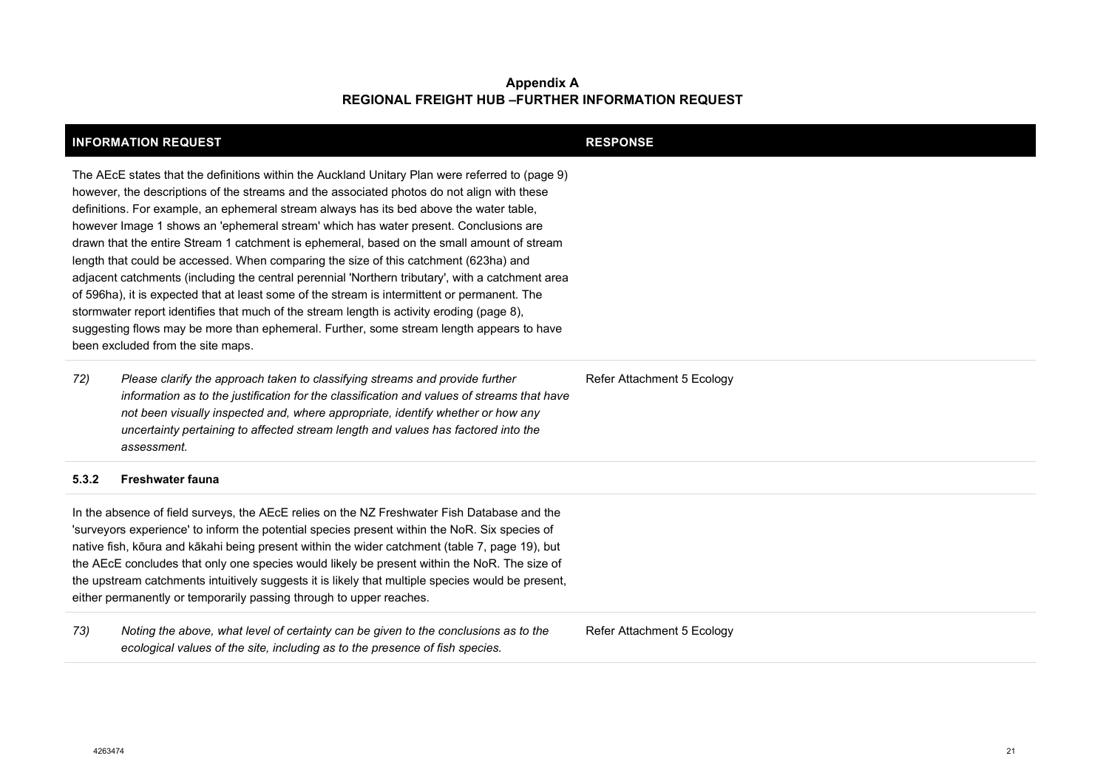| <b>INFORMATION REQUEST</b>                                                                                                                                                                                                                                                                                                                                                                                                                                                                                                                                                                                                                                                                                                                                                                                                                                                                                                                                                                               |                                                                                                                                                                                                                                                                                                                                                                                                                                                                                                                                                                            | <b>RESPONSE</b>            |
|----------------------------------------------------------------------------------------------------------------------------------------------------------------------------------------------------------------------------------------------------------------------------------------------------------------------------------------------------------------------------------------------------------------------------------------------------------------------------------------------------------------------------------------------------------------------------------------------------------------------------------------------------------------------------------------------------------------------------------------------------------------------------------------------------------------------------------------------------------------------------------------------------------------------------------------------------------------------------------------------------------|----------------------------------------------------------------------------------------------------------------------------------------------------------------------------------------------------------------------------------------------------------------------------------------------------------------------------------------------------------------------------------------------------------------------------------------------------------------------------------------------------------------------------------------------------------------------------|----------------------------|
| The AEcE states that the definitions within the Auckland Unitary Plan were referred to (page 9)<br>however, the descriptions of the streams and the associated photos do not align with these<br>definitions. For example, an ephemeral stream always has its bed above the water table,<br>however Image 1 shows an 'ephemeral stream' which has water present. Conclusions are<br>drawn that the entire Stream 1 catchment is ephemeral, based on the small amount of stream<br>length that could be accessed. When comparing the size of this catchment (623ha) and<br>adjacent catchments (including the central perennial 'Northern tributary', with a catchment area<br>of 596ha), it is expected that at least some of the stream is intermittent or permanent. The<br>stormwater report identifies that much of the stream length is activity eroding (page 8),<br>suggesting flows may be more than ephemeral. Further, some stream length appears to have<br>been excluded from the site maps. |                                                                                                                                                                                                                                                                                                                                                                                                                                                                                                                                                                            |                            |
| 72)                                                                                                                                                                                                                                                                                                                                                                                                                                                                                                                                                                                                                                                                                                                                                                                                                                                                                                                                                                                                      | Please clarify the approach taken to classifying streams and provide further<br>information as to the justification for the classification and values of streams that have<br>not been visually inspected and, where appropriate, identify whether or how any<br>uncertainty pertaining to affected stream length and values has factored into the<br>assessment.                                                                                                                                                                                                          | Refer Attachment 5 Ecology |
| 5.3.2                                                                                                                                                                                                                                                                                                                                                                                                                                                                                                                                                                                                                                                                                                                                                                                                                                                                                                                                                                                                    | <b>Freshwater fauna</b>                                                                                                                                                                                                                                                                                                                                                                                                                                                                                                                                                    |                            |
|                                                                                                                                                                                                                                                                                                                                                                                                                                                                                                                                                                                                                                                                                                                                                                                                                                                                                                                                                                                                          | In the absence of field surveys, the AEcE relies on the NZ Freshwater Fish Database and the<br>'surveyors experience' to inform the potential species present within the NoR. Six species of<br>native fish, kōura and kākahi being present within the wider catchment (table 7, page 19), but<br>the AEcE concludes that only one species would likely be present within the NoR. The size of<br>the upstream catchments intuitively suggests it is likely that multiple species would be present,<br>either permanently or temporarily passing through to upper reaches. |                            |
| 73)                                                                                                                                                                                                                                                                                                                                                                                                                                                                                                                                                                                                                                                                                                                                                                                                                                                                                                                                                                                                      | Noting the above, what level of certainty can be given to the conclusions as to the<br>ecological values of the site, including as to the presence of fish species.                                                                                                                                                                                                                                                                                                                                                                                                        | Refer Attachment 5 Ecology |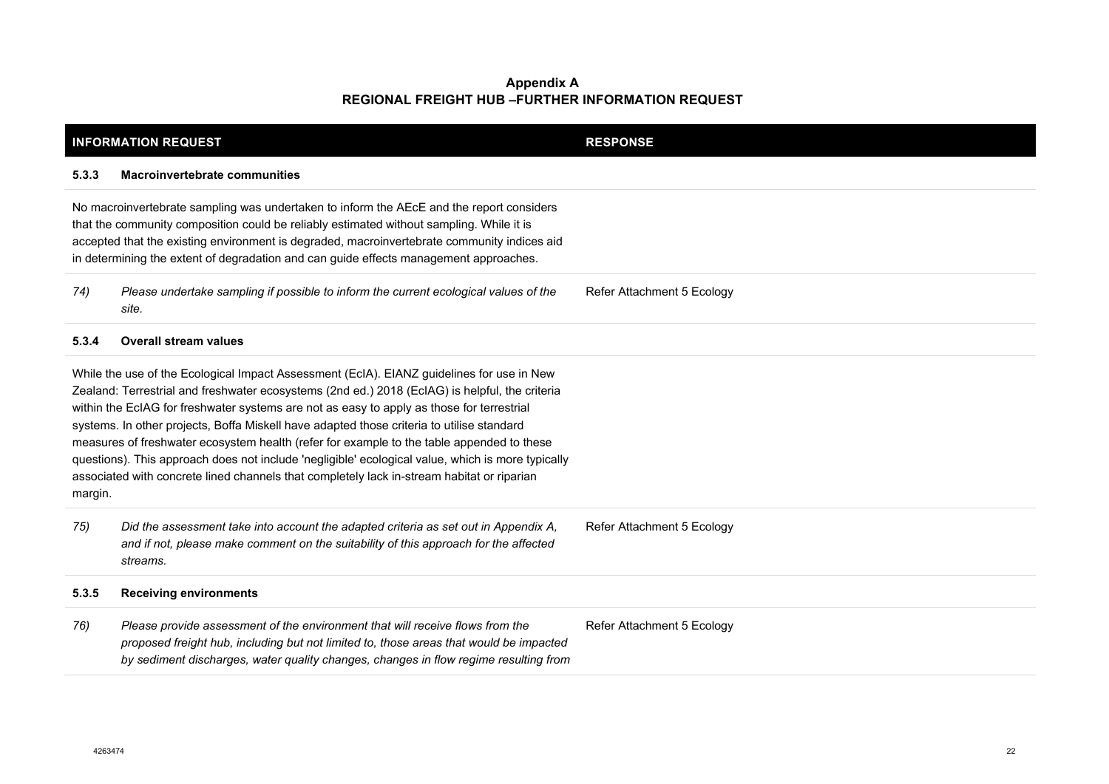|                                                                                                                                                                                                                                                                                                                                                                              | <b>INFORMATION REQUEST</b>                                                                                                                                                                                                                                                                                                                                                                                                                                                                                                                                                                                                                                                            | <b>RESPONSE</b>            |
|------------------------------------------------------------------------------------------------------------------------------------------------------------------------------------------------------------------------------------------------------------------------------------------------------------------------------------------------------------------------------|---------------------------------------------------------------------------------------------------------------------------------------------------------------------------------------------------------------------------------------------------------------------------------------------------------------------------------------------------------------------------------------------------------------------------------------------------------------------------------------------------------------------------------------------------------------------------------------------------------------------------------------------------------------------------------------|----------------------------|
| 5.3.3                                                                                                                                                                                                                                                                                                                                                                        | <b>Macroinvertebrate communities</b>                                                                                                                                                                                                                                                                                                                                                                                                                                                                                                                                                                                                                                                  |                            |
| No macroinvertebrate sampling was undertaken to inform the AEcE and the report considers<br>that the community composition could be reliably estimated without sampling. While it is<br>accepted that the existing environment is degraded, macroinvertebrate community indices aid<br>in determining the extent of degradation and can guide effects management approaches. |                                                                                                                                                                                                                                                                                                                                                                                                                                                                                                                                                                                                                                                                                       |                            |
| 74)                                                                                                                                                                                                                                                                                                                                                                          | Please undertake sampling if possible to inform the current ecological values of the<br>site.                                                                                                                                                                                                                                                                                                                                                                                                                                                                                                                                                                                         | Refer Attachment 5 Ecology |
| 5.3.4                                                                                                                                                                                                                                                                                                                                                                        | <b>Overall stream values</b>                                                                                                                                                                                                                                                                                                                                                                                                                                                                                                                                                                                                                                                          |                            |
| margin.                                                                                                                                                                                                                                                                                                                                                                      | While the use of the Ecological Impact Assessment (EcIA). EIANZ guidelines for use in New<br>Zealand: Terrestrial and freshwater ecosystems (2nd ed.) 2018 (EcIAG) is helpful, the criteria<br>within the EcIAG for freshwater systems are not as easy to apply as those for terrestrial<br>systems. In other projects, Boffa Miskell have adapted those criteria to utilise standard<br>measures of freshwater ecosystem health (refer for example to the table appended to these<br>questions). This approach does not include 'negligible' ecological value, which is more typically<br>associated with concrete lined channels that completely lack in-stream habitat or riparian |                            |
| 75)                                                                                                                                                                                                                                                                                                                                                                          | Did the assessment take into account the adapted criteria as set out in Appendix A,<br>and if not, please make comment on the suitability of this approach for the affected<br>streams.                                                                                                                                                                                                                                                                                                                                                                                                                                                                                               | Refer Attachment 5 Ecology |
| 5.3.5                                                                                                                                                                                                                                                                                                                                                                        | <b>Receiving environments</b>                                                                                                                                                                                                                                                                                                                                                                                                                                                                                                                                                                                                                                                         |                            |
| 76)                                                                                                                                                                                                                                                                                                                                                                          | Please provide assessment of the environment that will receive flows from the<br>proposed freight hub, including but not limited to, those areas that would be impacted<br>by sediment discharges, water quality changes, changes in flow regime resulting from                                                                                                                                                                                                                                                                                                                                                                                                                       | Refer Attachment 5 Ecology |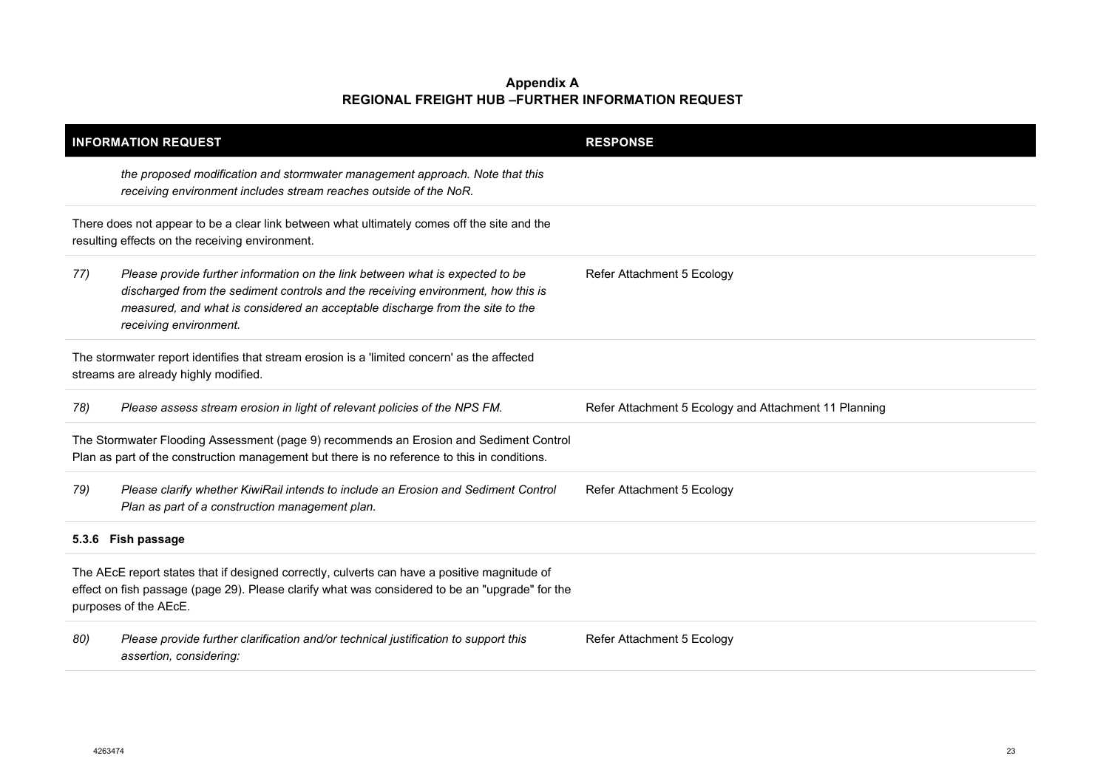| <b>INFORMATION REQUEST</b>                                                                                                                                                                                               |                                                                                                                                                                                                                                                                              | <b>RESPONSE</b>                                       |
|--------------------------------------------------------------------------------------------------------------------------------------------------------------------------------------------------------------------------|------------------------------------------------------------------------------------------------------------------------------------------------------------------------------------------------------------------------------------------------------------------------------|-------------------------------------------------------|
|                                                                                                                                                                                                                          | the proposed modification and stormwater management approach. Note that this<br>receiving environment includes stream reaches outside of the NoR.                                                                                                                            |                                                       |
|                                                                                                                                                                                                                          | There does not appear to be a clear link between what ultimately comes off the site and the<br>resulting effects on the receiving environment.                                                                                                                               |                                                       |
| 77)                                                                                                                                                                                                                      | Please provide further information on the link between what is expected to be<br>discharged from the sediment controls and the receiving environment, how this is<br>measured, and what is considered an acceptable discharge from the site to the<br>receiving environment. | Refer Attachment 5 Ecology                            |
| The stormwater report identifies that stream erosion is a 'limited concern' as the affected<br>streams are already highly modified.                                                                                      |                                                                                                                                                                                                                                                                              |                                                       |
| 78)                                                                                                                                                                                                                      | Please assess stream erosion in light of relevant policies of the NPS FM.                                                                                                                                                                                                    | Refer Attachment 5 Ecology and Attachment 11 Planning |
| The Stormwater Flooding Assessment (page 9) recommends an Erosion and Sediment Control<br>Plan as part of the construction management but there is no reference to this in conditions.                                   |                                                                                                                                                                                                                                                                              |                                                       |
| 79)                                                                                                                                                                                                                      | Please clarify whether KiwiRail intends to include an Erosion and Sediment Control<br>Plan as part of a construction management plan.                                                                                                                                        | Refer Attachment 5 Ecology                            |
| 5.3.6 Fish passage                                                                                                                                                                                                       |                                                                                                                                                                                                                                                                              |                                                       |
| The AEcE report states that if designed correctly, culverts can have a positive magnitude of<br>effect on fish passage (page 29). Please clarify what was considered to be an "upgrade" for the<br>purposes of the AEcE. |                                                                                                                                                                                                                                                                              |                                                       |
| 80)                                                                                                                                                                                                                      | Please provide further clarification and/or technical justification to support this<br>assertion, considering:                                                                                                                                                               | Refer Attachment 5 Ecology                            |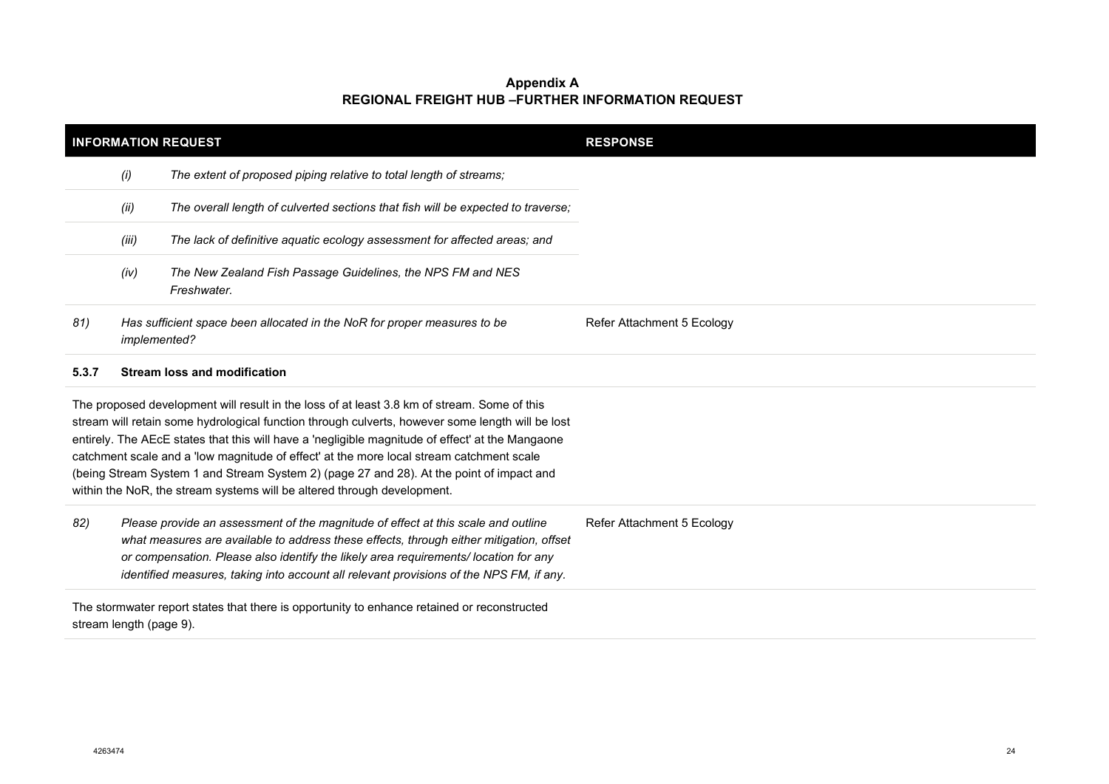| <b>INFORMATION REQUEST</b> |                         |                                                                                                                                                                                                                                                                                                                                                                                                                                                                                                                                                                        | <b>RESPONSE</b>            |
|----------------------------|-------------------------|------------------------------------------------------------------------------------------------------------------------------------------------------------------------------------------------------------------------------------------------------------------------------------------------------------------------------------------------------------------------------------------------------------------------------------------------------------------------------------------------------------------------------------------------------------------------|----------------------------|
|                            | (i)                     | The extent of proposed piping relative to total length of streams;                                                                                                                                                                                                                                                                                                                                                                                                                                                                                                     |                            |
|                            | (ii)                    | The overall length of culverted sections that fish will be expected to traverse;                                                                                                                                                                                                                                                                                                                                                                                                                                                                                       |                            |
|                            | (iii)                   | The lack of definitive aquatic ecology assessment for affected areas; and                                                                                                                                                                                                                                                                                                                                                                                                                                                                                              |                            |
|                            | (iv)                    | The New Zealand Fish Passage Guidelines, the NPS FM and NES<br>Freshwater.                                                                                                                                                                                                                                                                                                                                                                                                                                                                                             |                            |
| 81)                        | implemented?            | Has sufficient space been allocated in the NoR for proper measures to be                                                                                                                                                                                                                                                                                                                                                                                                                                                                                               | Refer Attachment 5 Ecology |
| 5.3.7                      |                         | <b>Stream loss and modification</b>                                                                                                                                                                                                                                                                                                                                                                                                                                                                                                                                    |                            |
|                            |                         | The proposed development will result in the loss of at least 3.8 km of stream. Some of this<br>stream will retain some hydrological function through culverts, however some length will be lost<br>entirely. The AEcE states that this will have a 'negligible magnitude of effect' at the Mangaone<br>catchment scale and a 'low magnitude of effect' at the more local stream catchment scale<br>(being Stream System 1 and Stream System 2) (page 27 and 28). At the point of impact and<br>within the NoR, the stream systems will be altered through development. |                            |
| 82)                        |                         | Please provide an assessment of the magnitude of effect at this scale and outline<br>what measures are available to address these effects, through either mitigation, offset<br>or compensation. Please also identify the likely area requirements/location for any<br>identified measures, taking into account all relevant provisions of the NPS FM, if any.                                                                                                                                                                                                         | Refer Attachment 5 Ecology |
|                            | stream length (page 9). | The stormwater report states that there is opportunity to enhance retained or reconstructed                                                                                                                                                                                                                                                                                                                                                                                                                                                                            |                            |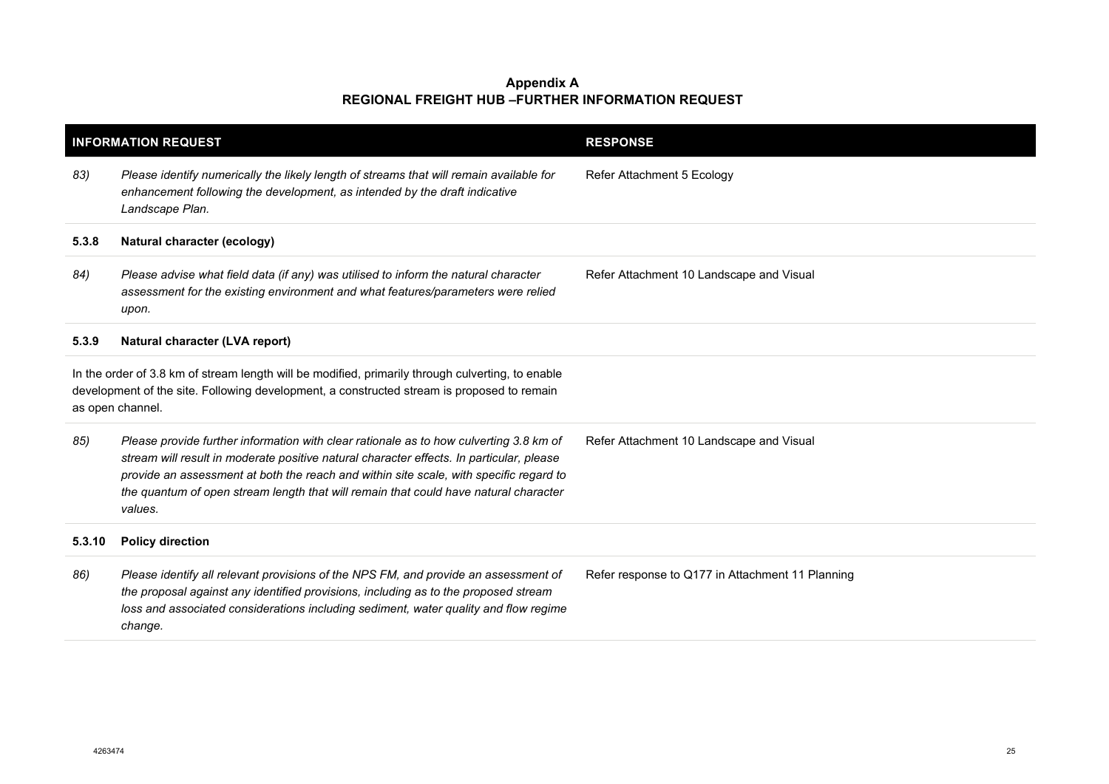| <b>INFORMATION REQUEST</b>                                                                                                                                                                                          |                                                                                                                                                                                                                                                                                                                                                                                 | <b>RESPONSE</b>                                  |
|---------------------------------------------------------------------------------------------------------------------------------------------------------------------------------------------------------------------|---------------------------------------------------------------------------------------------------------------------------------------------------------------------------------------------------------------------------------------------------------------------------------------------------------------------------------------------------------------------------------|--------------------------------------------------|
| 83)                                                                                                                                                                                                                 | Please identify numerically the likely length of streams that will remain available for<br>enhancement following the development, as intended by the draft indicative<br>Landscape Plan.                                                                                                                                                                                        | Refer Attachment 5 Ecology                       |
| 5.3.8                                                                                                                                                                                                               | Natural character (ecology)                                                                                                                                                                                                                                                                                                                                                     |                                                  |
| 84)                                                                                                                                                                                                                 | Please advise what field data (if any) was utilised to inform the natural character<br>assessment for the existing environment and what features/parameters were relied<br>upon.                                                                                                                                                                                                | Refer Attachment 10 Landscape and Visual         |
| 5.3.9                                                                                                                                                                                                               | Natural character (LVA report)                                                                                                                                                                                                                                                                                                                                                  |                                                  |
| In the order of 3.8 km of stream length will be modified, primarily through culverting, to enable<br>development of the site. Following development, a constructed stream is proposed to remain<br>as open channel. |                                                                                                                                                                                                                                                                                                                                                                                 |                                                  |
| 85)                                                                                                                                                                                                                 | Please provide further information with clear rationale as to how culverting 3.8 km of<br>stream will result in moderate positive natural character effects. In particular, please<br>provide an assessment at both the reach and within site scale, with specific regard to<br>the quantum of open stream length that will remain that could have natural character<br>values. | Refer Attachment 10 Landscape and Visual         |
| 5.3.10                                                                                                                                                                                                              | <b>Policy direction</b>                                                                                                                                                                                                                                                                                                                                                         |                                                  |
| 86)                                                                                                                                                                                                                 | Please identify all relevant provisions of the NPS FM, and provide an assessment of<br>the proposal against any identified provisions, including as to the proposed stream<br>loss and associated considerations including sediment, water quality and flow regime<br>change.                                                                                                   | Refer response to Q177 in Attachment 11 Planning |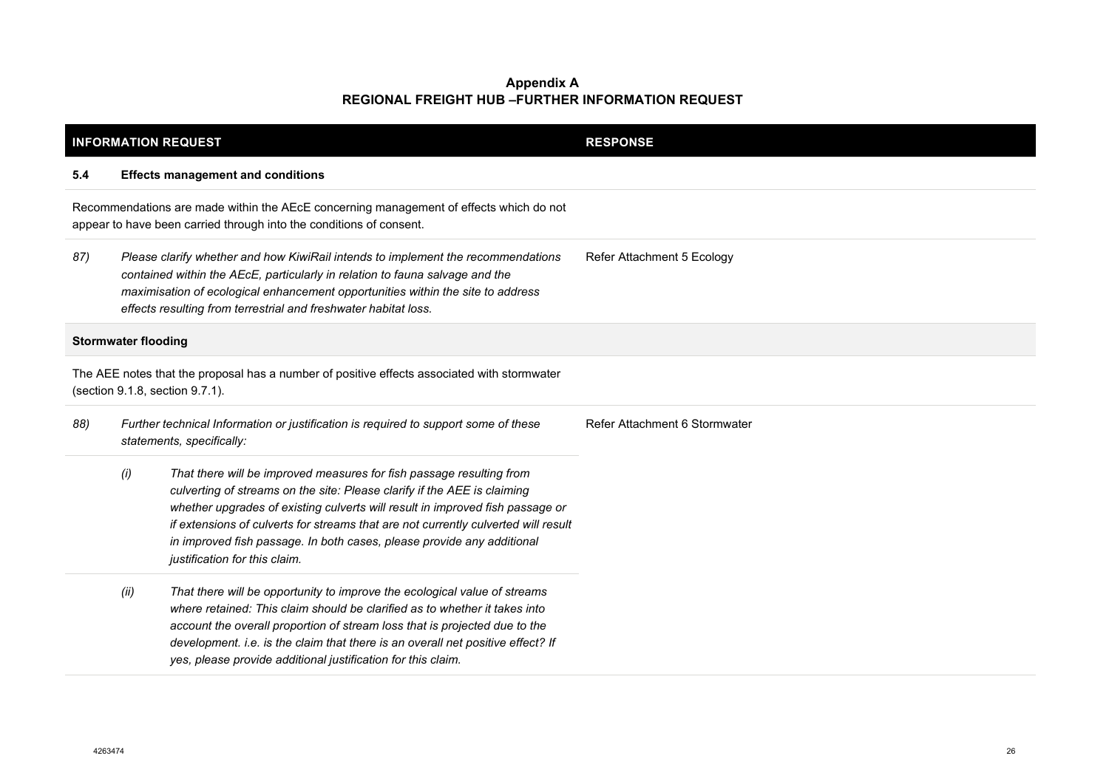| <b>INFORMATION REQUEST</b>                                                                                                                                    |                                                                                                                  |                                                                                                                                                                                                                                                                                                                                                                                                                                    | <b>RESPONSE</b>               |
|---------------------------------------------------------------------------------------------------------------------------------------------------------------|------------------------------------------------------------------------------------------------------------------|------------------------------------------------------------------------------------------------------------------------------------------------------------------------------------------------------------------------------------------------------------------------------------------------------------------------------------------------------------------------------------------------------------------------------------|-------------------------------|
| 5.4                                                                                                                                                           |                                                                                                                  | <b>Effects management and conditions</b>                                                                                                                                                                                                                                                                                                                                                                                           |                               |
| Recommendations are made within the AEcE concerning management of effects which do not<br>appear to have been carried through into the conditions of consent. |                                                                                                                  |                                                                                                                                                                                                                                                                                                                                                                                                                                    |                               |
| 87)                                                                                                                                                           |                                                                                                                  | Please clarify whether and how KiwiRail intends to implement the recommendations<br>contained within the AEcE, particularly in relation to fauna salvage and the<br>maximisation of ecological enhancement opportunities within the site to address<br>effects resulting from terrestrial and freshwater habitat loss.                                                                                                             | Refer Attachment 5 Ecology    |
|                                                                                                                                                               | <b>Stormwater flooding</b>                                                                                       |                                                                                                                                                                                                                                                                                                                                                                                                                                    |                               |
| The AEE notes that the proposal has a number of positive effects associated with stormwater<br>(section 9.1.8, section 9.7.1).                                |                                                                                                                  |                                                                                                                                                                                                                                                                                                                                                                                                                                    |                               |
| 88)                                                                                                                                                           | Further technical Information or justification is required to support some of these<br>statements, specifically: |                                                                                                                                                                                                                                                                                                                                                                                                                                    | Refer Attachment 6 Stormwater |
|                                                                                                                                                               | (i)                                                                                                              | That there will be improved measures for fish passage resulting from<br>culverting of streams on the site: Please clarify if the AEE is claiming<br>whether upgrades of existing culverts will result in improved fish passage or<br>if extensions of culverts for streams that are not currently culverted will result<br>in improved fish passage. In both cases, please provide any additional<br>justification for this claim. |                               |
|                                                                                                                                                               | (ii)                                                                                                             | That there will be opportunity to improve the ecological value of streams<br>where retained: This claim should be clarified as to whether it takes into<br>account the overall proportion of stream loss that is projected due to the<br>development. i.e. is the claim that there is an overall net positive effect? If<br>yes, please provide additional justification for this claim.                                           |                               |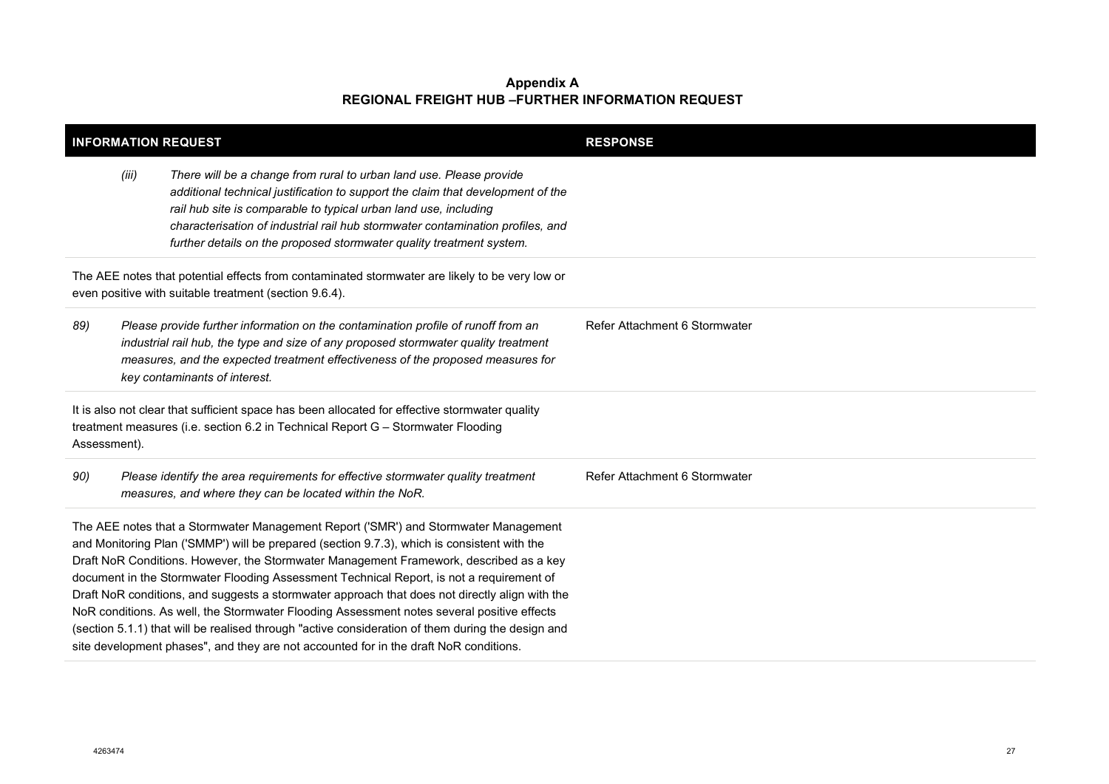| <b>INFORMATION REQUEST</b>                                                                                                                                                                                                                                                                                                                                                                                                                                                                                                                                                                                                                                                                                                                                             |       |                                                                                                                                                                                                                                                                                                                                                                                      | <b>RESPONSE</b>               |
|------------------------------------------------------------------------------------------------------------------------------------------------------------------------------------------------------------------------------------------------------------------------------------------------------------------------------------------------------------------------------------------------------------------------------------------------------------------------------------------------------------------------------------------------------------------------------------------------------------------------------------------------------------------------------------------------------------------------------------------------------------------------|-------|--------------------------------------------------------------------------------------------------------------------------------------------------------------------------------------------------------------------------------------------------------------------------------------------------------------------------------------------------------------------------------------|-------------------------------|
|                                                                                                                                                                                                                                                                                                                                                                                                                                                                                                                                                                                                                                                                                                                                                                        | (iii) | There will be a change from rural to urban land use. Please provide<br>additional technical justification to support the claim that development of the<br>rail hub site is comparable to typical urban land use, including<br>characterisation of industrial rail hub stormwater contamination profiles, and<br>further details on the proposed stormwater quality treatment system. |                               |
|                                                                                                                                                                                                                                                                                                                                                                                                                                                                                                                                                                                                                                                                                                                                                                        |       | The AEE notes that potential effects from contaminated stormwater are likely to be very low or<br>even positive with suitable treatment (section 9.6.4).                                                                                                                                                                                                                             |                               |
| 89)                                                                                                                                                                                                                                                                                                                                                                                                                                                                                                                                                                                                                                                                                                                                                                    |       | Please provide further information on the contamination profile of runoff from an<br>industrial rail hub, the type and size of any proposed stormwater quality treatment<br>measures, and the expected treatment effectiveness of the proposed measures for<br>key contaminants of interest.                                                                                         | Refer Attachment 6 Stormwater |
| Assessment).                                                                                                                                                                                                                                                                                                                                                                                                                                                                                                                                                                                                                                                                                                                                                           |       | It is also not clear that sufficient space has been allocated for effective stormwater quality<br>treatment measures (i.e. section 6.2 in Technical Report G - Stormwater Flooding                                                                                                                                                                                                   |                               |
| 90)                                                                                                                                                                                                                                                                                                                                                                                                                                                                                                                                                                                                                                                                                                                                                                    |       | Please identify the area requirements for effective stormwater quality treatment<br>measures, and where they can be located within the NoR.                                                                                                                                                                                                                                          | Refer Attachment 6 Stormwater |
| The AEE notes that a Stormwater Management Report ('SMR') and Stormwater Management<br>and Monitoring Plan ('SMMP') will be prepared (section 9.7.3), which is consistent with the<br>Draft NoR Conditions. However, the Stormwater Management Framework, described as a key<br>document in the Stormwater Flooding Assessment Technical Report, is not a requirement of<br>Draft NoR conditions, and suggests a stormwater approach that does not directly align with the<br>NoR conditions. As well, the Stormwater Flooding Assessment notes several positive effects<br>(section 5.1.1) that will be realised through "active consideration of them during the design and<br>site development phases", and they are not accounted for in the draft NoR conditions. |       |                                                                                                                                                                                                                                                                                                                                                                                      |                               |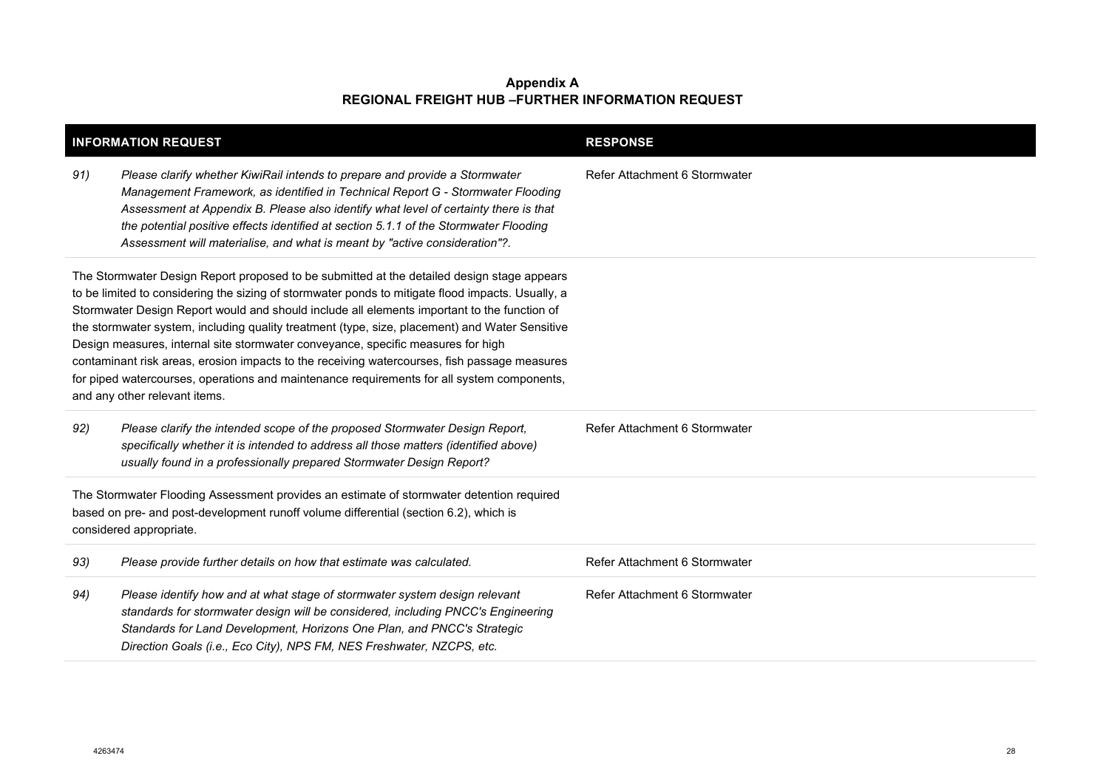| <b>INFORMATION REQUEST</b>                                                                                                                                                                                   |                                                                                                                                                                                                                                                                                                                                                                                                                                                                                                                                                                                                                                                                                                                     | <b>RESPONSE</b>               |
|--------------------------------------------------------------------------------------------------------------------------------------------------------------------------------------------------------------|---------------------------------------------------------------------------------------------------------------------------------------------------------------------------------------------------------------------------------------------------------------------------------------------------------------------------------------------------------------------------------------------------------------------------------------------------------------------------------------------------------------------------------------------------------------------------------------------------------------------------------------------------------------------------------------------------------------------|-------------------------------|
| 91)                                                                                                                                                                                                          | Please clarify whether KiwiRail intends to prepare and provide a Stormwater<br>Management Framework, as identified in Technical Report G - Stormwater Flooding<br>Assessment at Appendix B. Please also identify what level of certainty there is that<br>the potential positive effects identified at section 5.1.1 of the Stormwater Flooding<br>Assessment will materialise, and what is meant by "active consideration"?.                                                                                                                                                                                                                                                                                       | Refer Attachment 6 Stormwater |
|                                                                                                                                                                                                              | The Stormwater Design Report proposed to be submitted at the detailed design stage appears<br>to be limited to considering the sizing of stormwater ponds to mitigate flood impacts. Usually, a<br>Stormwater Design Report would and should include all elements important to the function of<br>the stormwater system, including quality treatment (type, size, placement) and Water Sensitive<br>Design measures, internal site stormwater conveyance, specific measures for high<br>contaminant risk areas, erosion impacts to the receiving watercourses, fish passage measures<br>for piped watercourses, operations and maintenance requirements for all system components,<br>and any other relevant items. |                               |
| 92)                                                                                                                                                                                                          | Please clarify the intended scope of the proposed Stormwater Design Report,<br>specifically whether it is intended to address all those matters (identified above)<br>usually found in a professionally prepared Stormwater Design Report?                                                                                                                                                                                                                                                                                                                                                                                                                                                                          | Refer Attachment 6 Stormwater |
| The Stormwater Flooding Assessment provides an estimate of stormwater detention required<br>based on pre- and post-development runoff volume differential (section 6.2), which is<br>considered appropriate. |                                                                                                                                                                                                                                                                                                                                                                                                                                                                                                                                                                                                                                                                                                                     |                               |
| 93)                                                                                                                                                                                                          | Please provide further details on how that estimate was calculated.                                                                                                                                                                                                                                                                                                                                                                                                                                                                                                                                                                                                                                                 | Refer Attachment 6 Stormwater |
| 94)                                                                                                                                                                                                          | Please identify how and at what stage of stormwater system design relevant<br>standards for stormwater design will be considered, including PNCC's Engineering<br>Standards for Land Development, Horizons One Plan, and PNCC's Strategic<br>Direction Goals (i.e., Eco City), NPS FM, NES Freshwater, NZCPS, etc.                                                                                                                                                                                                                                                                                                                                                                                                  | Refer Attachment 6 Stormwater |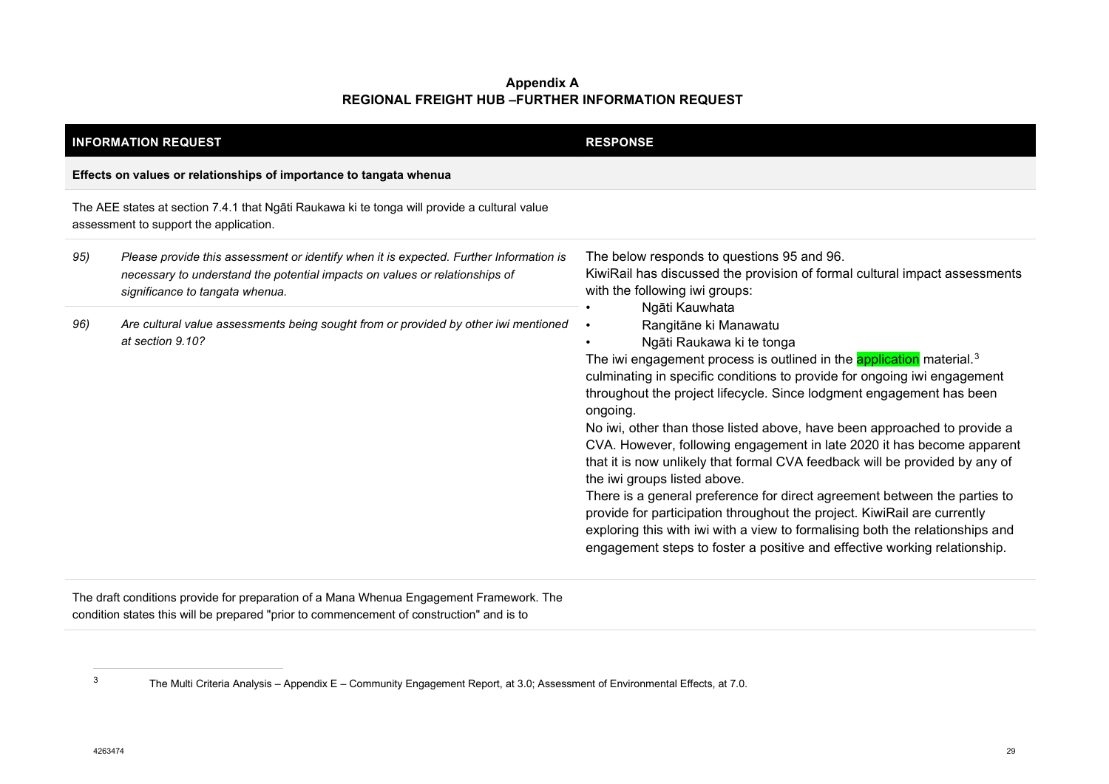<span id="page-28-0"></span>

| <b>INFORMATION REQUEST</b> |                                                                                                                                                                                                          | <b>RESPONSE</b>                                                                                                                                                                                                                                                                                                                                                                                                                                                                                                                                                                                                                                                                                                                                                                                                                                                                                                                          |
|----------------------------|----------------------------------------------------------------------------------------------------------------------------------------------------------------------------------------------------------|------------------------------------------------------------------------------------------------------------------------------------------------------------------------------------------------------------------------------------------------------------------------------------------------------------------------------------------------------------------------------------------------------------------------------------------------------------------------------------------------------------------------------------------------------------------------------------------------------------------------------------------------------------------------------------------------------------------------------------------------------------------------------------------------------------------------------------------------------------------------------------------------------------------------------------------|
|                            | Effects on values or relationships of importance to tangata whenua                                                                                                                                       |                                                                                                                                                                                                                                                                                                                                                                                                                                                                                                                                                                                                                                                                                                                                                                                                                                                                                                                                          |
|                            | The AEE states at section 7.4.1 that Ngāti Raukawa ki te tonga will provide a cultural value<br>assessment to support the application.                                                                   |                                                                                                                                                                                                                                                                                                                                                                                                                                                                                                                                                                                                                                                                                                                                                                                                                                                                                                                                          |
| 95)                        | Please provide this assessment or identify when it is expected. Further Information is<br>necessary to understand the potential impacts on values or relationships of<br>significance to tangata whenua. | The below responds to questions 95 and 96.<br>KiwiRail has discussed the provision of formal cultural impact assessments<br>with the following iwi groups:                                                                                                                                                                                                                                                                                                                                                                                                                                                                                                                                                                                                                                                                                                                                                                               |
| 96)                        | Are cultural value assessments being sought from or provided by other iwi mentioned<br>at section 9.10?                                                                                                  | Ngāti Kauwhata<br>Rangitāne ki Manawatu<br>$\bullet$<br>Ngāti Raukawa ki te tonga<br>The iwi engagement process is outlined in the <b>application</b> material. <sup>3</sup><br>culminating in specific conditions to provide for ongoing iwi engagement<br>throughout the project lifecycle. Since lodgment engagement has been<br>ongoing.<br>No iwi, other than those listed above, have been approached to provide a<br>CVA. However, following engagement in late 2020 it has become apparent<br>that it is now unlikely that formal CVA feedback will be provided by any of<br>the iwi groups listed above.<br>There is a general preference for direct agreement between the parties to<br>provide for participation throughout the project. KiwiRail are currently<br>exploring this with iwi with a view to formalising both the relationships and<br>engagement steps to foster a positive and effective working relationship. |

The draft conditions provide for preparation of a Mana Whenua Engagement Framework. The condition states this will be prepared "prior to commencement of construction" and is to

<sup>3</sup> The Multi Criteria Analysis – Appendix E – Community Engagement Report, at 3.0; Assessment of Environmental Effects, at 7.0.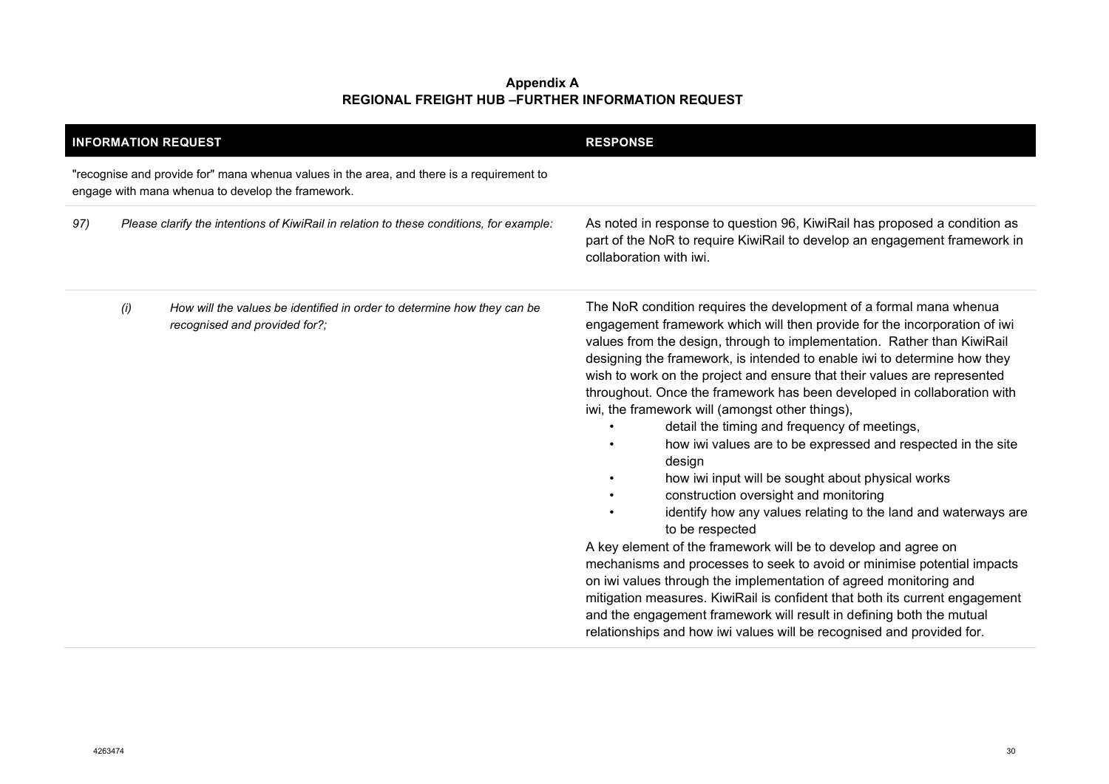|                                                                                                                                                |     | <b>INFORMATION REQUEST</b>                                                                               | <b>RESPONSE</b>                                                                                                                                                                                                                                                                                                                                                                                                                                                                                                                                                                                                                                                                                                                                                                                                                                                                                                                                                                                                                                                                                                                                                                                                                                                                 |
|------------------------------------------------------------------------------------------------------------------------------------------------|-----|----------------------------------------------------------------------------------------------------------|---------------------------------------------------------------------------------------------------------------------------------------------------------------------------------------------------------------------------------------------------------------------------------------------------------------------------------------------------------------------------------------------------------------------------------------------------------------------------------------------------------------------------------------------------------------------------------------------------------------------------------------------------------------------------------------------------------------------------------------------------------------------------------------------------------------------------------------------------------------------------------------------------------------------------------------------------------------------------------------------------------------------------------------------------------------------------------------------------------------------------------------------------------------------------------------------------------------------------------------------------------------------------------|
| "recognise and provide for" mana whenua values in the area, and there is a requirement to<br>engage with mana whenua to develop the framework. |     |                                                                                                          |                                                                                                                                                                                                                                                                                                                                                                                                                                                                                                                                                                                                                                                                                                                                                                                                                                                                                                                                                                                                                                                                                                                                                                                                                                                                                 |
| 97)                                                                                                                                            |     | Please clarify the intentions of KiwiRail in relation to these conditions, for example:                  | As noted in response to question 96, KiwiRail has proposed a condition as<br>part of the NoR to require KiwiRail to develop an engagement framework in<br>collaboration with iwi.                                                                                                                                                                                                                                                                                                                                                                                                                                                                                                                                                                                                                                                                                                                                                                                                                                                                                                                                                                                                                                                                                               |
|                                                                                                                                                | (i) | How will the values be identified in order to determine how they can be<br>recognised and provided for?; | The NoR condition requires the development of a formal mana whenua<br>engagement framework which will then provide for the incorporation of iwi<br>values from the design, through to implementation. Rather than KiwiRail<br>designing the framework, is intended to enable iwi to determine how they<br>wish to work on the project and ensure that their values are represented<br>throughout. Once the framework has been developed in collaboration with<br>iwi, the framework will (amongst other things),<br>detail the timing and frequency of meetings,<br>how iwi values are to be expressed and respected in the site<br>design<br>how iwi input will be sought about physical works<br>construction oversight and monitoring<br>identify how any values relating to the land and waterways are<br>to be respected<br>A key element of the framework will be to develop and agree on<br>mechanisms and processes to seek to avoid or minimise potential impacts<br>on iwi values through the implementation of agreed monitoring and<br>mitigation measures. KiwiRail is confident that both its current engagement<br>and the engagement framework will result in defining both the mutual<br>relationships and how iwi values will be recognised and provided for. |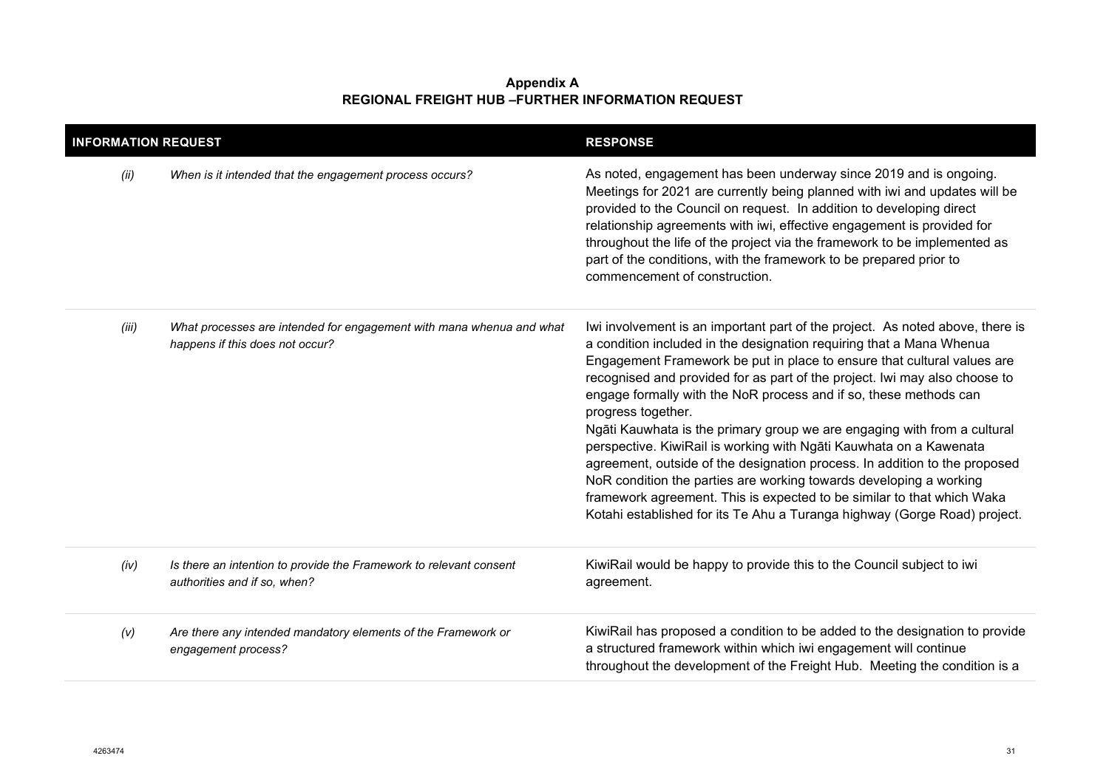| <b>INFORMATION REQUEST</b> |                                                                                                         | <b>RESPONSE</b>                                                                                                                                                                                                                                                                                                                                                                                                                                                                                                                                                                                                                                                                                                                                                                                                                                                        |
|----------------------------|---------------------------------------------------------------------------------------------------------|------------------------------------------------------------------------------------------------------------------------------------------------------------------------------------------------------------------------------------------------------------------------------------------------------------------------------------------------------------------------------------------------------------------------------------------------------------------------------------------------------------------------------------------------------------------------------------------------------------------------------------------------------------------------------------------------------------------------------------------------------------------------------------------------------------------------------------------------------------------------|
| (ii)                       | When is it intended that the engagement process occurs?                                                 | As noted, engagement has been underway since 2019 and is ongoing.<br>Meetings for 2021 are currently being planned with iwi and updates will be<br>provided to the Council on request. In addition to developing direct<br>relationship agreements with iwi, effective engagement is provided for<br>throughout the life of the project via the framework to be implemented as<br>part of the conditions, with the framework to be prepared prior to<br>commencement of construction.                                                                                                                                                                                                                                                                                                                                                                                  |
| (iii)                      | What processes are intended for engagement with mana whenua and what<br>happens if this does not occur? | Iwi involvement is an important part of the project. As noted above, there is<br>a condition included in the designation requiring that a Mana Whenua<br>Engagement Framework be put in place to ensure that cultural values are<br>recognised and provided for as part of the project. Iwi may also choose to<br>engage formally with the NoR process and if so, these methods can<br>progress together.<br>Ngāti Kauwhata is the primary group we are engaging with from a cultural<br>perspective. KiwiRail is working with Ngāti Kauwhata on a Kawenata<br>agreement, outside of the designation process. In addition to the proposed<br>NoR condition the parties are working towards developing a working<br>framework agreement. This is expected to be similar to that which Waka<br>Kotahi established for its Te Ahu a Turanga highway (Gorge Road) project. |
| (iv)                       | Is there an intention to provide the Framework to relevant consent<br>authorities and if so, when?      | KiwiRail would be happy to provide this to the Council subject to iwi<br>agreement.                                                                                                                                                                                                                                                                                                                                                                                                                                                                                                                                                                                                                                                                                                                                                                                    |
| (V)                        | Are there any intended mandatory elements of the Framework or<br>engagement process?                    | KiwiRail has proposed a condition to be added to the designation to provide<br>a structured framework within which iwi engagement will continue<br>throughout the development of the Freight Hub. Meeting the condition is a                                                                                                                                                                                                                                                                                                                                                                                                                                                                                                                                                                                                                                           |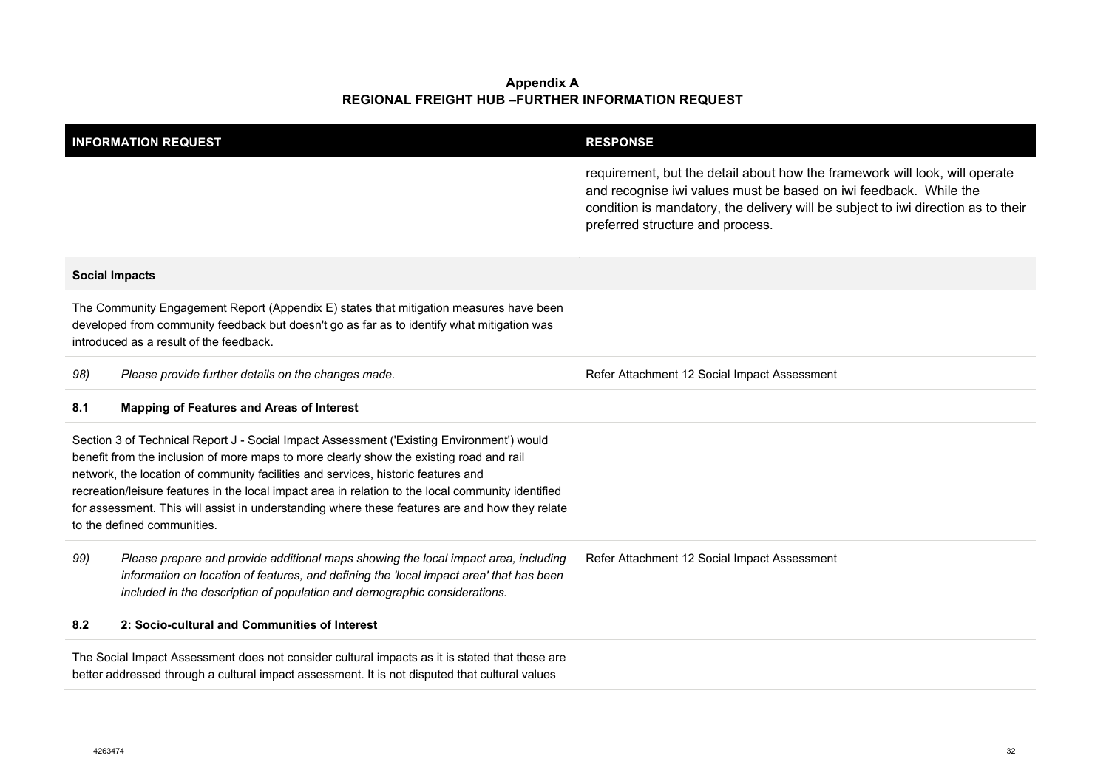| <b>INFORMATION REQUEST</b>                                                                                                                                                                                                                                                                                                                                                                                                                                                                                       |                                                                                                                                                                                                                                                             | <b>RESPONSE</b>                                                                                                                                                                                                                                                           |
|------------------------------------------------------------------------------------------------------------------------------------------------------------------------------------------------------------------------------------------------------------------------------------------------------------------------------------------------------------------------------------------------------------------------------------------------------------------------------------------------------------------|-------------------------------------------------------------------------------------------------------------------------------------------------------------------------------------------------------------------------------------------------------------|---------------------------------------------------------------------------------------------------------------------------------------------------------------------------------------------------------------------------------------------------------------------------|
|                                                                                                                                                                                                                                                                                                                                                                                                                                                                                                                  |                                                                                                                                                                                                                                                             | requirement, but the detail about how the framework will look, will operate<br>and recognise iwi values must be based on iwi feedback. While the<br>condition is mandatory, the delivery will be subject to iwi direction as to their<br>preferred structure and process. |
|                                                                                                                                                                                                                                                                                                                                                                                                                                                                                                                  | <b>Social Impacts</b>                                                                                                                                                                                                                                       |                                                                                                                                                                                                                                                                           |
|                                                                                                                                                                                                                                                                                                                                                                                                                                                                                                                  | The Community Engagement Report (Appendix E) states that mitigation measures have been<br>developed from community feedback but doesn't go as far as to identify what mitigation was<br>introduced as a result of the feedback.                             |                                                                                                                                                                                                                                                                           |
| 98)                                                                                                                                                                                                                                                                                                                                                                                                                                                                                                              | Please provide further details on the changes made.                                                                                                                                                                                                         | Refer Attachment 12 Social Impact Assessment                                                                                                                                                                                                                              |
| 8.1                                                                                                                                                                                                                                                                                                                                                                                                                                                                                                              | <b>Mapping of Features and Areas of Interest</b>                                                                                                                                                                                                            |                                                                                                                                                                                                                                                                           |
| Section 3 of Technical Report J - Social Impact Assessment ('Existing Environment') would<br>benefit from the inclusion of more maps to more clearly show the existing road and rail<br>network, the location of community facilities and services, historic features and<br>recreation/leisure features in the local impact area in relation to the local community identified<br>for assessment. This will assist in understanding where these features are and how they relate<br>to the defined communities. |                                                                                                                                                                                                                                                             |                                                                                                                                                                                                                                                                           |
| 99)                                                                                                                                                                                                                                                                                                                                                                                                                                                                                                              | Please prepare and provide additional maps showing the local impact area, including<br>information on location of features, and defining the 'local impact area' that has been<br>included in the description of population and demographic considerations. | Refer Attachment 12 Social Impact Assessment                                                                                                                                                                                                                              |
| 8.2                                                                                                                                                                                                                                                                                                                                                                                                                                                                                                              | 2: Socio-cultural and Communities of Interest                                                                                                                                                                                                               |                                                                                                                                                                                                                                                                           |
|                                                                                                                                                                                                                                                                                                                                                                                                                                                                                                                  | The Social Impact Assessment does not consider cultural impacts as it is stated that these are<br>better addressed through a cultural impact assessment. It is not disputed that cultural values                                                            |                                                                                                                                                                                                                                                                           |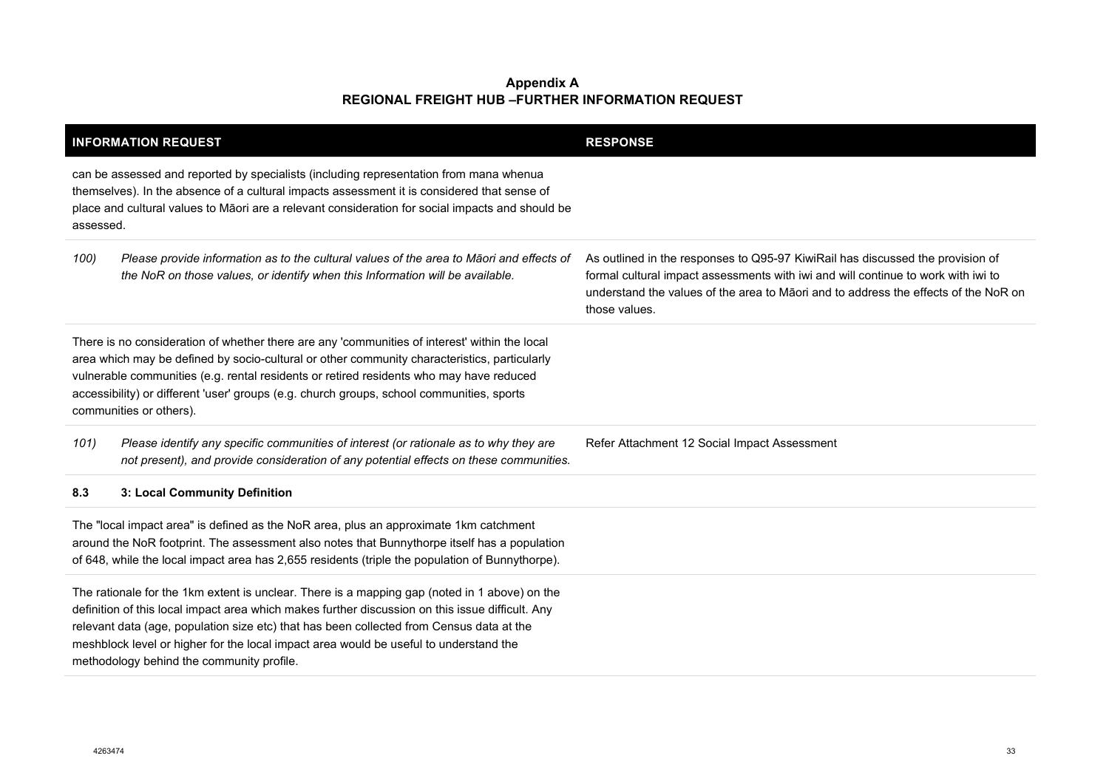| <b>INFORMATION REQUEST</b>                                                                                                                                                                                                                                                                                                                                                                                                          | <b>RESPONSE</b>                                                                                                                                                                                                                                                             |
|-------------------------------------------------------------------------------------------------------------------------------------------------------------------------------------------------------------------------------------------------------------------------------------------------------------------------------------------------------------------------------------------------------------------------------------|-----------------------------------------------------------------------------------------------------------------------------------------------------------------------------------------------------------------------------------------------------------------------------|
| can be assessed and reported by specialists (including representation from mana whenua<br>themselves). In the absence of a cultural impacts assessment it is considered that sense of<br>place and cultural values to Māori are a relevant consideration for social impacts and should be<br>assessed.                                                                                                                              |                                                                                                                                                                                                                                                                             |
| Please provide information as to the cultural values of the area to Māori and effects of<br>100)<br>the NoR on those values, or identify when this Information will be available.                                                                                                                                                                                                                                                   | As outlined in the responses to Q95-97 KiwiRail has discussed the provision of<br>formal cultural impact assessments with iwi and will continue to work with iwi to<br>understand the values of the area to Māori and to address the effects of the NoR on<br>those values. |
| There is no consideration of whether there are any 'communities of interest' within the local<br>area which may be defined by socio-cultural or other community characteristics, particularly<br>vulnerable communities (e.g. rental residents or retired residents who may have reduced<br>accessibility) or different 'user' groups (e.g. church groups, school communities, sports<br>communities or others).                    |                                                                                                                                                                                                                                                                             |
| Please identify any specific communities of interest (or rationale as to why they are<br>101)<br>not present), and provide consideration of any potential effects on these communities.                                                                                                                                                                                                                                             | Refer Attachment 12 Social Impact Assessment                                                                                                                                                                                                                                |
| 3: Local Community Definition<br>8.3                                                                                                                                                                                                                                                                                                                                                                                                |                                                                                                                                                                                                                                                                             |
| The "local impact area" is defined as the NoR area, plus an approximate 1km catchment<br>around the NoR footprint. The assessment also notes that Bunnythorpe itself has a population<br>of 648, while the local impact area has 2,655 residents (triple the population of Bunnythorpe).                                                                                                                                            |                                                                                                                                                                                                                                                                             |
| The rationale for the 1km extent is unclear. There is a mapping gap (noted in 1 above) on the<br>definition of this local impact area which makes further discussion on this issue difficult. Any<br>relevant data (age, population size etc) that has been collected from Census data at the<br>meshblock level or higher for the local impact area would be useful to understand the<br>methodology behind the community profile. |                                                                                                                                                                                                                                                                             |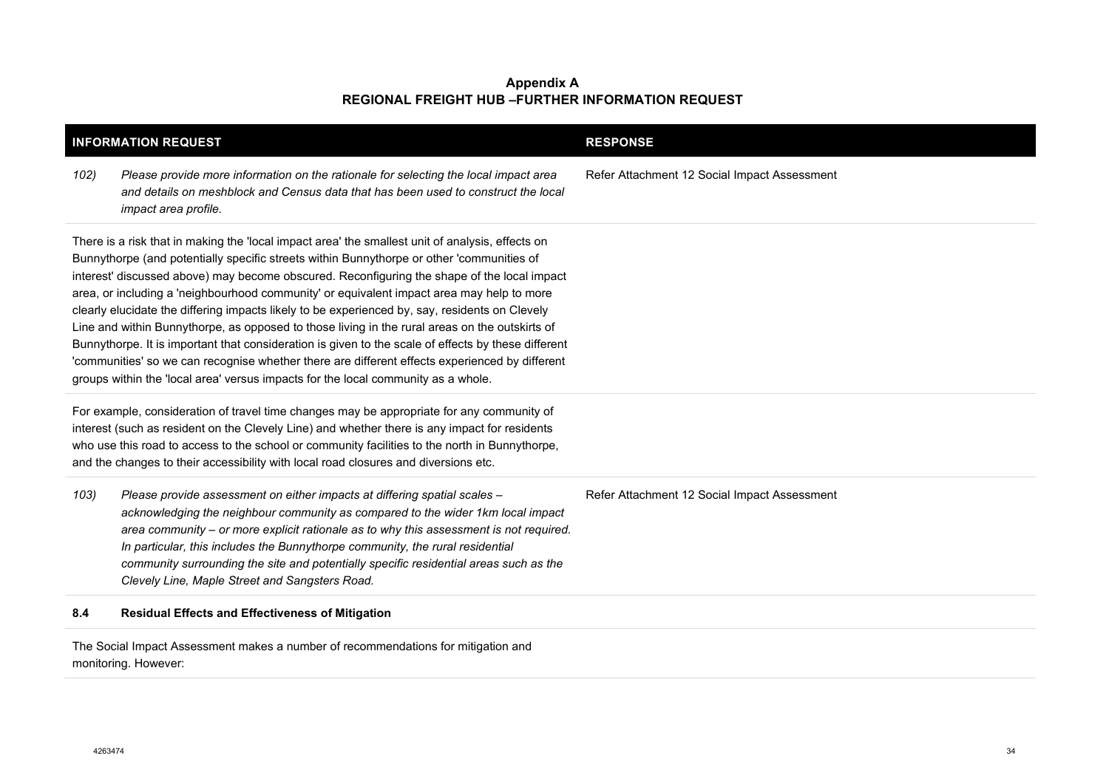| <b>INFORMATION REQUEST</b> |                                                                                                                                                                                                                                                                                                                                                                                                                                                                                                                                                                                                                                                                                                                                                                                                                                                                                             | <b>RESPONSE</b>                              |
|----------------------------|---------------------------------------------------------------------------------------------------------------------------------------------------------------------------------------------------------------------------------------------------------------------------------------------------------------------------------------------------------------------------------------------------------------------------------------------------------------------------------------------------------------------------------------------------------------------------------------------------------------------------------------------------------------------------------------------------------------------------------------------------------------------------------------------------------------------------------------------------------------------------------------------|----------------------------------------------|
| 102)                       | Please provide more information on the rationale for selecting the local impact area<br>and details on meshblock and Census data that has been used to construct the local<br>impact area profile.                                                                                                                                                                                                                                                                                                                                                                                                                                                                                                                                                                                                                                                                                          | Refer Attachment 12 Social Impact Assessment |
|                            | There is a risk that in making the 'local impact area' the smallest unit of analysis, effects on<br>Bunnythorpe (and potentially specific streets within Bunnythorpe or other 'communities of<br>interest' discussed above) may become obscured. Reconfiguring the shape of the local impact<br>area, or including a 'neighbourhood community' or equivalent impact area may help to more<br>clearly elucidate the differing impacts likely to be experienced by, say, residents on Clevely<br>Line and within Bunnythorpe, as opposed to those living in the rural areas on the outskirts of<br>Bunnythorpe. It is important that consideration is given to the scale of effects by these different<br>'communities' so we can recognise whether there are different effects experienced by different<br>groups within the 'local area' versus impacts for the local community as a whole. |                                              |
|                            | For example, consideration of travel time changes may be appropriate for any community of<br>interest (such as resident on the Clevely Line) and whether there is any impact for residents<br>who use this road to access to the school or community facilities to the north in Bunnythorpe,<br>and the changes to their accessibility with local road closures and diversions etc.                                                                                                                                                                                                                                                                                                                                                                                                                                                                                                         |                                              |
| 103)                       | Please provide assessment on either impacts at differing spatial scales -<br>acknowledging the neighbour community as compared to the wider 1km local impact<br>area community - or more explicit rationale as to why this assessment is not required.<br>In particular, this includes the Bunnythorpe community, the rural residential<br>community surrounding the site and potentially specific residential areas such as the<br>Clevely Line, Maple Street and Sangsters Road.                                                                                                                                                                                                                                                                                                                                                                                                          | Refer Attachment 12 Social Impact Assessment |
| 8.4                        | <b>Residual Effects and Effectiveness of Mitigation</b>                                                                                                                                                                                                                                                                                                                                                                                                                                                                                                                                                                                                                                                                                                                                                                                                                                     |                                              |

The Social Impact Assessment makes a number of recommendations for mitigation and monitoring. However: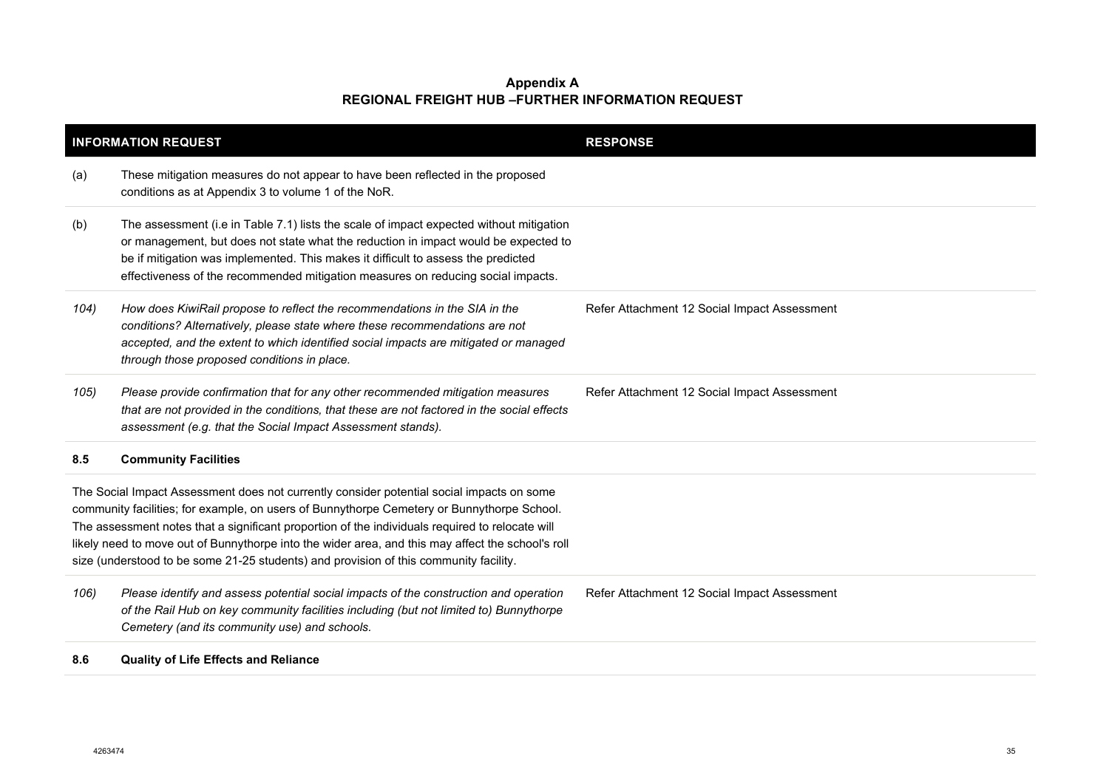|      | <b>INFORMATION REQUEST</b>                                                                                                                                                                                                                                                                                                                                                                                                                                                               | <b>RESPONSE</b>                              |
|------|------------------------------------------------------------------------------------------------------------------------------------------------------------------------------------------------------------------------------------------------------------------------------------------------------------------------------------------------------------------------------------------------------------------------------------------------------------------------------------------|----------------------------------------------|
| (a)  | These mitigation measures do not appear to have been reflected in the proposed<br>conditions as at Appendix 3 to volume 1 of the NoR.                                                                                                                                                                                                                                                                                                                                                    |                                              |
| (b)  | The assessment (i.e in Table 7.1) lists the scale of impact expected without mitigation<br>or management, but does not state what the reduction in impact would be expected to<br>be if mitigation was implemented. This makes it difficult to assess the predicted<br>effectiveness of the recommended mitigation measures on reducing social impacts.                                                                                                                                  |                                              |
| 104) | How does KiwiRail propose to reflect the recommendations in the SIA in the<br>conditions? Alternatively, please state where these recommendations are not<br>accepted, and the extent to which identified social impacts are mitigated or managed<br>through those proposed conditions in place.                                                                                                                                                                                         | Refer Attachment 12 Social Impact Assessment |
| 105) | Please provide confirmation that for any other recommended mitigation measures<br>that are not provided in the conditions, that these are not factored in the social effects<br>assessment (e.g. that the Social Impact Assessment stands).                                                                                                                                                                                                                                              | Refer Attachment 12 Social Impact Assessment |
| 8.5  | <b>Community Facilities</b>                                                                                                                                                                                                                                                                                                                                                                                                                                                              |                                              |
|      | The Social Impact Assessment does not currently consider potential social impacts on some<br>community facilities; for example, on users of Bunnythorpe Cemetery or Bunnythorpe School.<br>The assessment notes that a significant proportion of the individuals required to relocate will<br>likely need to move out of Bunnythorpe into the wider area, and this may affect the school's roll<br>size (understood to be some 21-25 students) and provision of this community facility. |                                              |
| 106) | Please identify and assess potential social impacts of the construction and operation<br>of the Rail Hub on key community facilities including (but not limited to) Bunnythorpe<br>Cemetery (and its community use) and schools.                                                                                                                                                                                                                                                         | Refer Attachment 12 Social Impact Assessment |
| 8.6  | <b>Quality of Life Effects and Reliance</b>                                                                                                                                                                                                                                                                                                                                                                                                                                              |                                              |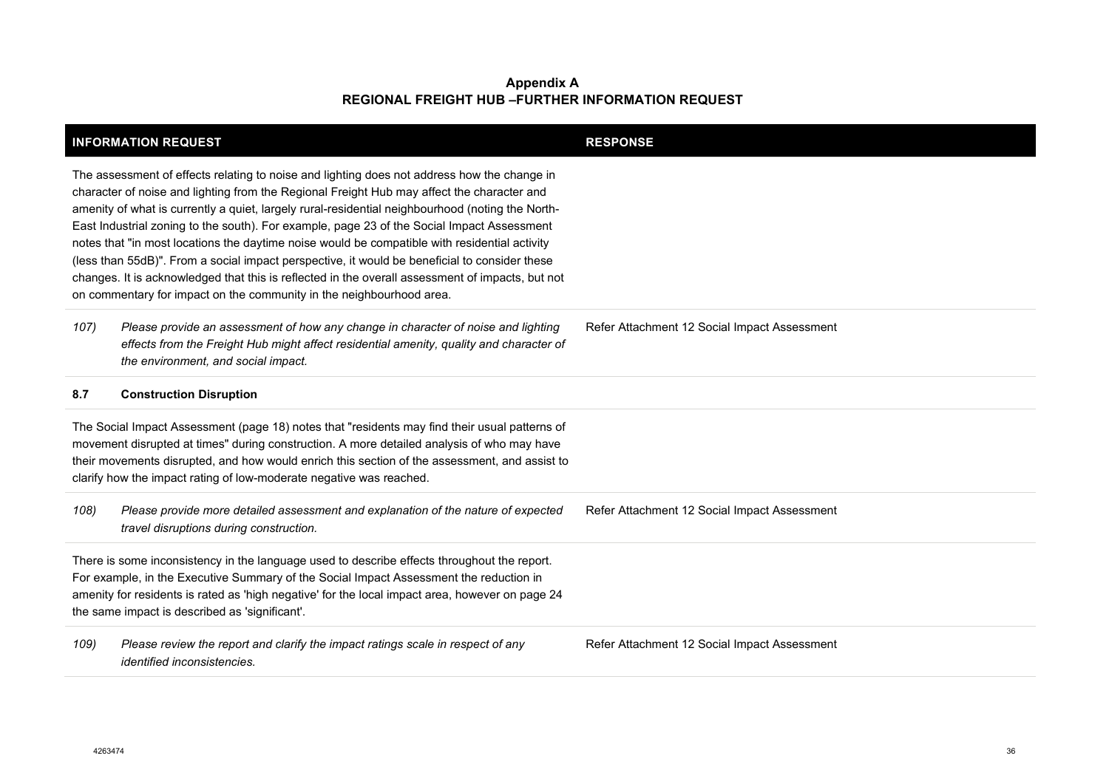|                                                                                                                                                                                                                                                                                                                                                                                                                                                                                                                                                                                                                                                                                                                                                                           | <b>INFORMATION REQUEST</b>                                                                                                                                                                                          | <b>RESPONSE</b>                              |
|---------------------------------------------------------------------------------------------------------------------------------------------------------------------------------------------------------------------------------------------------------------------------------------------------------------------------------------------------------------------------------------------------------------------------------------------------------------------------------------------------------------------------------------------------------------------------------------------------------------------------------------------------------------------------------------------------------------------------------------------------------------------------|---------------------------------------------------------------------------------------------------------------------------------------------------------------------------------------------------------------------|----------------------------------------------|
| The assessment of effects relating to noise and lighting does not address how the change in<br>character of noise and lighting from the Regional Freight Hub may affect the character and<br>amenity of what is currently a quiet, largely rural-residential neighbourhood (noting the North-<br>East Industrial zoning to the south). For example, page 23 of the Social Impact Assessment<br>notes that "in most locations the daytime noise would be compatible with residential activity<br>(less than 55dB)". From a social impact perspective, it would be beneficial to consider these<br>changes. It is acknowledged that this is reflected in the overall assessment of impacts, but not<br>on commentary for impact on the community in the neighbourhood area. |                                                                                                                                                                                                                     |                                              |
| 107)                                                                                                                                                                                                                                                                                                                                                                                                                                                                                                                                                                                                                                                                                                                                                                      | Please provide an assessment of how any change in character of noise and lighting<br>effects from the Freight Hub might affect residential amenity, quality and character of<br>the environment, and social impact. | Refer Attachment 12 Social Impact Assessment |
| 8.7                                                                                                                                                                                                                                                                                                                                                                                                                                                                                                                                                                                                                                                                                                                                                                       | <b>Construction Disruption</b>                                                                                                                                                                                      |                                              |
| The Social Impact Assessment (page 18) notes that "residents may find their usual patterns of<br>movement disrupted at times" during construction. A more detailed analysis of who may have<br>their movements disrupted, and how would enrich this section of the assessment, and assist to<br>clarify how the impact rating of low-moderate negative was reached.                                                                                                                                                                                                                                                                                                                                                                                                       |                                                                                                                                                                                                                     |                                              |
| 108)                                                                                                                                                                                                                                                                                                                                                                                                                                                                                                                                                                                                                                                                                                                                                                      | Please provide more detailed assessment and explanation of the nature of expected<br>travel disruptions during construction.                                                                                        | Refer Attachment 12 Social Impact Assessment |
| There is some inconsistency in the language used to describe effects throughout the report.<br>For example, in the Executive Summary of the Social Impact Assessment the reduction in<br>amenity for residents is rated as 'high negative' for the local impact area, however on page 24<br>the same impact is described as 'significant'.                                                                                                                                                                                                                                                                                                                                                                                                                                |                                                                                                                                                                                                                     |                                              |
| 109)                                                                                                                                                                                                                                                                                                                                                                                                                                                                                                                                                                                                                                                                                                                                                                      | Please review the report and clarify the impact ratings scale in respect of any<br><i>identified inconsistencies.</i>                                                                                               | Refer Attachment 12 Social Impact Assessment |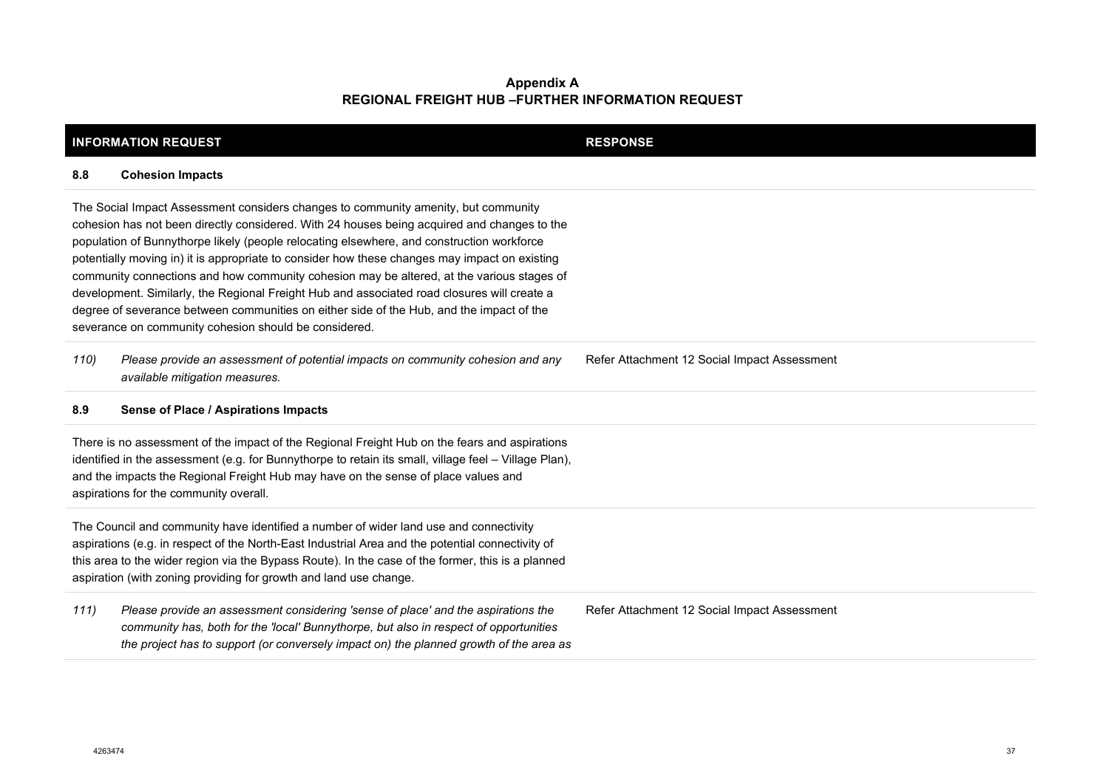|                                                                                                                                                                                                                                                                                                                                                                                                                                                                                                                                                                                                                                                                                                                                  | <b>INFORMATION REQUEST</b>                                                                                                                                                                                                                                           | <b>RESPONSE</b>                              |
|----------------------------------------------------------------------------------------------------------------------------------------------------------------------------------------------------------------------------------------------------------------------------------------------------------------------------------------------------------------------------------------------------------------------------------------------------------------------------------------------------------------------------------------------------------------------------------------------------------------------------------------------------------------------------------------------------------------------------------|----------------------------------------------------------------------------------------------------------------------------------------------------------------------------------------------------------------------------------------------------------------------|----------------------------------------------|
| 8.8                                                                                                                                                                                                                                                                                                                                                                                                                                                                                                                                                                                                                                                                                                                              | <b>Cohesion Impacts</b>                                                                                                                                                                                                                                              |                                              |
| The Social Impact Assessment considers changes to community amenity, but community<br>cohesion has not been directly considered. With 24 houses being acquired and changes to the<br>population of Bunnythorpe likely (people relocating elsewhere, and construction workforce<br>potentially moving in) it is appropriate to consider how these changes may impact on existing<br>community connections and how community cohesion may be altered, at the various stages of<br>development. Similarly, the Regional Freight Hub and associated road closures will create a<br>degree of severance between communities on either side of the Hub, and the impact of the<br>severance on community cohesion should be considered. |                                                                                                                                                                                                                                                                      |                                              |
| 110)                                                                                                                                                                                                                                                                                                                                                                                                                                                                                                                                                                                                                                                                                                                             | Please provide an assessment of potential impacts on community cohesion and any<br>available mitigation measures.                                                                                                                                                    | Refer Attachment 12 Social Impact Assessment |
| 8.9                                                                                                                                                                                                                                                                                                                                                                                                                                                                                                                                                                                                                                                                                                                              | Sense of Place / Aspirations Impacts                                                                                                                                                                                                                                 |                                              |
| There is no assessment of the impact of the Regional Freight Hub on the fears and aspirations<br>identified in the assessment (e.g. for Bunnythorpe to retain its small, village feel - Village Plan),<br>and the impacts the Regional Freight Hub may have on the sense of place values and<br>aspirations for the community overall.                                                                                                                                                                                                                                                                                                                                                                                           |                                                                                                                                                                                                                                                                      |                                              |
| The Council and community have identified a number of wider land use and connectivity<br>aspirations (e.g. in respect of the North-East Industrial Area and the potential connectivity of<br>this area to the wider region via the Bypass Route). In the case of the former, this is a planned<br>aspiration (with zoning providing for growth and land use change.                                                                                                                                                                                                                                                                                                                                                              |                                                                                                                                                                                                                                                                      |                                              |
| 111)                                                                                                                                                                                                                                                                                                                                                                                                                                                                                                                                                                                                                                                                                                                             | Please provide an assessment considering 'sense of place' and the aspirations the<br>community has, both for the 'local' Bunnythorpe, but also in respect of opportunities<br>the project has to support (or conversely impact on) the planned growth of the area as | Refer Attachment 12 Social Impact Assessment |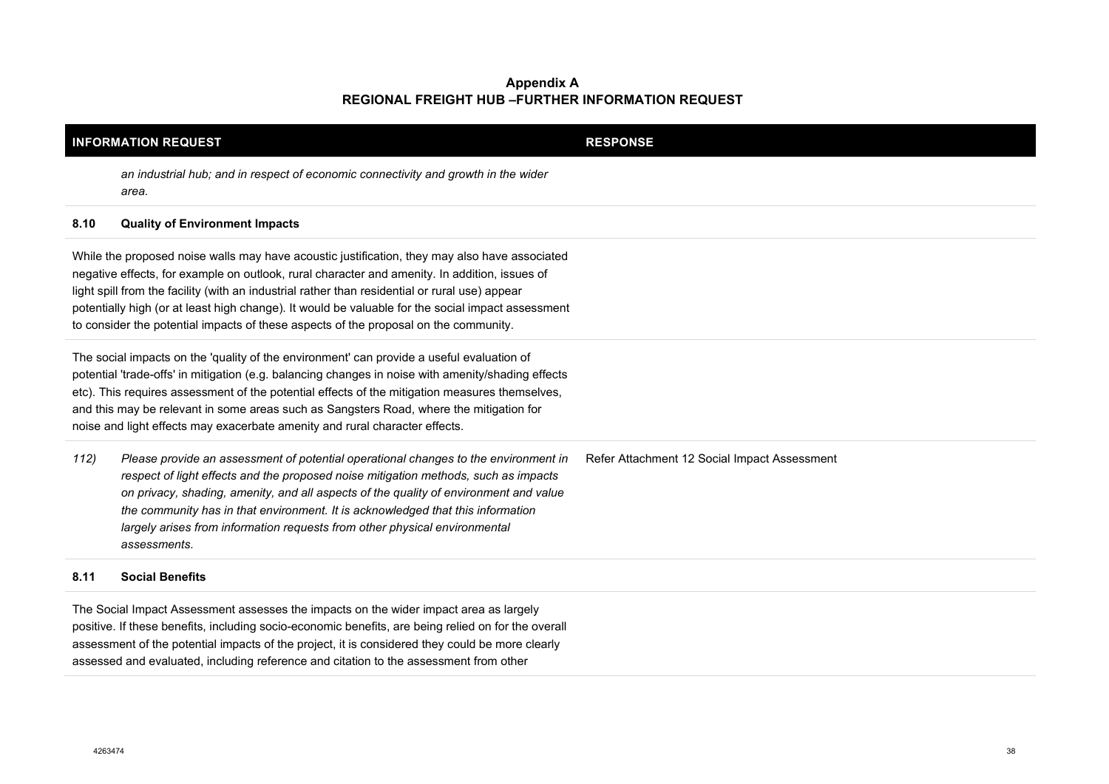| <b>INFORMATION REQUEST</b>                                                                                                                                                                                                                                                                                                                                                                                                                                                  |                                                                                                                                                                                                                                                                                                                                                                                                                                                                                               | <b>RESPONSE</b>                              |
|-----------------------------------------------------------------------------------------------------------------------------------------------------------------------------------------------------------------------------------------------------------------------------------------------------------------------------------------------------------------------------------------------------------------------------------------------------------------------------|-----------------------------------------------------------------------------------------------------------------------------------------------------------------------------------------------------------------------------------------------------------------------------------------------------------------------------------------------------------------------------------------------------------------------------------------------------------------------------------------------|----------------------------------------------|
|                                                                                                                                                                                                                                                                                                                                                                                                                                                                             | an industrial hub; and in respect of economic connectivity and growth in the wider<br>area.                                                                                                                                                                                                                                                                                                                                                                                                   |                                              |
| 8.10                                                                                                                                                                                                                                                                                                                                                                                                                                                                        | <b>Quality of Environment Impacts</b>                                                                                                                                                                                                                                                                                                                                                                                                                                                         |                                              |
|                                                                                                                                                                                                                                                                                                                                                                                                                                                                             | While the proposed noise walls may have acoustic justification, they may also have associated<br>negative effects, for example on outlook, rural character and amenity. In addition, issues of<br>light spill from the facility (with an industrial rather than residential or rural use) appear<br>potentially high (or at least high change). It would be valuable for the social impact assessment<br>to consider the potential impacts of these aspects of the proposal on the community. |                                              |
| The social impacts on the 'quality of the environment' can provide a useful evaluation of<br>potential 'trade-offs' in mitigation (e.g. balancing changes in noise with amenity/shading effects<br>etc). This requires assessment of the potential effects of the mitigation measures themselves,<br>and this may be relevant in some areas such as Sangsters Road, where the mitigation for<br>noise and light effects may exacerbate amenity and rural character effects. |                                                                                                                                                                                                                                                                                                                                                                                                                                                                                               |                                              |
| 112)                                                                                                                                                                                                                                                                                                                                                                                                                                                                        | Please provide an assessment of potential operational changes to the environment in<br>respect of light effects and the proposed noise mitigation methods, such as impacts<br>on privacy, shading, amenity, and all aspects of the quality of environment and value<br>the community has in that environment. It is acknowledged that this information<br>largely arises from information requests from other physical environmental<br>assessments.                                          | Refer Attachment 12 Social Impact Assessment |
| 8.11                                                                                                                                                                                                                                                                                                                                                                                                                                                                        | <b>Social Benefits</b>                                                                                                                                                                                                                                                                                                                                                                                                                                                                        |                                              |
| The Social Impact Assessment assesses the impacts on the wider impact area as largely<br>positive. If these benefits, including socio-economic benefits, are being relied on for the overall<br>assessment of the potential impacts of the project, it is considered they could be more clearly<br>assessed and evaluated, including reference and citation to the assessment from other                                                                                    |                                                                                                                                                                                                                                                                                                                                                                                                                                                                                               |                                              |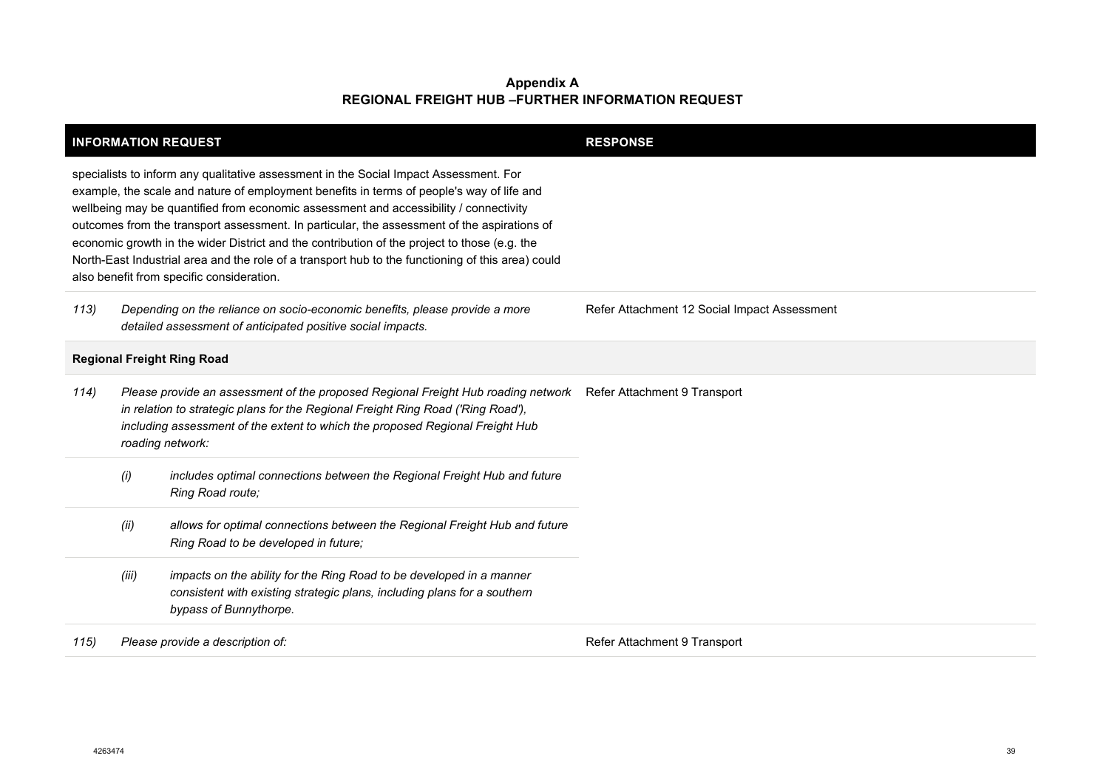| <b>INFORMATION REQUEST</b>        |                                                                                                                                            |                                                                                                                                                                                                                                                                                                                                                                                                                                                                                                                                                                                                                              | <b>RESPONSE</b>                              |
|-----------------------------------|--------------------------------------------------------------------------------------------------------------------------------------------|------------------------------------------------------------------------------------------------------------------------------------------------------------------------------------------------------------------------------------------------------------------------------------------------------------------------------------------------------------------------------------------------------------------------------------------------------------------------------------------------------------------------------------------------------------------------------------------------------------------------------|----------------------------------------------|
|                                   |                                                                                                                                            | specialists to inform any qualitative assessment in the Social Impact Assessment. For<br>example, the scale and nature of employment benefits in terms of people's way of life and<br>wellbeing may be quantified from economic assessment and accessibility / connectivity<br>outcomes from the transport assessment. In particular, the assessment of the aspirations of<br>economic growth in the wider District and the contribution of the project to those (e.g. the<br>North-East Industrial area and the role of a transport hub to the functioning of this area) could<br>also benefit from specific consideration. |                                              |
| 113)                              | Depending on the reliance on socio-economic benefits, please provide a more<br>detailed assessment of anticipated positive social impacts. |                                                                                                                                                                                                                                                                                                                                                                                                                                                                                                                                                                                                                              | Refer Attachment 12 Social Impact Assessment |
| <b>Regional Freight Ring Road</b> |                                                                                                                                            |                                                                                                                                                                                                                                                                                                                                                                                                                                                                                                                                                                                                                              |                                              |
| 114)                              |                                                                                                                                            | Please provide an assessment of the proposed Regional Freight Hub roading network<br>in relation to strategic plans for the Regional Freight Ring Road ('Ring Road'),<br>including assessment of the extent to which the proposed Regional Freight Hub<br>roading network:                                                                                                                                                                                                                                                                                                                                                   | Refer Attachment 9 Transport                 |
|                                   | (i)                                                                                                                                        | includes optimal connections between the Regional Freight Hub and future<br>Ring Road route;                                                                                                                                                                                                                                                                                                                                                                                                                                                                                                                                 |                                              |
|                                   | (ii)                                                                                                                                       | allows for optimal connections between the Regional Freight Hub and future<br>Ring Road to be developed in future;                                                                                                                                                                                                                                                                                                                                                                                                                                                                                                           |                                              |
|                                   | (iii)                                                                                                                                      | impacts on the ability for the Ring Road to be developed in a manner<br>consistent with existing strategic plans, including plans for a southern<br>bypass of Bunnythorpe.                                                                                                                                                                                                                                                                                                                                                                                                                                                   |                                              |
| 115)                              |                                                                                                                                            | Please provide a description of:                                                                                                                                                                                                                                                                                                                                                                                                                                                                                                                                                                                             | Refer Attachment 9 Transport                 |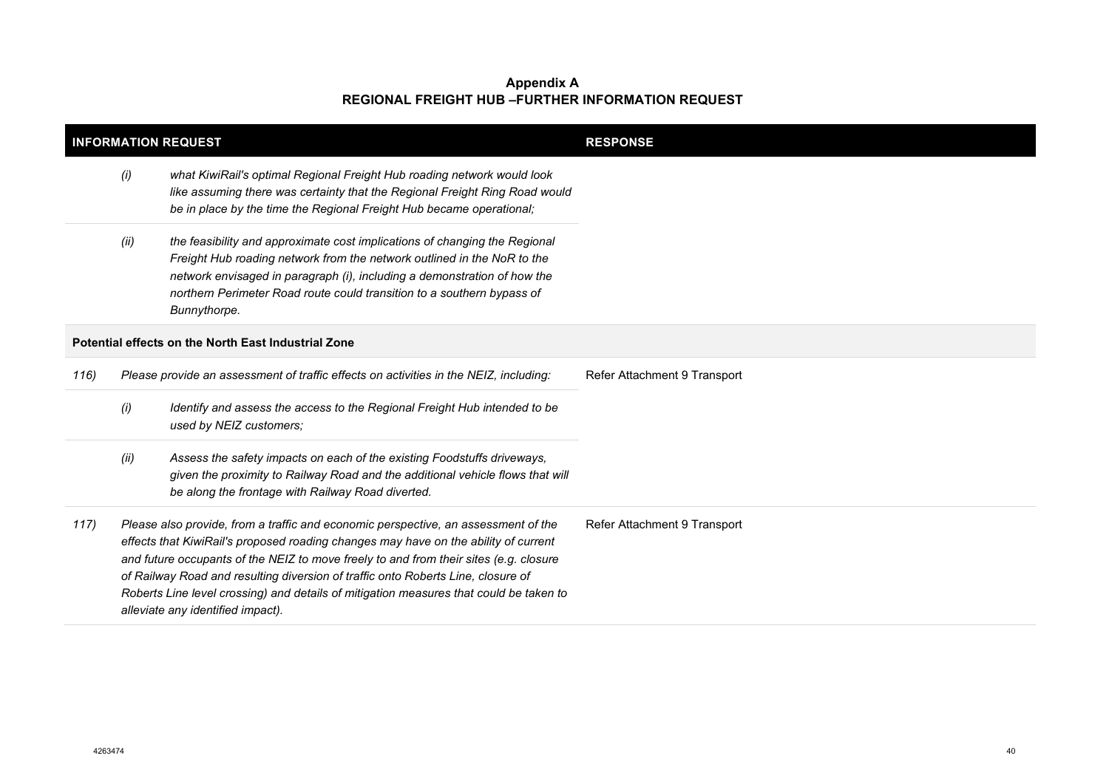| <b>INFORMATION REQUEST</b> |                                                                                                                                                                                                                                                                                                                                                                                                                                                                                       |                                                                                                                                                                                                                                                                                                                             | <b>RESPONSE</b>              |
|----------------------------|---------------------------------------------------------------------------------------------------------------------------------------------------------------------------------------------------------------------------------------------------------------------------------------------------------------------------------------------------------------------------------------------------------------------------------------------------------------------------------------|-----------------------------------------------------------------------------------------------------------------------------------------------------------------------------------------------------------------------------------------------------------------------------------------------------------------------------|------------------------------|
|                            | (i)                                                                                                                                                                                                                                                                                                                                                                                                                                                                                   | what KiwiRail's optimal Regional Freight Hub roading network would look<br>like assuming there was certainty that the Regional Freight Ring Road would<br>be in place by the time the Regional Freight Hub became operational;                                                                                              |                              |
|                            | (ii)                                                                                                                                                                                                                                                                                                                                                                                                                                                                                  | the feasibility and approximate cost implications of changing the Regional<br>Freight Hub roading network from the network outlined in the NoR to the<br>network envisaged in paragraph (i), including a demonstration of how the<br>northern Perimeter Road route could transition to a southern bypass of<br>Bunnythorpe. |                              |
|                            |                                                                                                                                                                                                                                                                                                                                                                                                                                                                                       | Potential effects on the North East Industrial Zone                                                                                                                                                                                                                                                                         |                              |
| 116)                       |                                                                                                                                                                                                                                                                                                                                                                                                                                                                                       | Please provide an assessment of traffic effects on activities in the NEIZ, including:                                                                                                                                                                                                                                       | Refer Attachment 9 Transport |
|                            | (i)                                                                                                                                                                                                                                                                                                                                                                                                                                                                                   | Identify and assess the access to the Regional Freight Hub intended to be<br>used by NEIZ customers;                                                                                                                                                                                                                        |                              |
|                            | (ii)                                                                                                                                                                                                                                                                                                                                                                                                                                                                                  | Assess the safety impacts on each of the existing Foodstuffs driveways,<br>given the proximity to Railway Road and the additional vehicle flows that will<br>be along the frontage with Railway Road diverted.                                                                                                              |                              |
| 117)                       | Please also provide, from a traffic and economic perspective, an assessment of the<br>effects that KiwiRail's proposed roading changes may have on the ability of current<br>and future occupants of the NEIZ to move freely to and from their sites (e.g. closure<br>of Railway Road and resulting diversion of traffic onto Roberts Line, closure of<br>Roberts Line level crossing) and details of mitigation measures that could be taken to<br>alleviate any identified impact). |                                                                                                                                                                                                                                                                                                                             | Refer Attachment 9 Transport |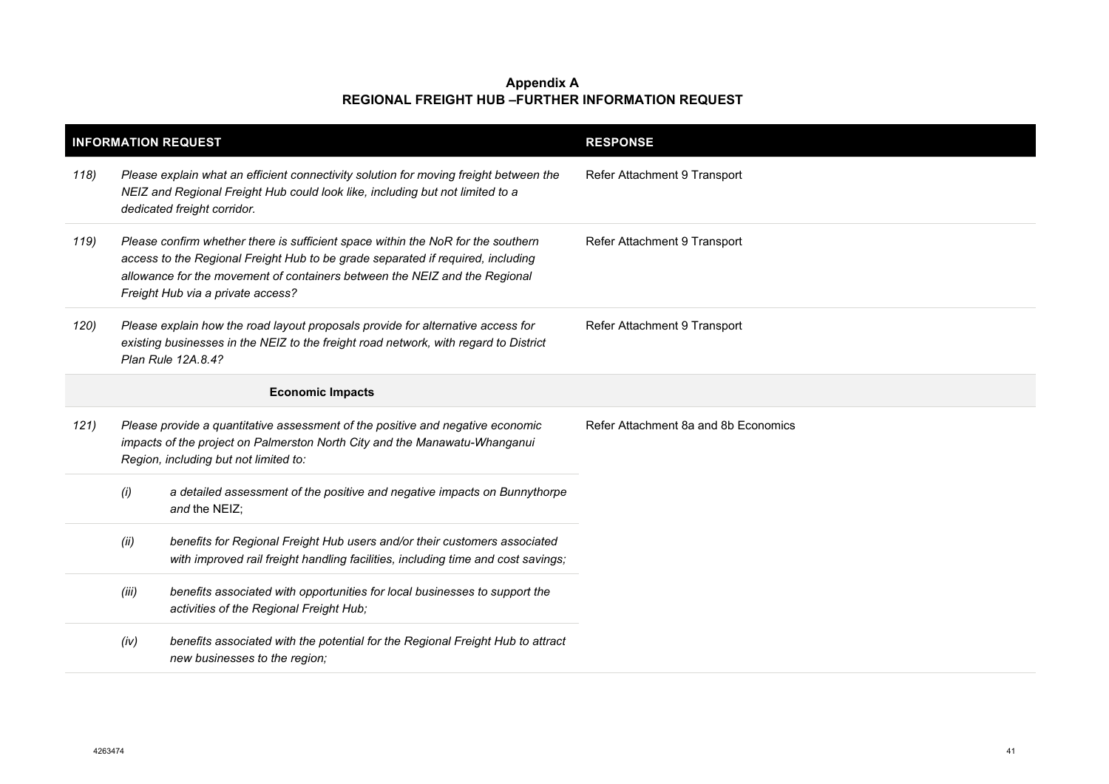| <b>INFORMATION REQUEST</b> |       |                                                                                                                                                                                                                                                                                        | <b>RESPONSE</b>                      |
|----------------------------|-------|----------------------------------------------------------------------------------------------------------------------------------------------------------------------------------------------------------------------------------------------------------------------------------------|--------------------------------------|
| 118)                       |       | Please explain what an efficient connectivity solution for moving freight between the<br>NEIZ and Regional Freight Hub could look like, including but not limited to a<br>dedicated freight corridor.                                                                                  | Refer Attachment 9 Transport         |
| 119)                       |       | Please confirm whether there is sufficient space within the NoR for the southern<br>access to the Regional Freight Hub to be grade separated if required, including<br>allowance for the movement of containers between the NEIZ and the Regional<br>Freight Hub via a private access? | Refer Attachment 9 Transport         |
| 120)                       |       | Please explain how the road layout proposals provide for alternative access for<br>existing businesses in the NEIZ to the freight road network, with regard to District<br>Plan Rule 12A.8.4?                                                                                          | Refer Attachment 9 Transport         |
|                            |       | <b>Economic Impacts</b>                                                                                                                                                                                                                                                                |                                      |
| 121)                       |       | Please provide a quantitative assessment of the positive and negative economic<br>impacts of the project on Palmerston North City and the Manawatu-Whanganui<br>Region, including but not limited to:                                                                                  | Refer Attachment 8a and 8b Economics |
|                            | (i)   | a detailed assessment of the positive and negative impacts on Bunnythorpe<br>and the NEIZ:                                                                                                                                                                                             |                                      |
|                            | (ii)  | benefits for Regional Freight Hub users and/or their customers associated<br>with improved rail freight handling facilities, including time and cost savings;                                                                                                                          |                                      |
|                            | (iii) | benefits associated with opportunities for local businesses to support the<br>activities of the Regional Freight Hub;                                                                                                                                                                  |                                      |
|                            | (iv)  | benefits associated with the potential for the Regional Freight Hub to attract<br>new businesses to the region;                                                                                                                                                                        |                                      |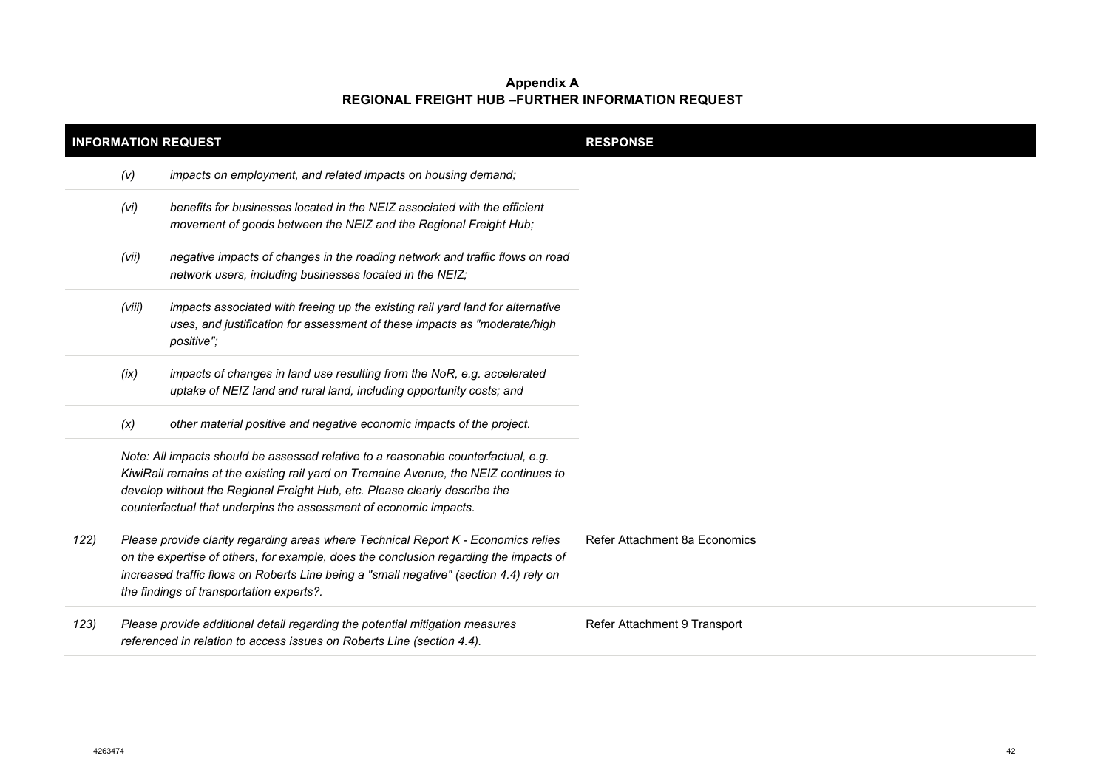| <b>INFORMATION REQUEST</b> |        |                                                                                                                                                                                                                                                                                                                               | <b>RESPONSE</b>               |  |
|----------------------------|--------|-------------------------------------------------------------------------------------------------------------------------------------------------------------------------------------------------------------------------------------------------------------------------------------------------------------------------------|-------------------------------|--|
|                            | (V)    | impacts on employment, and related impacts on housing demand;                                                                                                                                                                                                                                                                 |                               |  |
|                            | (vi)   | benefits for businesses located in the NEIZ associated with the efficient<br>movement of goods between the NEIZ and the Regional Freight Hub;                                                                                                                                                                                 |                               |  |
|                            | (vii)  | negative impacts of changes in the roading network and traffic flows on road<br>network users, including businesses located in the NEIZ;                                                                                                                                                                                      |                               |  |
|                            | (viii) | impacts associated with freeing up the existing rail yard land for alternative<br>uses, and justification for assessment of these impacts as "moderate/high<br>positive";                                                                                                                                                     |                               |  |
|                            | (ix)   | impacts of changes in land use resulting from the NoR, e.g. accelerated<br>uptake of NEIZ land and rural land, including opportunity costs; and                                                                                                                                                                               |                               |  |
|                            | (x)    | other material positive and negative economic impacts of the project.                                                                                                                                                                                                                                                         |                               |  |
|                            |        | Note: All impacts should be assessed relative to a reasonable counterfactual, e.g.<br>KiwiRail remains at the existing rail yard on Tremaine Avenue, the NEIZ continues to<br>develop without the Regional Freight Hub, etc. Please clearly describe the<br>counterfactual that underpins the assessment of economic impacts. |                               |  |
| 122)                       |        | Please provide clarity regarding areas where Technical Report K - Economics relies<br>on the expertise of others, for example, does the conclusion regarding the impacts of<br>increased traffic flows on Roberts Line being a "small negative" (section 4.4) rely on<br>the findings of transportation experts?.             | Refer Attachment 8a Economics |  |
| 123)                       |        | Please provide additional detail regarding the potential mitigation measures<br>referenced in relation to access issues on Roberts Line (section 4.4).                                                                                                                                                                        | Refer Attachment 9 Transport  |  |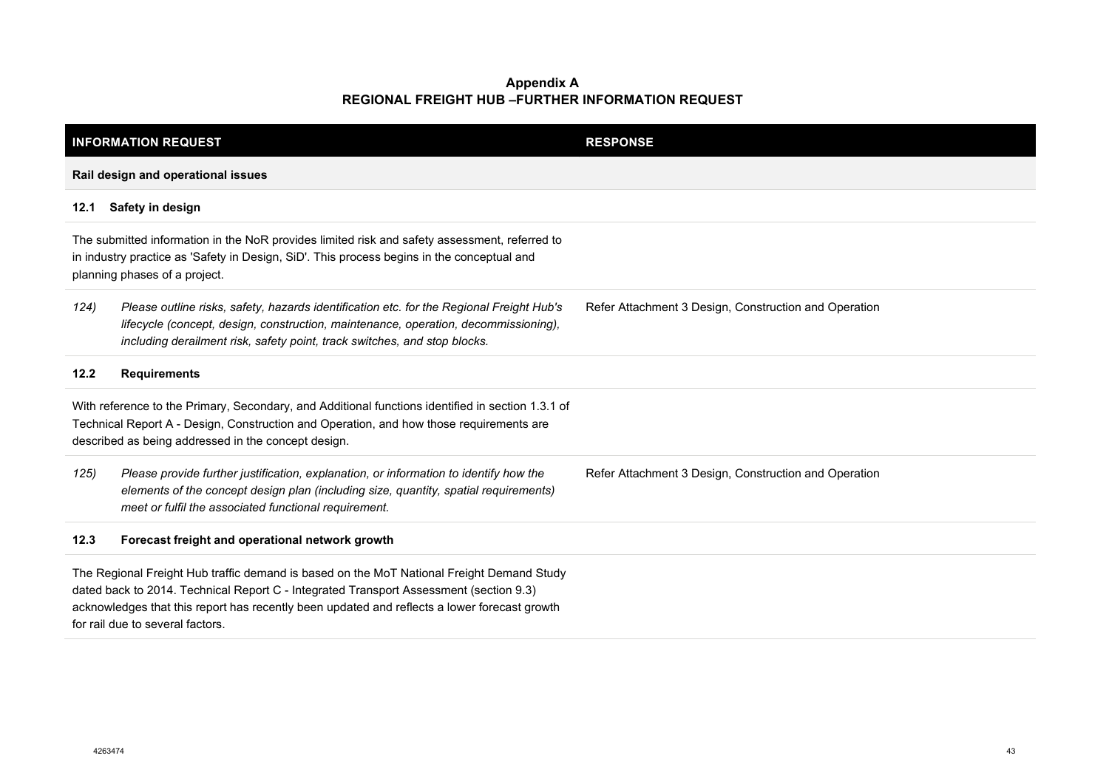|                                                                                                                                                                                                                                                     | <b>INFORMATION REQUEST</b>                                                                                                                                                                                                                                                                                              | <b>RESPONSE</b>                                       |  |  |
|-----------------------------------------------------------------------------------------------------------------------------------------------------------------------------------------------------------------------------------------------------|-------------------------------------------------------------------------------------------------------------------------------------------------------------------------------------------------------------------------------------------------------------------------------------------------------------------------|-------------------------------------------------------|--|--|
|                                                                                                                                                                                                                                                     | Rail design and operational issues                                                                                                                                                                                                                                                                                      |                                                       |  |  |
| 12.1                                                                                                                                                                                                                                                | Safety in design                                                                                                                                                                                                                                                                                                        |                                                       |  |  |
| The submitted information in the NoR provides limited risk and safety assessment, referred to<br>in industry practice as 'Safety in Design, SiD'. This process begins in the conceptual and<br>planning phases of a project.                        |                                                                                                                                                                                                                                                                                                                         |                                                       |  |  |
| 124)                                                                                                                                                                                                                                                | Please outline risks, safety, hazards identification etc. for the Regional Freight Hub's<br>lifecycle (concept, design, construction, maintenance, operation, decommissioning),<br>including derailment risk, safety point, track switches, and stop blocks.                                                            | Refer Attachment 3 Design, Construction and Operation |  |  |
| 12.2                                                                                                                                                                                                                                                | <b>Requirements</b>                                                                                                                                                                                                                                                                                                     |                                                       |  |  |
| With reference to the Primary, Secondary, and Additional functions identified in section 1.3.1 of<br>Technical Report A - Design, Construction and Operation, and how those requirements are<br>described as being addressed in the concept design. |                                                                                                                                                                                                                                                                                                                         |                                                       |  |  |
| 125)                                                                                                                                                                                                                                                | Please provide further justification, explanation, or information to identify how the<br>elements of the concept design plan (including size, quantity, spatial requirements)<br>meet or fulfil the associated functional requirement.                                                                                  | Refer Attachment 3 Design, Construction and Operation |  |  |
| 12.3                                                                                                                                                                                                                                                | Forecast freight and operational network growth                                                                                                                                                                                                                                                                         |                                                       |  |  |
|                                                                                                                                                                                                                                                     | The Regional Freight Hub traffic demand is based on the MoT National Freight Demand Study<br>dated back to 2014. Technical Report C - Integrated Transport Assessment (section 9.3)<br>acknowledges that this report has recently been updated and reflects a lower forecast growth<br>for rail due to several factors. |                                                       |  |  |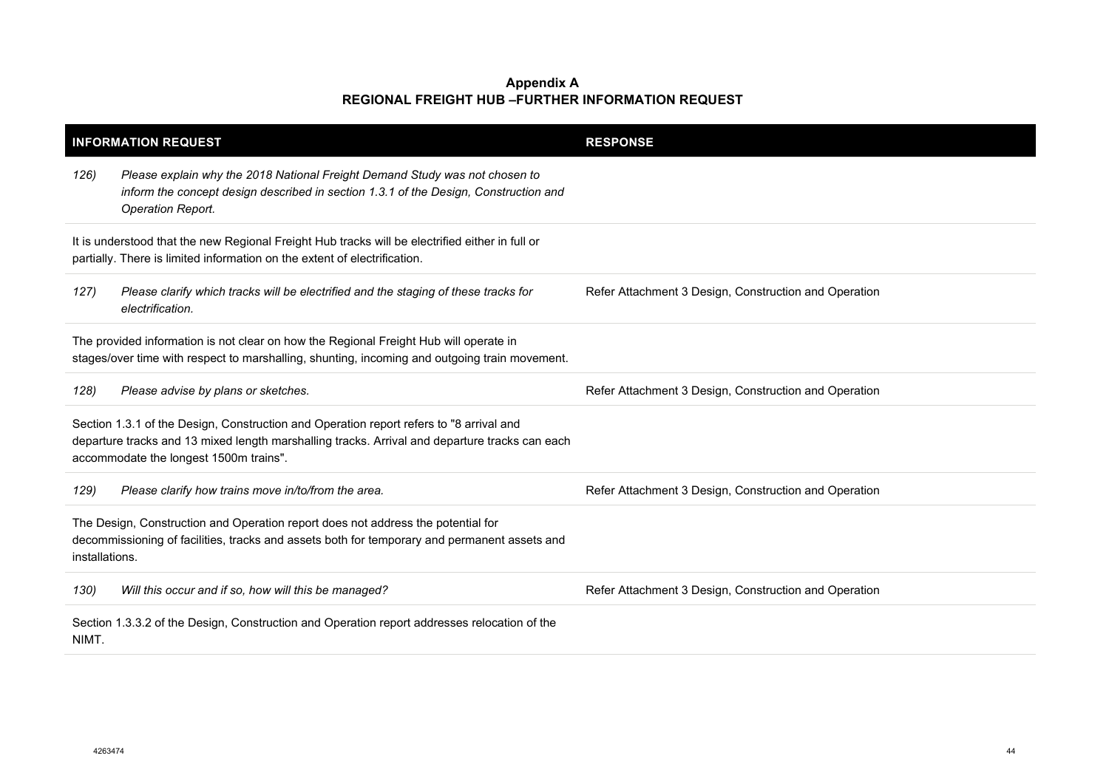|                                                                                                                                                                                        | <b>INFORMATION REQUEST</b>                                                                                                                                                                                                          | <b>RESPONSE</b>                                       |
|----------------------------------------------------------------------------------------------------------------------------------------------------------------------------------------|-------------------------------------------------------------------------------------------------------------------------------------------------------------------------------------------------------------------------------------|-------------------------------------------------------|
| 126)                                                                                                                                                                                   | Please explain why the 2018 National Freight Demand Study was not chosen to<br>inform the concept design described in section 1.3.1 of the Design, Construction and<br>Operation Report.                                            |                                                       |
|                                                                                                                                                                                        | It is understood that the new Regional Freight Hub tracks will be electrified either in full or<br>partially. There is limited information on the extent of electrification.                                                        |                                                       |
| 127)                                                                                                                                                                                   | Please clarify which tracks will be electrified and the staging of these tracks for<br>electrification.                                                                                                                             | Refer Attachment 3 Design, Construction and Operation |
| The provided information is not clear on how the Regional Freight Hub will operate in<br>stages/over time with respect to marshalling, shunting, incoming and outgoing train movement. |                                                                                                                                                                                                                                     |                                                       |
| 128)                                                                                                                                                                                   | Please advise by plans or sketches.                                                                                                                                                                                                 | Refer Attachment 3 Design, Construction and Operation |
|                                                                                                                                                                                        | Section 1.3.1 of the Design, Construction and Operation report refers to "8 arrival and<br>departure tracks and 13 mixed length marshalling tracks. Arrival and departure tracks can each<br>accommodate the longest 1500m trains". |                                                       |
| 129)                                                                                                                                                                                   | Please clarify how trains move in/to/from the area.                                                                                                                                                                                 | Refer Attachment 3 Design, Construction and Operation |
| installations.                                                                                                                                                                         | The Design, Construction and Operation report does not address the potential for<br>decommissioning of facilities, tracks and assets both for temporary and permanent assets and                                                    |                                                       |
| 130)                                                                                                                                                                                   | Will this occur and if so, how will this be managed?                                                                                                                                                                                | Refer Attachment 3 Design, Construction and Operation |
| NIMT.                                                                                                                                                                                  | Section 1.3.3.2 of the Design, Construction and Operation report addresses relocation of the                                                                                                                                        |                                                       |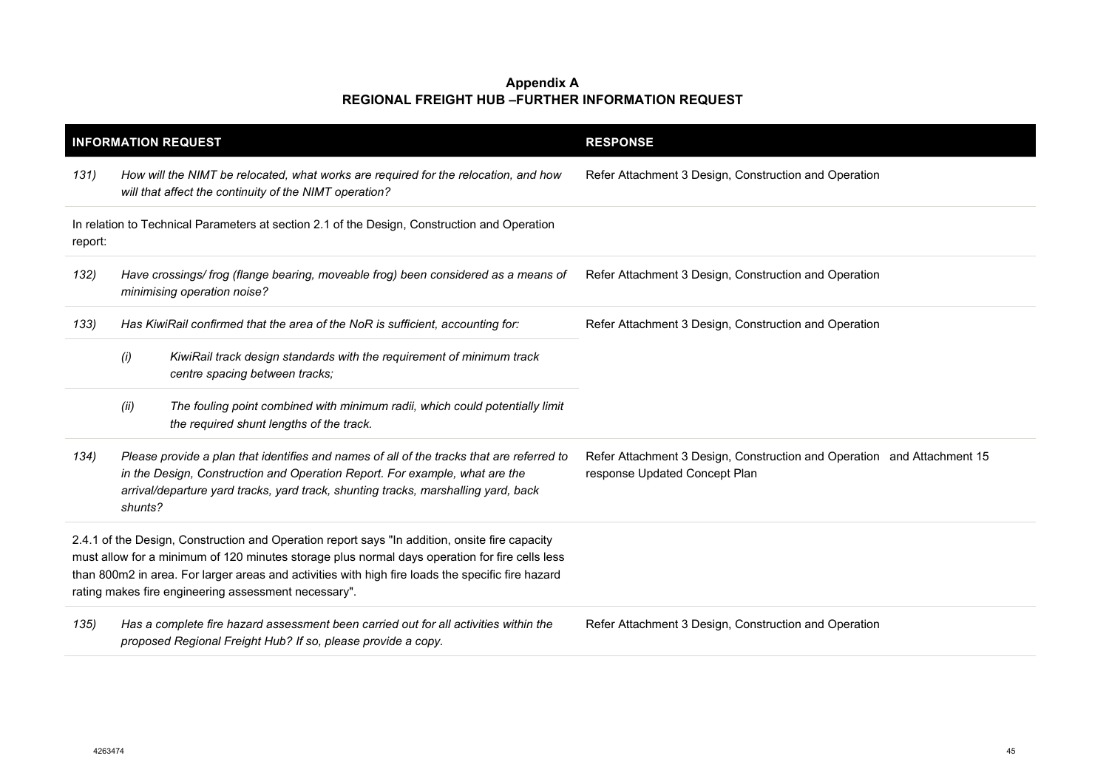|                                                                                                                                                                                                                                                                                                                                                               | <b>INFORMATION REQUEST</b>                                                                                                                                                                                                                                                | <b>RESPONSE</b>                                                                                          |
|---------------------------------------------------------------------------------------------------------------------------------------------------------------------------------------------------------------------------------------------------------------------------------------------------------------------------------------------------------------|---------------------------------------------------------------------------------------------------------------------------------------------------------------------------------------------------------------------------------------------------------------------------|----------------------------------------------------------------------------------------------------------|
| 131)                                                                                                                                                                                                                                                                                                                                                          | How will the NIMT be relocated, what works are required for the relocation, and how<br>will that affect the continuity of the NIMT operation?                                                                                                                             | Refer Attachment 3 Design, Construction and Operation                                                    |
| report:                                                                                                                                                                                                                                                                                                                                                       | In relation to Technical Parameters at section 2.1 of the Design, Construction and Operation                                                                                                                                                                              |                                                                                                          |
| 132)                                                                                                                                                                                                                                                                                                                                                          | Have crossings/frog (flange bearing, moveable frog) been considered as a means of<br>minimising operation noise?                                                                                                                                                          | Refer Attachment 3 Design, Construction and Operation                                                    |
| 133)                                                                                                                                                                                                                                                                                                                                                          | Has KiwiRail confirmed that the area of the NoR is sufficient, accounting for:                                                                                                                                                                                            | Refer Attachment 3 Design, Construction and Operation                                                    |
|                                                                                                                                                                                                                                                                                                                                                               | (i)<br>KiwiRail track design standards with the requirement of minimum track<br>centre spacing between tracks;                                                                                                                                                            |                                                                                                          |
|                                                                                                                                                                                                                                                                                                                                                               | The fouling point combined with minimum radii, which could potentially limit<br>(ii)<br>the required shunt lengths of the track.                                                                                                                                          |                                                                                                          |
| 134)                                                                                                                                                                                                                                                                                                                                                          | Please provide a plan that identifies and names of all of the tracks that are referred to<br>in the Design, Construction and Operation Report. For example, what are the<br>arrival/departure yard tracks, yard track, shunting tracks, marshalling yard, back<br>shunts? | Refer Attachment 3 Design, Construction and Operation and Attachment 15<br>response Updated Concept Plan |
| 2.4.1 of the Design, Construction and Operation report says "In addition, onsite fire capacity<br>must allow for a minimum of 120 minutes storage plus normal days operation for fire cells less<br>than 800m2 in area. For larger areas and activities with high fire loads the specific fire hazard<br>rating makes fire engineering assessment necessary". |                                                                                                                                                                                                                                                                           |                                                                                                          |
| 135)                                                                                                                                                                                                                                                                                                                                                          | Has a complete fire hazard assessment been carried out for all activities within the<br>proposed Regional Freight Hub? If so, please provide a copy.                                                                                                                      | Refer Attachment 3 Design, Construction and Operation                                                    |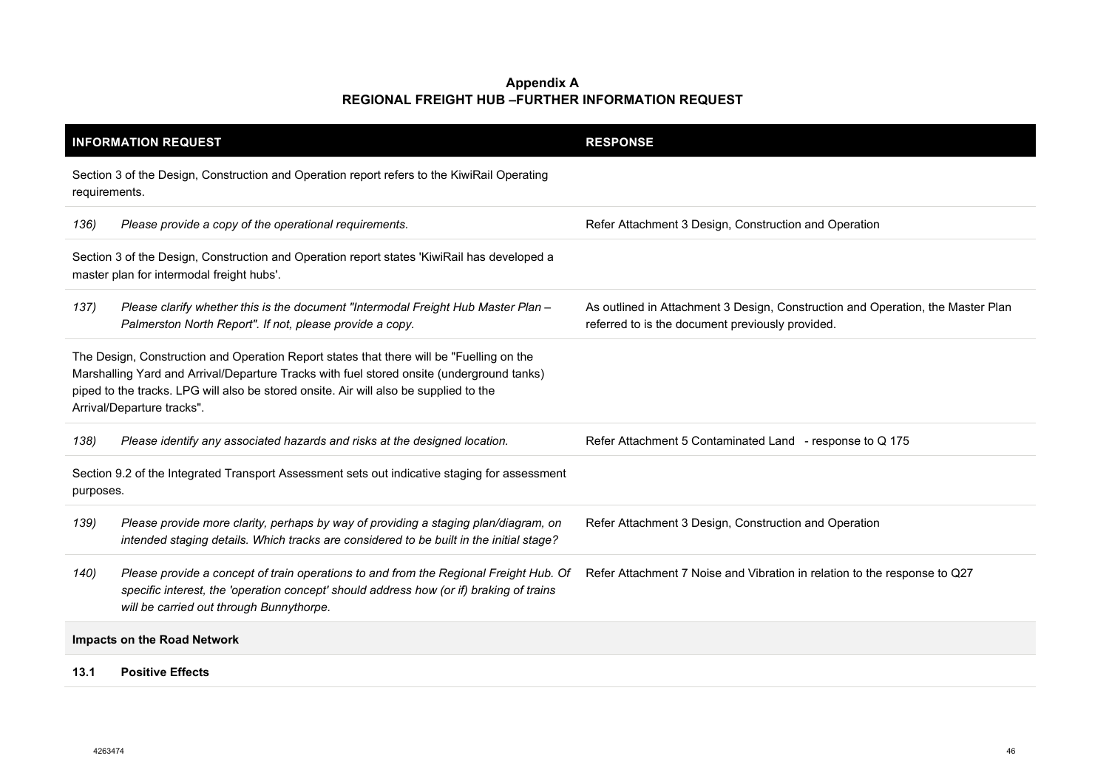|                                                                                                            | <b>INFORMATION REQUEST</b>                                                                                                                                                                                                                                                                                   | <b>RESPONSE</b>                                                                                                                     |
|------------------------------------------------------------------------------------------------------------|--------------------------------------------------------------------------------------------------------------------------------------------------------------------------------------------------------------------------------------------------------------------------------------------------------------|-------------------------------------------------------------------------------------------------------------------------------------|
| requirements.                                                                                              | Section 3 of the Design, Construction and Operation report refers to the KiwiRail Operating                                                                                                                                                                                                                  |                                                                                                                                     |
| 136)                                                                                                       | Please provide a copy of the operational requirements.                                                                                                                                                                                                                                                       | Refer Attachment 3 Design, Construction and Operation                                                                               |
|                                                                                                            | Section 3 of the Design, Construction and Operation report states 'KiwiRail has developed a<br>master plan for intermodal freight hubs'.                                                                                                                                                                     |                                                                                                                                     |
| 137)                                                                                                       | Please clarify whether this is the document "Intermodal Freight Hub Master Plan -<br>Palmerston North Report". If not, please provide a copy.                                                                                                                                                                | As outlined in Attachment 3 Design, Construction and Operation, the Master Plan<br>referred to is the document previously provided. |
|                                                                                                            | The Design, Construction and Operation Report states that there will be "Fuelling on the<br>Marshalling Yard and Arrival/Departure Tracks with fuel stored onsite (underground tanks)<br>piped to the tracks. LPG will also be stored onsite. Air will also be supplied to the<br>Arrival/Departure tracks". |                                                                                                                                     |
| 138)                                                                                                       | Please identify any associated hazards and risks at the designed location.                                                                                                                                                                                                                                   | Refer Attachment 5 Contaminated Land - response to Q 175                                                                            |
| Section 9.2 of the Integrated Transport Assessment sets out indicative staging for assessment<br>purposes. |                                                                                                                                                                                                                                                                                                              |                                                                                                                                     |
| 139)                                                                                                       | Please provide more clarity, perhaps by way of providing a staging plan/diagram, on<br>intended staging details. Which tracks are considered to be built in the initial stage?                                                                                                                               | Refer Attachment 3 Design, Construction and Operation                                                                               |
| 140)                                                                                                       | Please provide a concept of train operations to and from the Regional Freight Hub. Of<br>specific interest, the 'operation concept' should address how (or if) braking of trains<br>will be carried out through Bunnythorpe.                                                                                 | Refer Attachment 7 Noise and Vibration in relation to the response to Q27                                                           |
|                                                                                                            | Impacts on the Road Network                                                                                                                                                                                                                                                                                  |                                                                                                                                     |
| 13.1                                                                                                       | <b>Positive Effects</b>                                                                                                                                                                                                                                                                                      |                                                                                                                                     |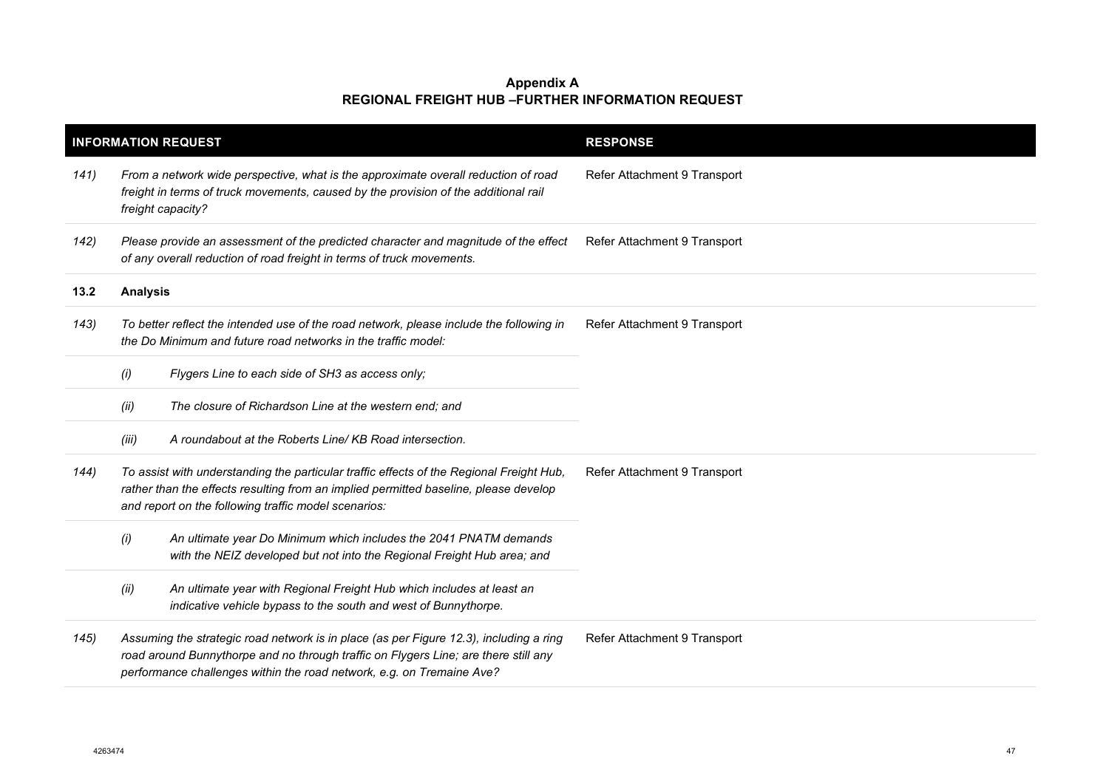|      |                                                                                                                                                                                                                                          | <b>INFORMATION REQUEST</b>                                                                                                                                                                                                                             | <b>RESPONSE</b>              |
|------|------------------------------------------------------------------------------------------------------------------------------------------------------------------------------------------------------------------------------------------|--------------------------------------------------------------------------------------------------------------------------------------------------------------------------------------------------------------------------------------------------------|------------------------------|
| 141) |                                                                                                                                                                                                                                          | From a network wide perspective, what is the approximate overall reduction of road<br>freight in terms of truck movements, caused by the provision of the additional rail<br>freight capacity?                                                         | Refer Attachment 9 Transport |
| 142) |                                                                                                                                                                                                                                          | Please provide an assessment of the predicted character and magnitude of the effect<br>of any overall reduction of road freight in terms of truck movements.                                                                                           | Refer Attachment 9 Transport |
| 13.2 | <b>Analysis</b>                                                                                                                                                                                                                          |                                                                                                                                                                                                                                                        |                              |
| 143) |                                                                                                                                                                                                                                          | To better reflect the intended use of the road network, please include the following in<br>the Do Minimum and future road networks in the traffic model:                                                                                               | Refer Attachment 9 Transport |
|      | (i)                                                                                                                                                                                                                                      | Flygers Line to each side of SH3 as access only;                                                                                                                                                                                                       |                              |
|      | (ii)                                                                                                                                                                                                                                     | The closure of Richardson Line at the western end; and                                                                                                                                                                                                 |                              |
|      | (iii)                                                                                                                                                                                                                                    | A roundabout at the Roberts Line/KB Road intersection.                                                                                                                                                                                                 |                              |
| 144) | To assist with understanding the particular traffic effects of the Regional Freight Hub,<br>rather than the effects resulting from an implied permitted baseline, please develop<br>and report on the following traffic model scenarios: |                                                                                                                                                                                                                                                        | Refer Attachment 9 Transport |
|      | (i)                                                                                                                                                                                                                                      | An ultimate year Do Minimum which includes the 2041 PNATM demands<br>with the NEIZ developed but not into the Regional Freight Hub area; and                                                                                                           |                              |
|      | (ii)                                                                                                                                                                                                                                     | An ultimate year with Regional Freight Hub which includes at least an<br>indicative vehicle bypass to the south and west of Bunnythorpe.                                                                                                               |                              |
| 145) |                                                                                                                                                                                                                                          | Assuming the strategic road network is in place (as per Figure 12.3), including a ring<br>road around Bunnythorpe and no through traffic on Flygers Line; are there still any<br>performance challenges within the road network, e.g. on Tremaine Ave? | Refer Attachment 9 Transport |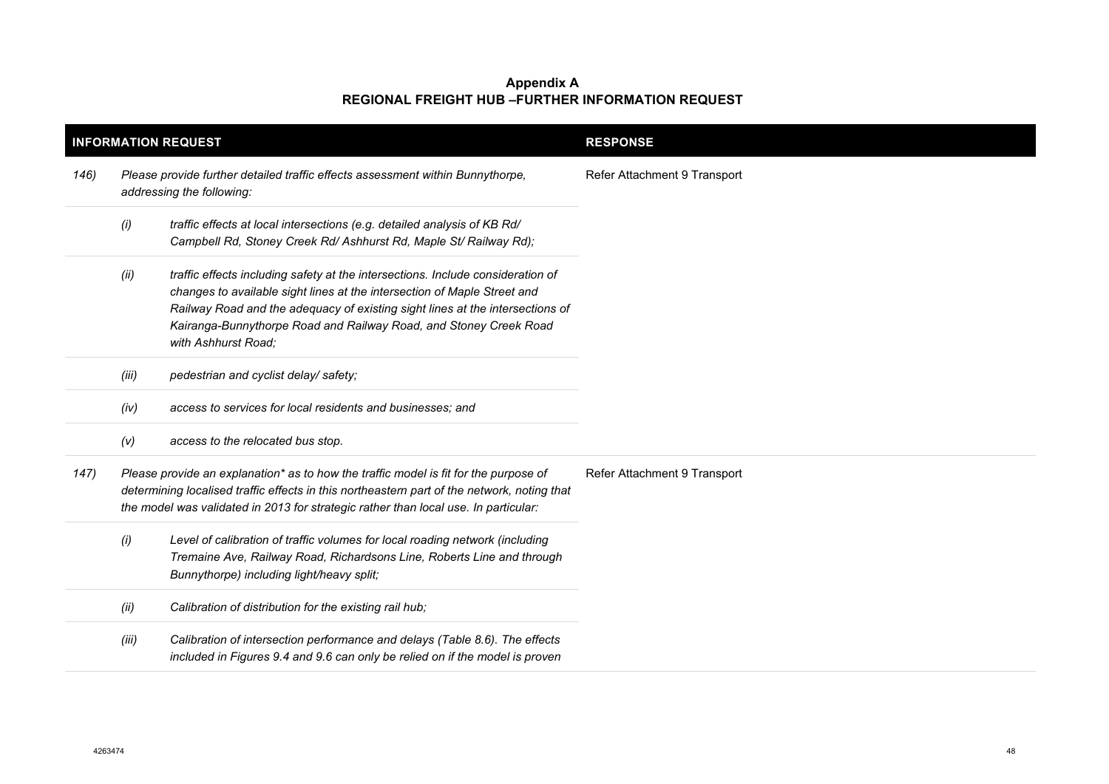| <b>INFORMATION REQUEST</b> |                                                                                                                                                                                                                                                                            |                                                                                                                                                                                                                                                                                                                                          | <b>RESPONSE</b>              |
|----------------------------|----------------------------------------------------------------------------------------------------------------------------------------------------------------------------------------------------------------------------------------------------------------------------|------------------------------------------------------------------------------------------------------------------------------------------------------------------------------------------------------------------------------------------------------------------------------------------------------------------------------------------|------------------------------|
| 146)                       | Please provide further detailed traffic effects assessment within Bunnythorpe,<br>addressing the following:                                                                                                                                                                |                                                                                                                                                                                                                                                                                                                                          | Refer Attachment 9 Transport |
|                            | (i)                                                                                                                                                                                                                                                                        | traffic effects at local intersections (e.g. detailed analysis of KB Rd/<br>Campbell Rd, Stoney Creek Rd/ Ashhurst Rd, Maple St/ Railway Rd);                                                                                                                                                                                            |                              |
|                            | (ii)                                                                                                                                                                                                                                                                       | traffic effects including safety at the intersections. Include consideration of<br>changes to available sight lines at the intersection of Maple Street and<br>Railway Road and the adequacy of existing sight lines at the intersections of<br>Kairanga-Bunnythorpe Road and Railway Road, and Stoney Creek Road<br>with Ashhurst Road; |                              |
|                            | (iii)                                                                                                                                                                                                                                                                      | pedestrian and cyclist delay/safety;                                                                                                                                                                                                                                                                                                     |                              |
|                            | (iv)                                                                                                                                                                                                                                                                       | access to services for local residents and businesses; and                                                                                                                                                                                                                                                                               |                              |
|                            | (V)                                                                                                                                                                                                                                                                        | access to the relocated bus stop.                                                                                                                                                                                                                                                                                                        |                              |
| 147)                       | Please provide an explanation* as to how the traffic model is fit for the purpose of<br>determining localised traffic effects in this northeastern part of the network, noting that<br>the model was validated in 2013 for strategic rather than local use. In particular: |                                                                                                                                                                                                                                                                                                                                          | Refer Attachment 9 Transport |
|                            | (i)                                                                                                                                                                                                                                                                        | Level of calibration of traffic volumes for local roading network (including<br>Tremaine Ave, Railway Road, Richardsons Line, Roberts Line and through<br>Bunnythorpe) including light/heavy split;                                                                                                                                      |                              |
|                            | (ii)                                                                                                                                                                                                                                                                       | Calibration of distribution for the existing rail hub;                                                                                                                                                                                                                                                                                   |                              |
|                            | (iii)                                                                                                                                                                                                                                                                      | Calibration of intersection performance and delays (Table 8.6). The effects<br>included in Figures 9.4 and 9.6 can only be relied on if the model is proven                                                                                                                                                                              |                              |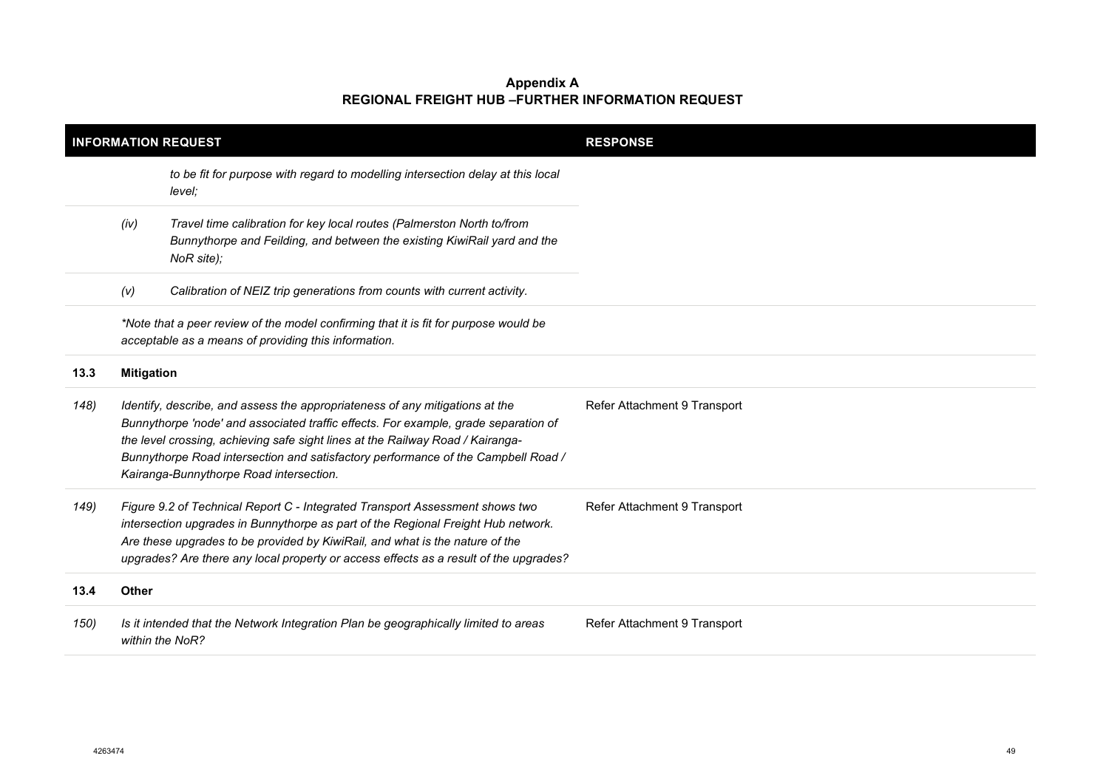| <b>INFORMATION REQUEST</b> |                   |                                                                                                                                                                                                                                                                                                                                                                                       | <b>RESPONSE</b>              |
|----------------------------|-------------------|---------------------------------------------------------------------------------------------------------------------------------------------------------------------------------------------------------------------------------------------------------------------------------------------------------------------------------------------------------------------------------------|------------------------------|
|                            |                   | to be fit for purpose with regard to modelling intersection delay at this local<br>level;                                                                                                                                                                                                                                                                                             |                              |
|                            | (iv)              | Travel time calibration for key local routes (Palmerston North to/from<br>Bunnythorpe and Feilding, and between the existing KiwiRail yard and the<br>NoR site);                                                                                                                                                                                                                      |                              |
|                            | (V)               | Calibration of NEIZ trip generations from counts with current activity.                                                                                                                                                                                                                                                                                                               |                              |
|                            |                   | *Note that a peer review of the model confirming that it is fit for purpose would be<br>acceptable as a means of providing this information.                                                                                                                                                                                                                                          |                              |
| 13.3                       | <b>Mitigation</b> |                                                                                                                                                                                                                                                                                                                                                                                       |                              |
| 148)                       |                   | Identify, describe, and assess the appropriateness of any mitigations at the<br>Bunnythorpe 'node' and associated traffic effects. For example, grade separation of<br>the level crossing, achieving safe sight lines at the Railway Road / Kairanga-<br>Bunnythorpe Road intersection and satisfactory performance of the Campbell Road /<br>Kairanga-Bunnythorpe Road intersection. | Refer Attachment 9 Transport |
| 149)                       |                   | Figure 9.2 of Technical Report C - Integrated Transport Assessment shows two<br>intersection upgrades in Bunnythorpe as part of the Regional Freight Hub network.<br>Are these upgrades to be provided by KiwiRail, and what is the nature of the<br>upgrades? Are there any local property or access effects as a result of the upgrades?                                            | Refer Attachment 9 Transport |
| 13.4                       | <b>Other</b>      |                                                                                                                                                                                                                                                                                                                                                                                       |                              |
| 150)                       |                   | Is it intended that the Network Integration Plan be geographically limited to areas<br>within the NoR?                                                                                                                                                                                                                                                                                | Refer Attachment 9 Transport |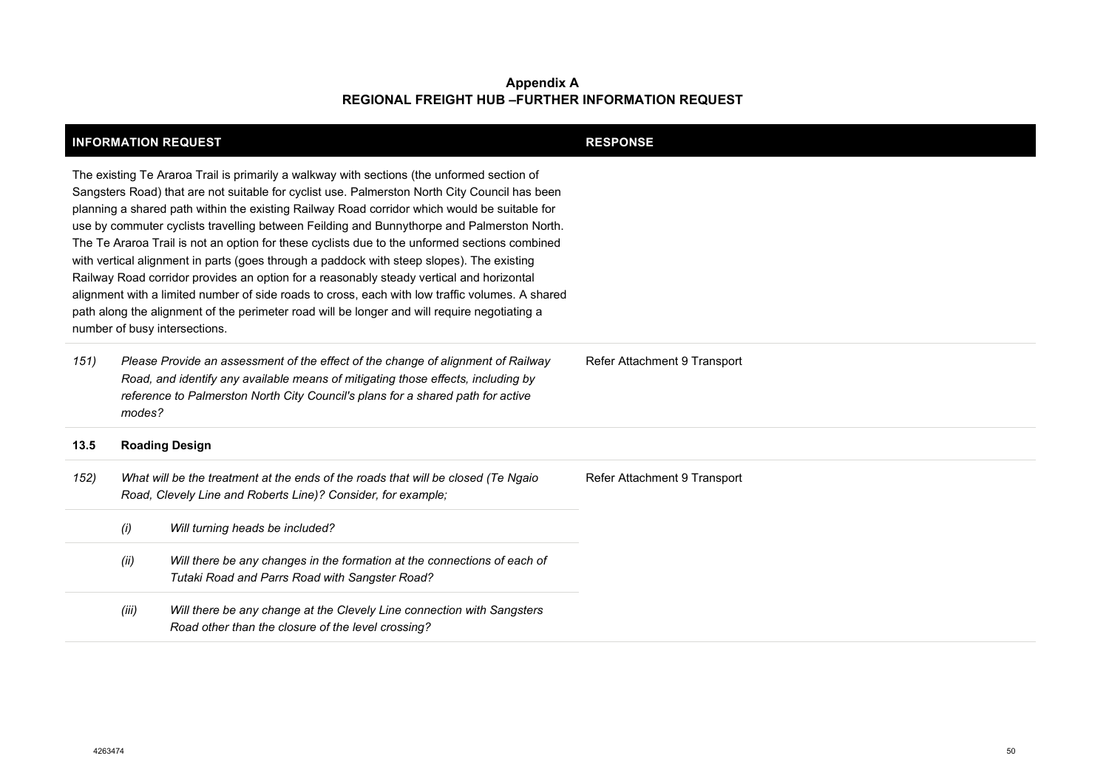| <b>INFORMATION REQUEST</b>                                                                                                                                                                                                                                                                                                                                                                                                                                                                                                                                                                                                                                                                                                                                                                                                                                                                                              |                                                                                                                                                                                                                                                                   |                                                                                                                              | <b>RESPONSE</b>              |
|-------------------------------------------------------------------------------------------------------------------------------------------------------------------------------------------------------------------------------------------------------------------------------------------------------------------------------------------------------------------------------------------------------------------------------------------------------------------------------------------------------------------------------------------------------------------------------------------------------------------------------------------------------------------------------------------------------------------------------------------------------------------------------------------------------------------------------------------------------------------------------------------------------------------------|-------------------------------------------------------------------------------------------------------------------------------------------------------------------------------------------------------------------------------------------------------------------|------------------------------------------------------------------------------------------------------------------------------|------------------------------|
| The existing Te Araroa Trail is primarily a walkway with sections (the unformed section of<br>Sangsters Road) that are not suitable for cyclist use. Palmerston North City Council has been<br>planning a shared path within the existing Railway Road corridor which would be suitable for<br>use by commuter cyclists travelling between Feilding and Bunnythorpe and Palmerston North.<br>The Te Araroa Trail is not an option for these cyclists due to the unformed sections combined<br>with vertical alignment in parts (goes through a paddock with steep slopes). The existing<br>Railway Road corridor provides an option for a reasonably steady vertical and horizontal<br>alignment with a limited number of side roads to cross, each with low traffic volumes. A shared<br>path along the alignment of the perimeter road will be longer and will require negotiating a<br>number of busy intersections. |                                                                                                                                                                                                                                                                   |                                                                                                                              |                              |
| 151)                                                                                                                                                                                                                                                                                                                                                                                                                                                                                                                                                                                                                                                                                                                                                                                                                                                                                                                    | Please Provide an assessment of the effect of the change of alignment of Railway<br>Road, and identify any available means of mitigating those effects, including by<br>reference to Palmerston North City Council's plans for a shared path for active<br>modes? |                                                                                                                              | Refer Attachment 9 Transport |
| 13.5                                                                                                                                                                                                                                                                                                                                                                                                                                                                                                                                                                                                                                                                                                                                                                                                                                                                                                                    |                                                                                                                                                                                                                                                                   | <b>Roading Design</b>                                                                                                        |                              |
| 152)                                                                                                                                                                                                                                                                                                                                                                                                                                                                                                                                                                                                                                                                                                                                                                                                                                                                                                                    | What will be the treatment at the ends of the roads that will be closed (Te Ngaio<br>Road, Clevely Line and Roberts Line)? Consider, for example;                                                                                                                 |                                                                                                                              | Refer Attachment 9 Transport |
|                                                                                                                                                                                                                                                                                                                                                                                                                                                                                                                                                                                                                                                                                                                                                                                                                                                                                                                         | (i)                                                                                                                                                                                                                                                               | Will turning heads be included?                                                                                              |                              |
|                                                                                                                                                                                                                                                                                                                                                                                                                                                                                                                                                                                                                                                                                                                                                                                                                                                                                                                         | (ii)                                                                                                                                                                                                                                                              | Will there be any changes in the formation at the connections of each of<br>Tutaki Road and Parrs Road with Sangster Road?   |                              |
|                                                                                                                                                                                                                                                                                                                                                                                                                                                                                                                                                                                                                                                                                                                                                                                                                                                                                                                         | (iii)                                                                                                                                                                                                                                                             | Will there be any change at the Clevely Line connection with Sangsters<br>Road other than the closure of the level crossing? |                              |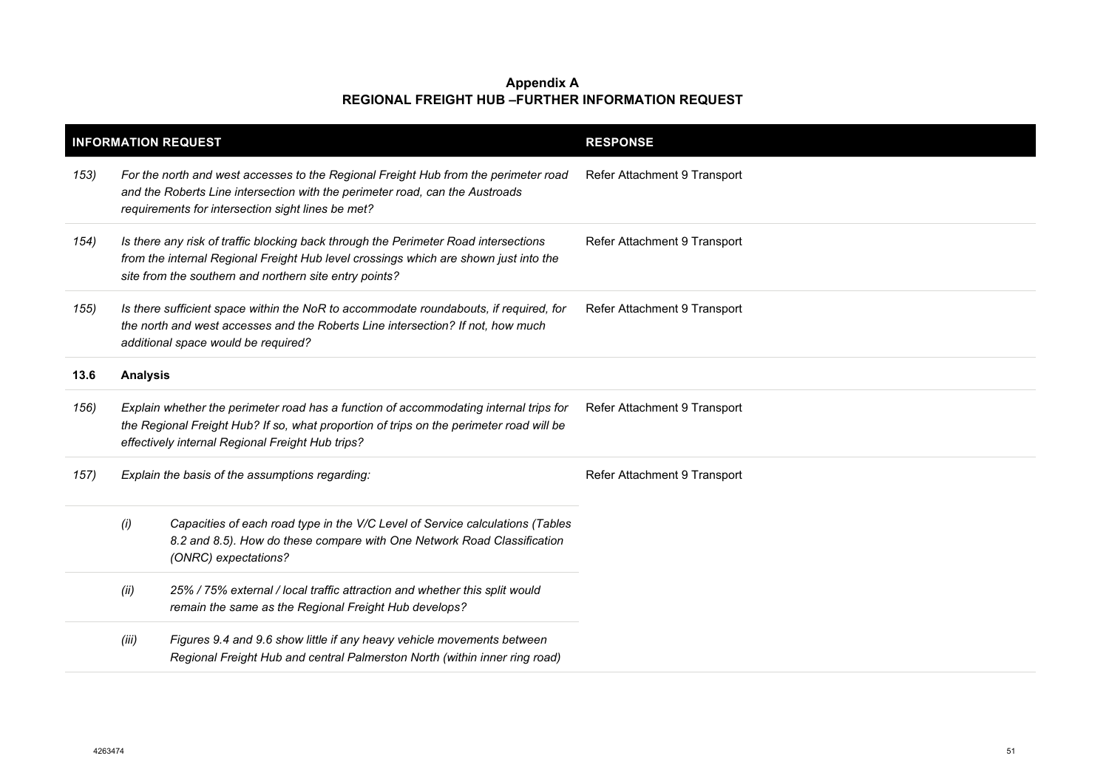|      |                 | <b>INFORMATION REQUEST</b>                                                                                                                                                                                                            | <b>RESPONSE</b>              |
|------|-----------------|---------------------------------------------------------------------------------------------------------------------------------------------------------------------------------------------------------------------------------------|------------------------------|
| 153) |                 | For the north and west accesses to the Regional Freight Hub from the perimeter road<br>and the Roberts Line intersection with the perimeter road, can the Austroads<br>requirements for intersection sight lines be met?              | Refer Attachment 9 Transport |
| 154) |                 | Is there any risk of traffic blocking back through the Perimeter Road intersections<br>from the internal Regional Freight Hub level crossings which are shown just into the<br>site from the southern and northern site entry points? | Refer Attachment 9 Transport |
| 155) |                 | Is there sufficient space within the NoR to accommodate roundabouts, if required, for<br>the north and west accesses and the Roberts Line intersection? If not, how much<br>additional space would be required?                       | Refer Attachment 9 Transport |
| 13.6 | <b>Analysis</b> |                                                                                                                                                                                                                                       |                              |
| 156) |                 | Explain whether the perimeter road has a function of accommodating internal trips for<br>the Regional Freight Hub? If so, what proportion of trips on the perimeter road will be<br>effectively internal Regional Freight Hub trips?  | Refer Attachment 9 Transport |
| 157) |                 | Explain the basis of the assumptions regarding:                                                                                                                                                                                       | Refer Attachment 9 Transport |
|      | (i)             | Capacities of each road type in the V/C Level of Service calculations (Tables<br>8.2 and 8.5). How do these compare with One Network Road Classification<br>(ONRC) expectations?                                                      |                              |
|      | (ii)            | 25% / 75% external / local traffic attraction and whether this split would<br>remain the same as the Regional Freight Hub develops?                                                                                                   |                              |
|      | (iii)           | Figures 9.4 and 9.6 show little if any heavy vehicle movements between<br>Regional Freight Hub and central Palmerston North (within inner ring road)                                                                                  |                              |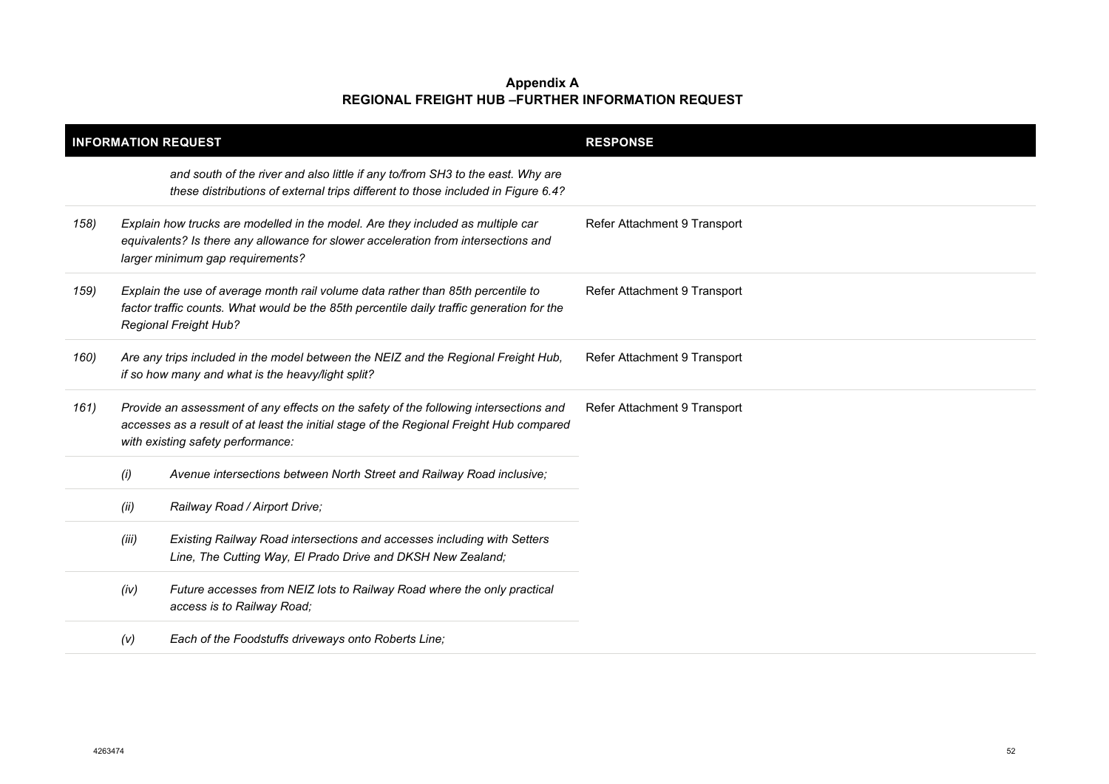| <b>INFORMATION REQUEST</b> |       |                                                                                                                                                                                                                       | <b>RESPONSE</b>              |  |
|----------------------------|-------|-----------------------------------------------------------------------------------------------------------------------------------------------------------------------------------------------------------------------|------------------------------|--|
|                            |       | and south of the river and also little if any to/from SH3 to the east. Why are<br>these distributions of external trips different to those included in Figure 6.4?                                                    |                              |  |
| 158)                       |       | Explain how trucks are modelled in the model. Are they included as multiple car<br>equivalents? Is there any allowance for slower acceleration from intersections and<br>larger minimum gap requirements?             | Refer Attachment 9 Transport |  |
| 159)                       |       | Explain the use of average month rail volume data rather than 85th percentile to<br>factor traffic counts. What would be the 85th percentile daily traffic generation for the<br><b>Regional Freight Hub?</b>         | Refer Attachment 9 Transport |  |
| 160)                       |       | Are any trips included in the model between the NEIZ and the Regional Freight Hub,<br>if so how many and what is the heavy/light split?                                                                               | Refer Attachment 9 Transport |  |
| 161)                       |       | Provide an assessment of any effects on the safety of the following intersections and<br>accesses as a result of at least the initial stage of the Regional Freight Hub compared<br>with existing safety performance: | Refer Attachment 9 Transport |  |
|                            | (i)   | Avenue intersections between North Street and Railway Road inclusive;                                                                                                                                                 |                              |  |
|                            | (ii)  | Railway Road / Airport Drive;                                                                                                                                                                                         |                              |  |
|                            | (iii) | Existing Railway Road intersections and accesses including with Setters<br>Line, The Cutting Way, El Prado Drive and DKSH New Zealand;                                                                                |                              |  |
|                            | (iv)  | Future accesses from NEIZ lots to Railway Road where the only practical<br>access is to Railway Road;                                                                                                                 |                              |  |
|                            | (V)   | Each of the Foodstuffs driveways onto Roberts Line;                                                                                                                                                                   |                              |  |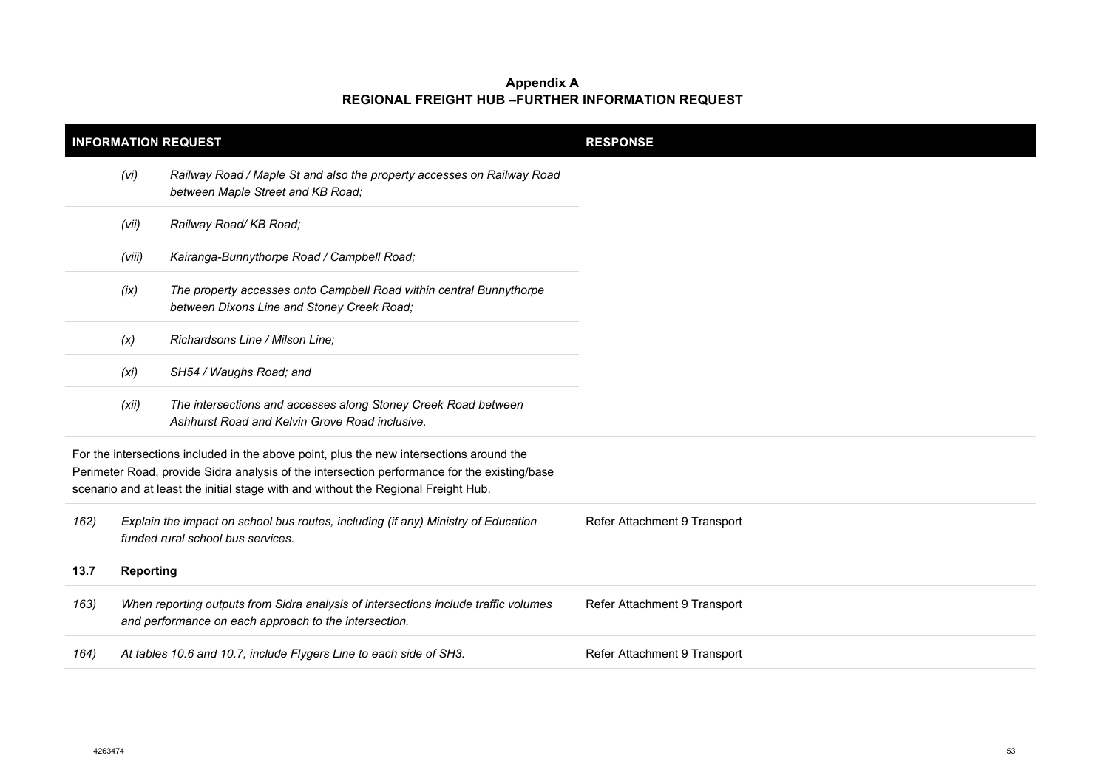| <b>INFORMATION REQUEST</b>                                                                                                                                                                                                                                                     |                                                                                                                        |                                                                                                                                              | <b>RESPONSE</b>              |
|--------------------------------------------------------------------------------------------------------------------------------------------------------------------------------------------------------------------------------------------------------------------------------|------------------------------------------------------------------------------------------------------------------------|----------------------------------------------------------------------------------------------------------------------------------------------|------------------------------|
|                                                                                                                                                                                                                                                                                | (vi)                                                                                                                   | Railway Road / Maple St and also the property accesses on Railway Road<br>between Maple Street and KB Road;                                  |                              |
|                                                                                                                                                                                                                                                                                | (vii)                                                                                                                  | Railway Road/KB Road;                                                                                                                        |                              |
|                                                                                                                                                                                                                                                                                | (viii)                                                                                                                 | Kairanga-Bunnythorpe Road / Campbell Road;                                                                                                   |                              |
|                                                                                                                                                                                                                                                                                | (ix)                                                                                                                   | The property accesses onto Campbell Road within central Bunnythorpe<br>between Dixons Line and Stoney Creek Road;                            |                              |
|                                                                                                                                                                                                                                                                                | (x)                                                                                                                    | Richardsons Line / Milson Line;                                                                                                              |                              |
|                                                                                                                                                                                                                                                                                | (xi)                                                                                                                   | SH54 / Waughs Road; and                                                                                                                      |                              |
|                                                                                                                                                                                                                                                                                | (xii)                                                                                                                  | The intersections and accesses along Stoney Creek Road between<br>Ashhurst Road and Kelvin Grove Road inclusive.                             |                              |
| For the intersections included in the above point, plus the new intersections around the<br>Perimeter Road, provide Sidra analysis of the intersection performance for the existing/base<br>scenario and at least the initial stage with and without the Regional Freight Hub. |                                                                                                                        |                                                                                                                                              |                              |
| 162)                                                                                                                                                                                                                                                                           | Explain the impact on school bus routes, including (if any) Ministry of Education<br>funded rural school bus services. |                                                                                                                                              | Refer Attachment 9 Transport |
| 13.7                                                                                                                                                                                                                                                                           | <b>Reporting</b>                                                                                                       |                                                                                                                                              |                              |
| 163)                                                                                                                                                                                                                                                                           |                                                                                                                        | When reporting outputs from Sidra analysis of intersections include traffic volumes<br>and performance on each approach to the intersection. | Refer Attachment 9 Transport |
| 164)                                                                                                                                                                                                                                                                           |                                                                                                                        | At tables 10.6 and 10.7, include Flygers Line to each side of SH3.                                                                           | Refer Attachment 9 Transport |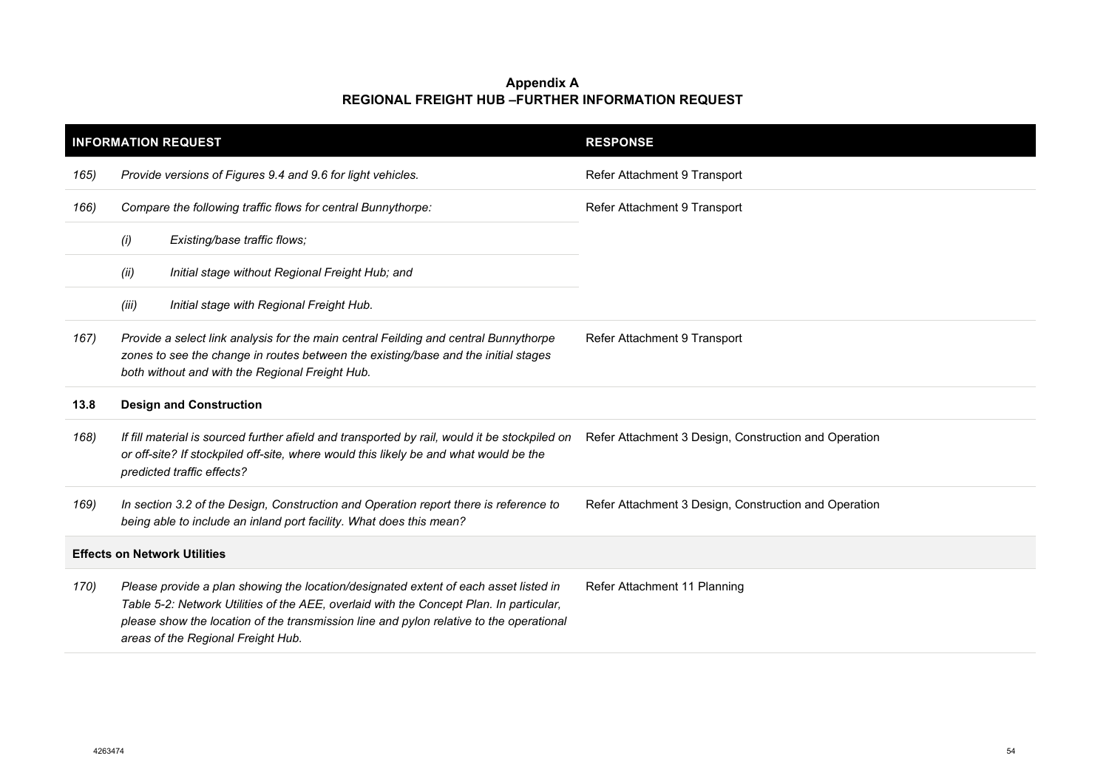|      | <b>INFORMATION REQUEST</b>                                                                                                                                                                                                                                                                                       | <b>RESPONSE</b>                                       |
|------|------------------------------------------------------------------------------------------------------------------------------------------------------------------------------------------------------------------------------------------------------------------------------------------------------------------|-------------------------------------------------------|
| 165) | Provide versions of Figures 9.4 and 9.6 for light vehicles.                                                                                                                                                                                                                                                      | Refer Attachment 9 Transport                          |
| 166) | Compare the following traffic flows for central Bunnythorpe:                                                                                                                                                                                                                                                     | Refer Attachment 9 Transport                          |
|      | (i)<br>Existing/base traffic flows;                                                                                                                                                                                                                                                                              |                                                       |
|      | (ii)<br>Initial stage without Regional Freight Hub; and                                                                                                                                                                                                                                                          |                                                       |
|      | Initial stage with Regional Freight Hub.<br>(iii)                                                                                                                                                                                                                                                                |                                                       |
| 167) | Provide a select link analysis for the main central Feilding and central Bunnythorpe<br>zones to see the change in routes between the existing/base and the initial stages<br>both without and with the Regional Freight Hub.                                                                                    | Refer Attachment 9 Transport                          |
| 13.8 | <b>Design and Construction</b>                                                                                                                                                                                                                                                                                   |                                                       |
| 168) | If fill material is sourced further afield and transported by rail, would it be stockpiled on<br>or off-site? If stockpiled off-site, where would this likely be and what would be the<br>predicted traffic effects?                                                                                             | Refer Attachment 3 Design, Construction and Operation |
| 169) | In section 3.2 of the Design, Construction and Operation report there is reference to<br>being able to include an inland port facility. What does this mean?                                                                                                                                                     | Refer Attachment 3 Design, Construction and Operation |
|      | <b>Effects on Network Utilities</b>                                                                                                                                                                                                                                                                              |                                                       |
| 170) | Please provide a plan showing the location/designated extent of each asset listed in<br>Table 5-2: Network Utilities of the AEE, overlaid with the Concept Plan. In particular,<br>please show the location of the transmission line and pylon relative to the operational<br>areas of the Regional Freight Hub. | Refer Attachment 11 Planning                          |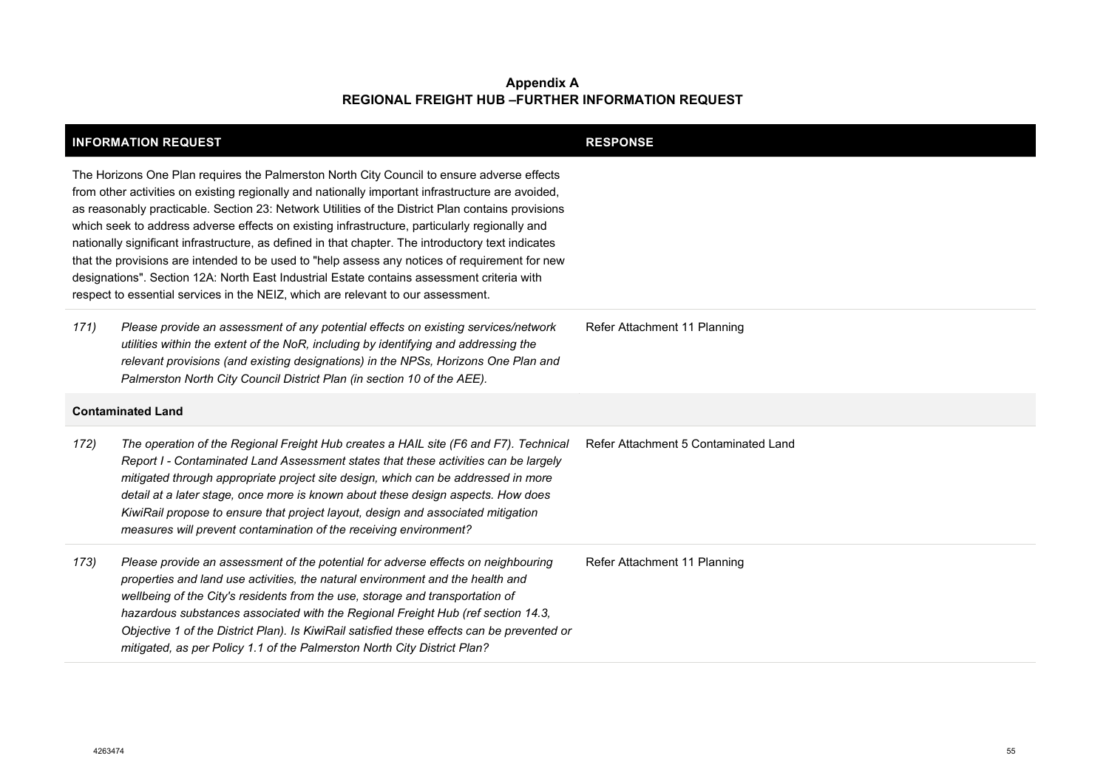|      | <b>INFORMATION REQUEST</b>                                                                                                                                                                                                                                                                                                                                                                                                                                                                                                                                                                                                                                                                                                                                                                      | <b>RESPONSE</b>                      |
|------|-------------------------------------------------------------------------------------------------------------------------------------------------------------------------------------------------------------------------------------------------------------------------------------------------------------------------------------------------------------------------------------------------------------------------------------------------------------------------------------------------------------------------------------------------------------------------------------------------------------------------------------------------------------------------------------------------------------------------------------------------------------------------------------------------|--------------------------------------|
|      | The Horizons One Plan requires the Palmerston North City Council to ensure adverse effects<br>from other activities on existing regionally and nationally important infrastructure are avoided,<br>as reasonably practicable. Section 23: Network Utilities of the District Plan contains provisions<br>which seek to address adverse effects on existing infrastructure, particularly regionally and<br>nationally significant infrastructure, as defined in that chapter. The introductory text indicates<br>that the provisions are intended to be used to "help assess any notices of requirement for new<br>designations". Section 12A: North East Industrial Estate contains assessment criteria with<br>respect to essential services in the NEIZ, which are relevant to our assessment. |                                      |
| 171) | Please provide an assessment of any potential effects on existing services/network<br>utilities within the extent of the NoR, including by identifying and addressing the<br>relevant provisions (and existing designations) in the NPSs, Horizons One Plan and<br>Palmerston North City Council District Plan (in section 10 of the AEE).                                                                                                                                                                                                                                                                                                                                                                                                                                                      | Refer Attachment 11 Planning         |
|      |                                                                                                                                                                                                                                                                                                                                                                                                                                                                                                                                                                                                                                                                                                                                                                                                 |                                      |
|      | <b>Contaminated Land</b>                                                                                                                                                                                                                                                                                                                                                                                                                                                                                                                                                                                                                                                                                                                                                                        |                                      |
| 172) | The operation of the Regional Freight Hub creates a HAIL site (F6 and F7). Technical<br>Report I - Contaminated Land Assessment states that these activities can be largely<br>mitigated through appropriate project site design, which can be addressed in more<br>detail at a later stage, once more is known about these design aspects. How does<br>KiwiRail propose to ensure that project layout, design and associated mitigation<br>measures will prevent contamination of the receiving environment?                                                                                                                                                                                                                                                                                   | Refer Attachment 5 Contaminated Land |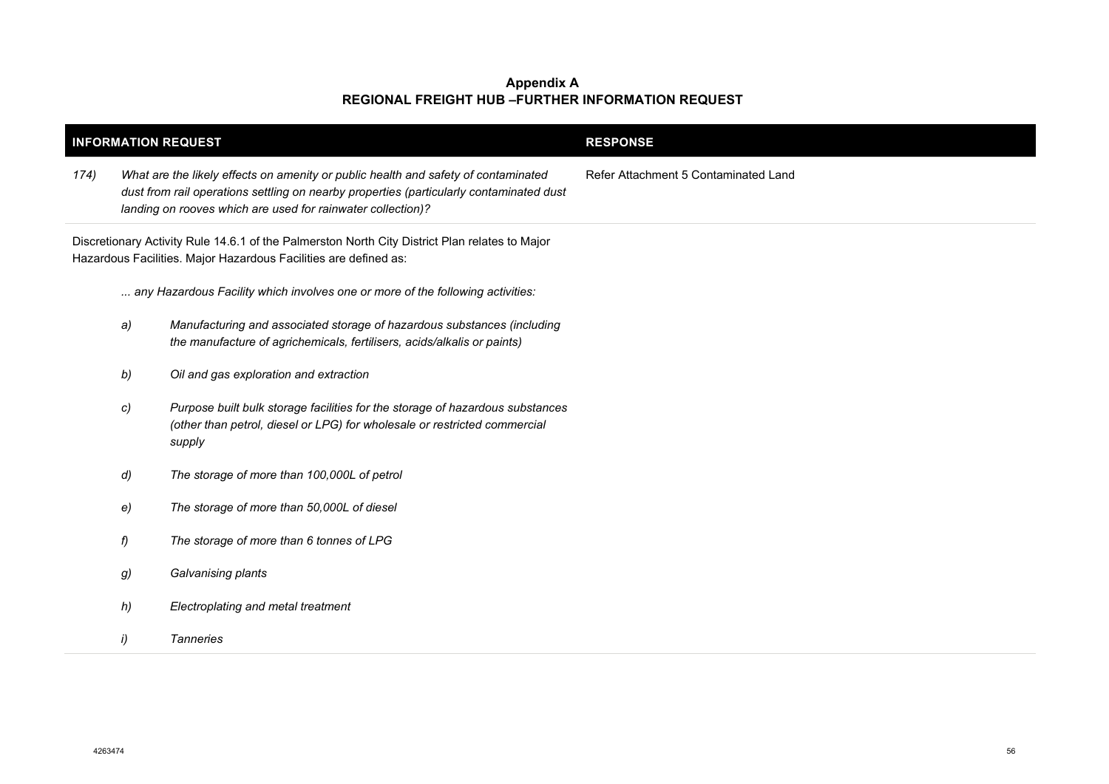| <b>INFORMATION REQUEST</b>                                                                                                                                         |              |                                                                                                                                                                                                                                              | <b>RESPONSE</b>                      |
|--------------------------------------------------------------------------------------------------------------------------------------------------------------------|--------------|----------------------------------------------------------------------------------------------------------------------------------------------------------------------------------------------------------------------------------------------|--------------------------------------|
| 174)                                                                                                                                                               |              | What are the likely effects on amenity or public health and safety of contaminated<br>dust from rail operations settling on nearby properties (particularly contaminated dust<br>landing on rooves which are used for rainwater collection)? | Refer Attachment 5 Contaminated Land |
| Discretionary Activity Rule 14.6.1 of the Palmerston North City District Plan relates to Major<br>Hazardous Facilities. Major Hazardous Facilities are defined as: |              |                                                                                                                                                                                                                                              |                                      |
|                                                                                                                                                                    |              | any Hazardous Facility which involves one or more of the following activities:                                                                                                                                                               |                                      |
|                                                                                                                                                                    | a)           | Manufacturing and associated storage of hazardous substances (including<br>the manufacture of agrichemicals, fertilisers, acids/alkalis or paints)                                                                                           |                                      |
|                                                                                                                                                                    | b)           | Oil and gas exploration and extraction                                                                                                                                                                                                       |                                      |
|                                                                                                                                                                    | c)           | Purpose built bulk storage facilities for the storage of hazardous substances<br>(other than petrol, diesel or LPG) for wholesale or restricted commercial<br>supply                                                                         |                                      |
|                                                                                                                                                                    | $\mathsf{d}$ | The storage of more than 100,000L of petrol                                                                                                                                                                                                  |                                      |
|                                                                                                                                                                    | e)           | The storage of more than 50,000L of diesel                                                                                                                                                                                                   |                                      |
|                                                                                                                                                                    | f)           | The storage of more than 6 tonnes of LPG                                                                                                                                                                                                     |                                      |
|                                                                                                                                                                    | g)           | Galvanising plants                                                                                                                                                                                                                           |                                      |
|                                                                                                                                                                    | h)           | Electroplating and metal treatment                                                                                                                                                                                                           |                                      |
|                                                                                                                                                                    | i)           | <b>Tanneries</b>                                                                                                                                                                                                                             |                                      |
|                                                                                                                                                                    |              |                                                                                                                                                                                                                                              |                                      |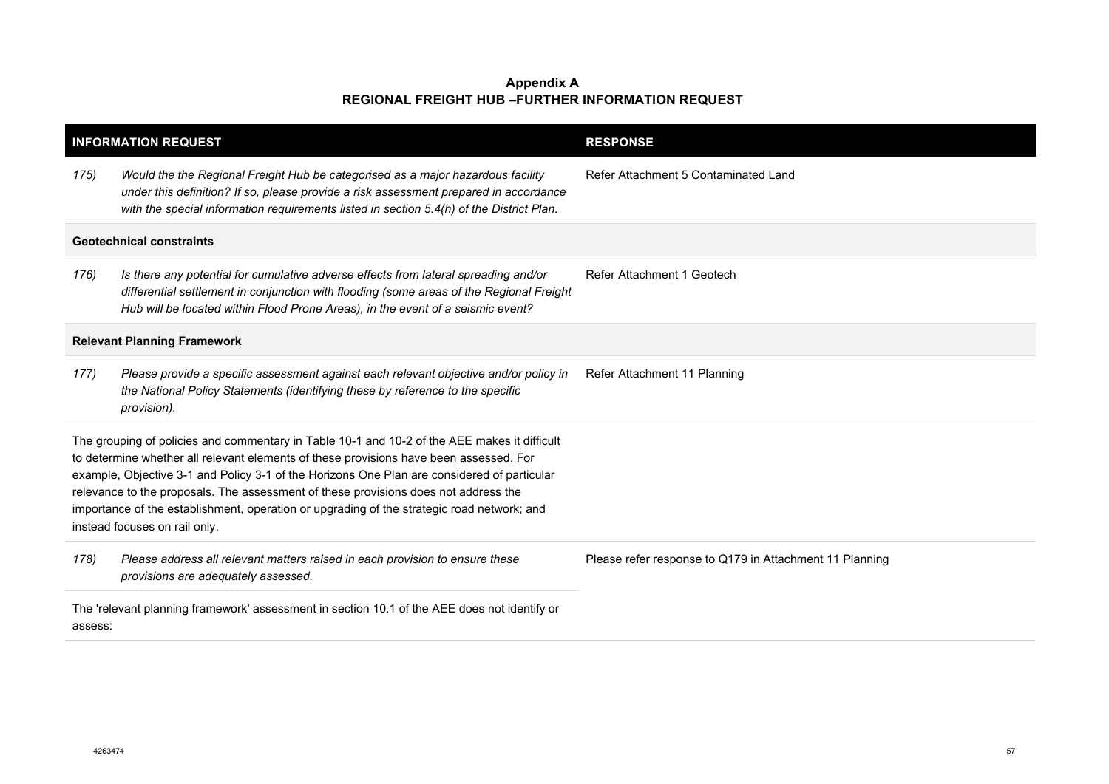|                                                                                                                                                                                                                                                                                                                                                                                                                                                                                                             | <b>INFORMATION REQUEST</b>                                                                                                                                                                                                                                           | <b>RESPONSE</b>                                         |
|-------------------------------------------------------------------------------------------------------------------------------------------------------------------------------------------------------------------------------------------------------------------------------------------------------------------------------------------------------------------------------------------------------------------------------------------------------------------------------------------------------------|----------------------------------------------------------------------------------------------------------------------------------------------------------------------------------------------------------------------------------------------------------------------|---------------------------------------------------------|
| 175)                                                                                                                                                                                                                                                                                                                                                                                                                                                                                                        | Would the the Regional Freight Hub be categorised as a major hazardous facility<br>under this definition? If so, please provide a risk assessment prepared in accordance<br>with the special information requirements listed in section 5.4(h) of the District Plan. | Refer Attachment 5 Contaminated Land                    |
|                                                                                                                                                                                                                                                                                                                                                                                                                                                                                                             | <b>Geotechnical constraints</b>                                                                                                                                                                                                                                      |                                                         |
| 176)                                                                                                                                                                                                                                                                                                                                                                                                                                                                                                        | Is there any potential for cumulative adverse effects from lateral spreading and/or<br>differential settlement in conjunction with flooding (some areas of the Regional Freight<br>Hub will be located within Flood Prone Areas), in the event of a seismic event?   | Refer Attachment 1 Geotech                              |
|                                                                                                                                                                                                                                                                                                                                                                                                                                                                                                             | <b>Relevant Planning Framework</b>                                                                                                                                                                                                                                   |                                                         |
| 177)                                                                                                                                                                                                                                                                                                                                                                                                                                                                                                        | Please provide a specific assessment against each relevant objective and/or policy in<br>the National Policy Statements (identifying these by reference to the specific<br>provision).                                                                               | Refer Attachment 11 Planning                            |
| The grouping of policies and commentary in Table 10-1 and 10-2 of the AEE makes it difficult<br>to determine whether all relevant elements of these provisions have been assessed. For<br>example, Objective 3-1 and Policy 3-1 of the Horizons One Plan are considered of particular<br>relevance to the proposals. The assessment of these provisions does not address the<br>importance of the establishment, operation or upgrading of the strategic road network; and<br>instead focuses on rail only. |                                                                                                                                                                                                                                                                      |                                                         |
| 178)                                                                                                                                                                                                                                                                                                                                                                                                                                                                                                        | Please address all relevant matters raised in each provision to ensure these<br>provisions are adequately assessed.                                                                                                                                                  | Please refer response to Q179 in Attachment 11 Planning |
| The 'relevant planning framework' assessment in section 10.1 of the AEE does not identify or<br>assess:                                                                                                                                                                                                                                                                                                                                                                                                     |                                                                                                                                                                                                                                                                      |                                                         |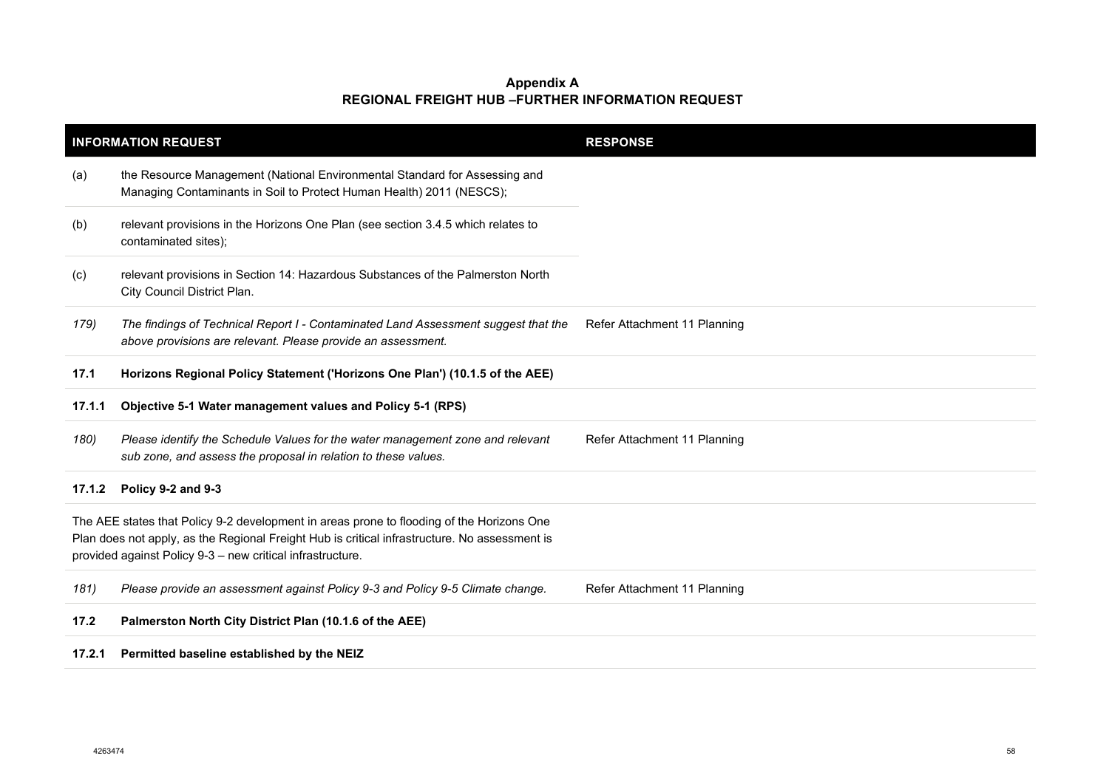|                                                                                                                                                                                                                                                          | <b>INFORMATION REQUEST</b>                                                                                                                         | <b>RESPONSE</b>              |
|----------------------------------------------------------------------------------------------------------------------------------------------------------------------------------------------------------------------------------------------------------|----------------------------------------------------------------------------------------------------------------------------------------------------|------------------------------|
| (a)                                                                                                                                                                                                                                                      | the Resource Management (National Environmental Standard for Assessing and<br>Managing Contaminants in Soil to Protect Human Health) 2011 (NESCS); |                              |
| (b)                                                                                                                                                                                                                                                      | relevant provisions in the Horizons One Plan (see section 3.4.5 which relates to<br>contaminated sites);                                           |                              |
| (c)                                                                                                                                                                                                                                                      | relevant provisions in Section 14: Hazardous Substances of the Palmerston North<br>City Council District Plan.                                     |                              |
| 179)                                                                                                                                                                                                                                                     | The findings of Technical Report I - Contaminated Land Assessment suggest that the<br>above provisions are relevant. Please provide an assessment. | Refer Attachment 11 Planning |
| 17.1                                                                                                                                                                                                                                                     | Horizons Regional Policy Statement ('Horizons One Plan') (10.1.5 of the AEE)                                                                       |                              |
| 17.1.1                                                                                                                                                                                                                                                   | Objective 5-1 Water management values and Policy 5-1 (RPS)                                                                                         |                              |
| 180)                                                                                                                                                                                                                                                     | Please identify the Schedule Values for the water management zone and relevant<br>sub zone, and assess the proposal in relation to these values.   | Refer Attachment 11 Planning |
| 17.1.2                                                                                                                                                                                                                                                   | Policy 9-2 and 9-3                                                                                                                                 |                              |
| The AEE states that Policy 9-2 development in areas prone to flooding of the Horizons One<br>Plan does not apply, as the Regional Freight Hub is critical infrastructure. No assessment is<br>provided against Policy 9-3 - new critical infrastructure. |                                                                                                                                                    |                              |
| 181)                                                                                                                                                                                                                                                     | Please provide an assessment against Policy 9-3 and Policy 9-5 Climate change.                                                                     | Refer Attachment 11 Planning |
| 17.2                                                                                                                                                                                                                                                     | Palmerston North City District Plan (10.1.6 of the AEE)                                                                                            |                              |
| 17.2.1                                                                                                                                                                                                                                                   | Permitted baseline established by the NEIZ                                                                                                         |                              |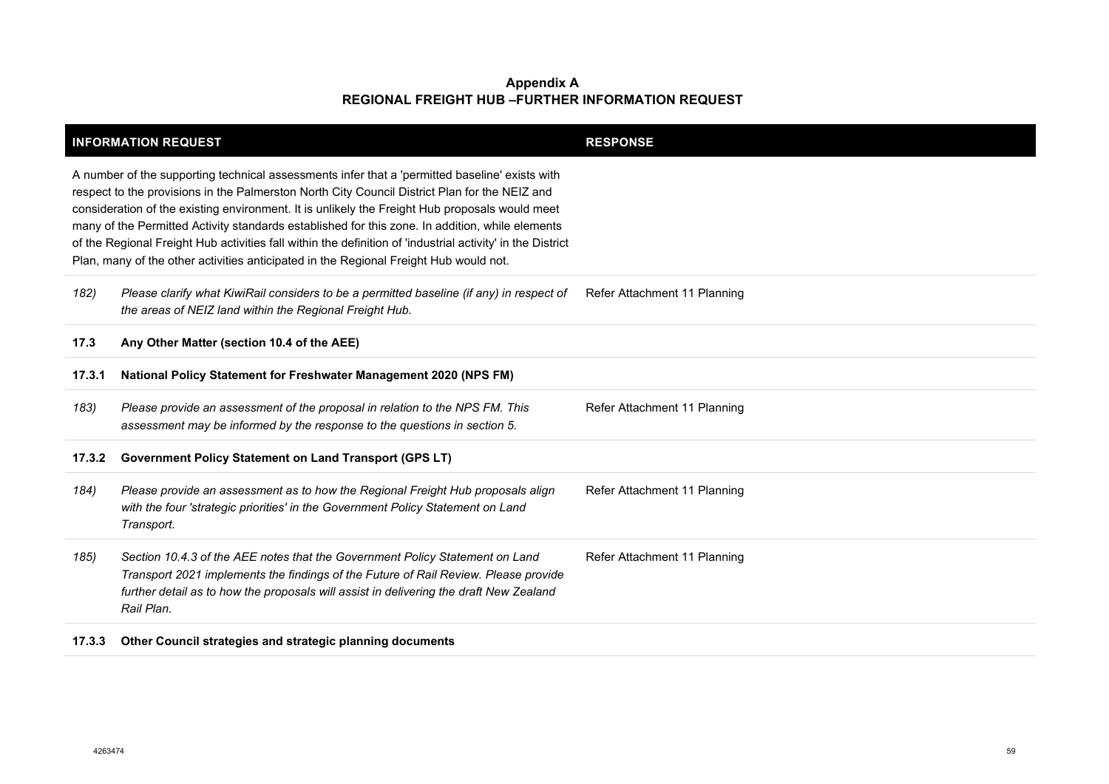|                                                                                                                                                                                                                                                                                                                                                                                                                                                                                                                                                                                                             | <b>INFORMATION REQUEST</b>                                                                                                                                                                                                                                                  | <b>RESPONSE</b>              |
|-------------------------------------------------------------------------------------------------------------------------------------------------------------------------------------------------------------------------------------------------------------------------------------------------------------------------------------------------------------------------------------------------------------------------------------------------------------------------------------------------------------------------------------------------------------------------------------------------------------|-----------------------------------------------------------------------------------------------------------------------------------------------------------------------------------------------------------------------------------------------------------------------------|------------------------------|
| A number of the supporting technical assessments infer that a 'permitted baseline' exists with<br>respect to the provisions in the Palmerston North City Council District Plan for the NEIZ and<br>consideration of the existing environment. It is unlikely the Freight Hub proposals would meet<br>many of the Permitted Activity standards established for this zone. In addition, while elements<br>of the Regional Freight Hub activities fall within the definition of 'industrial activity' in the District<br>Plan, many of the other activities anticipated in the Regional Freight Hub would not. |                                                                                                                                                                                                                                                                             |                              |
| 182)                                                                                                                                                                                                                                                                                                                                                                                                                                                                                                                                                                                                        | Please clarify what KiwiRail considers to be a permitted baseline (if any) in respect of<br>the areas of NEIZ land within the Regional Freight Hub.                                                                                                                         | Refer Attachment 11 Planning |
| 17.3                                                                                                                                                                                                                                                                                                                                                                                                                                                                                                                                                                                                        | Any Other Matter (section 10.4 of the AEE)                                                                                                                                                                                                                                  |                              |
| 17.3.1                                                                                                                                                                                                                                                                                                                                                                                                                                                                                                                                                                                                      | National Policy Statement for Freshwater Management 2020 (NPS FM)                                                                                                                                                                                                           |                              |
| 183)                                                                                                                                                                                                                                                                                                                                                                                                                                                                                                                                                                                                        | Please provide an assessment of the proposal in relation to the NPS FM. This<br>assessment may be informed by the response to the questions in section 5.                                                                                                                   | Refer Attachment 11 Planning |
| 17.3.2                                                                                                                                                                                                                                                                                                                                                                                                                                                                                                                                                                                                      | Government Policy Statement on Land Transport (GPS LT)                                                                                                                                                                                                                      |                              |
| 184)                                                                                                                                                                                                                                                                                                                                                                                                                                                                                                                                                                                                        | Please provide an assessment as to how the Regional Freight Hub proposals align<br>with the four 'strategic priorities' in the Government Policy Statement on Land<br>Transport.                                                                                            | Refer Attachment 11 Planning |
| 185)                                                                                                                                                                                                                                                                                                                                                                                                                                                                                                                                                                                                        | Section 10.4.3 of the AEE notes that the Government Policy Statement on Land<br>Transport 2021 implements the findings of the Future of Rail Review. Please provide<br>further detail as to how the proposals will assist in delivering the draft New Zealand<br>Rail Plan. | Refer Attachment 11 Planning |
| 17.3.3                                                                                                                                                                                                                                                                                                                                                                                                                                                                                                                                                                                                      | Other Council strategies and strategic planning documents                                                                                                                                                                                                                   |                              |